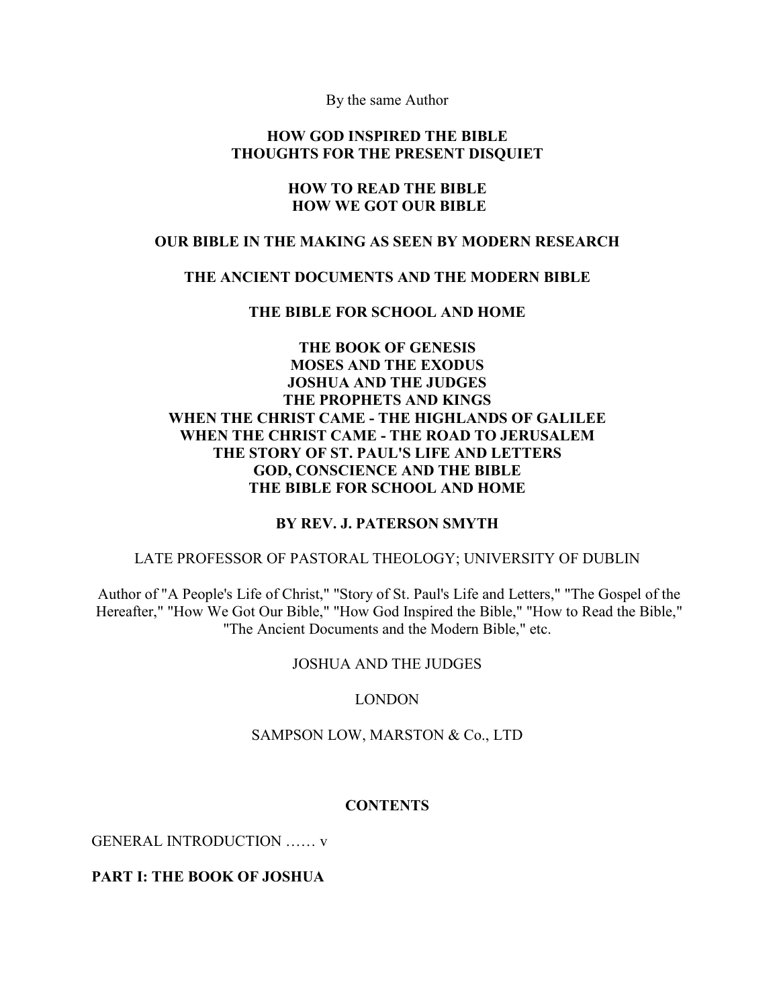By the same Author

#### **HOW GOD INSPIRED THE BIBLE THOUGHTS FOR THE PRESENT DISQUIET**

#### **HOW TO READ THE BIBLE HOW WE GOT OUR BIBLE**

#### **OUR BIBLE IN THE MAKING AS SEEN BY MODERN RESEARCH**

#### **THE ANCIENT DOCUMENTS AND THE MODERN BIBLE**

**THE BIBLE FOR SCHOOL AND HOME** 

## **THE BOOK OF GENESIS MOSES AND THE EXODUS JOSHUA AND THE JUDGES THE PROPHETS AND KINGS WHEN THE CHRIST CAME - THE HIGHLANDS OF GALILEE WHEN THE CHRIST CAME - THE ROAD TO JERUSALEM THE STORY OF ST. PAUL'S LIFE AND LETTERS GOD, CONSCIENCE AND THE BIBLE THE BIBLE FOR SCHOOL AND HOME**

#### **BY REV. J. PATERSON SMYTH**

#### LATE PROFESSOR OF PASTORAL THEOLOGY; UNIVERSITY OF DUBLIN

Author of "A People's Life of Christ," "Story of St. Paul's Life and Letters," "The Gospel of the Hereafter," "How We Got Our Bible," "How God Inspired the Bible," "How to Read the Bible," "The Ancient Documents and the Modern Bible," etc.

### JOSHUA AND THE JUDGES

### LONDON

### SAMPSON LOW, MARSTON & Co., LTD

### **CONTENTS**

GENERAL INTRODUCTION …… v

### **PART I: THE BOOK OF JOSHUA**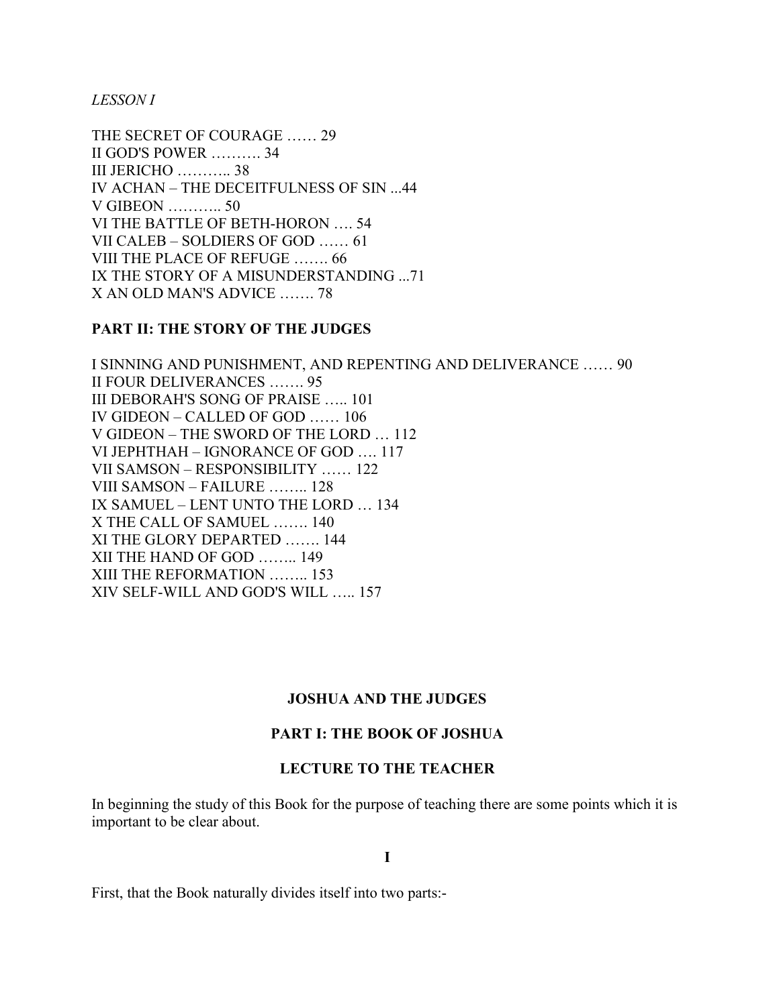*LESSON I* 

THE SECRET OF COURAGE …… 29 II GOD'S POWER ………. 34 III JERICHO ……….. 38 IV ACHAN – THE DECEITFULNESS OF SIN ...44 V GIBEON ……….. 50 VI THE BATTLE OF BETH-HORON …. 54 VII CALEB – SOLDIERS OF GOD …… 61 VIII THE PLACE OF REFUGE ……. 66 IX THE STORY OF A MISUNDERSTANDING ...71 X AN OLD MAN'S ADVICE ……. 78

## **PART II: THE STORY OF THE JUDGES**

I SINNING AND PUNISHMENT, AND REPENTING AND DELIVERANCE …… 90 II FOUR DELIVERANCES ……. 95 III DEBORAH'S SONG OF PRAISE ….. 101 IV GIDEON – CALLED OF GOD …… 106 V GIDEON – THE SWORD OF THE LORD … 112 VI JEPHTHAH – IGNORANCE OF GOD …. 117 VII SAMSON – RESPONSIBILITY …… 122 VIII SAMSON – FAILURE …….. 128 IX SAMUEL – LENT UNTO THE LORD … 134 X THE CALL OF SAMUEL ……. 140 XI THE GLORY DEPARTED ……. 144 XII THE HAND OF GOD …….. 149 XIII THE REFORMATION …….. 153 XIV SELF-WILL AND GOD'S WILL ….. 157

### **JOSHUA AND THE JUDGES**

### **PART I: THE BOOK OF JOSHUA**

### **LECTURE TO THE TEACHER**

In beginning the study of this Book for the purpose of teaching there are some points which it is important to be clear about.

**I** 

First, that the Book naturally divides itself into two parts:-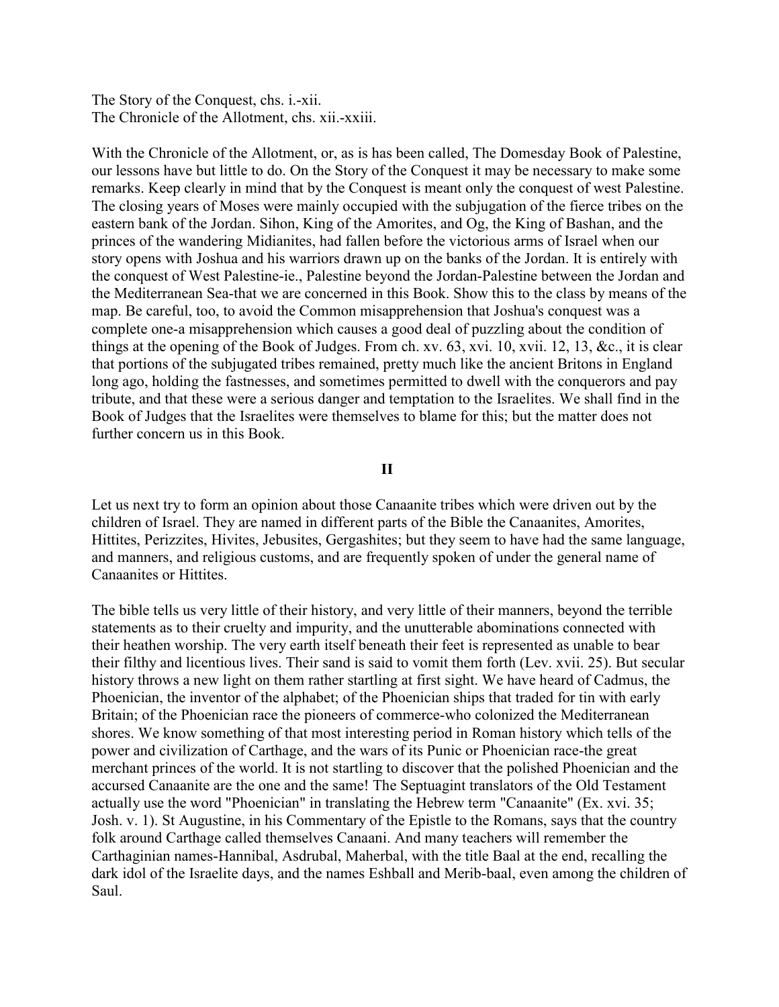The Story of the Conquest, chs. i.-xii. The Chronicle of the Allotment, chs. xii.-xxiii.

With the Chronicle of the Allotment, or, as is has been called, The Domesday Book of Palestine, our lessons have but little to do. On the Story of the Conquest it may be necessary to make some remarks. Keep clearly in mind that by the Conquest is meant only the conquest of west Palestine. The closing years of Moses were mainly occupied with the subjugation of the fierce tribes on the eastern bank of the Jordan. Sihon, King of the Amorites, and Og, the King of Bashan, and the princes of the wandering Midianites, had fallen before the victorious arms of Israel when our story opens with Joshua and his warriors drawn up on the banks of the Jordan. It is entirely with the conquest of West Palestine-ie., Palestine beyond the Jordan-Palestine between the Jordan and the Mediterranean Sea-that we are concerned in this Book. Show this to the class by means of the map. Be careful, too, to avoid the Common misapprehension that Joshua's conquest was a complete one-a misapprehension which causes a good deal of puzzling about the condition of things at the opening of the Book of Judges. From ch. xv. 63, xvi. 10, xvii. 12, 13, &c., it is clear that portions of the subjugated tribes remained, pretty much like the ancient Britons in England long ago, holding the fastnesses, and sometimes permitted to dwell with the conquerors and pay tribute, and that these were a serious danger and temptation to the Israelites. We shall find in the Book of Judges that the Israelites were themselves to blame for this; but the matter does not further concern us in this Book.

#### **II**

Let us next try to form an opinion about those Canaanite tribes which were driven out by the children of Israel. They are named in different parts of the Bible the Canaanites, Amorites, Hittites, Perizzites, Hivites, Jebusites, Gergashites; but they seem to have had the same language, and manners, and religious customs, and are frequently spoken of under the general name of Canaanites or Hittites.

The bible tells us very little of their history, and very little of their manners, beyond the terrible statements as to their cruelty and impurity, and the unutterable abominations connected with their heathen worship. The very earth itself beneath their feet is represented as unable to bear their filthy and licentious lives. Their sand is said to vomit them forth (Lev. xvii. 25). But secular history throws a new light on them rather startling at first sight. We have heard of Cadmus, the Phoenician, the inventor of the alphabet; of the Phoenician ships that traded for tin with early Britain; of the Phoenician race the pioneers of commerce-who colonized the Mediterranean shores. We know something of that most interesting period in Roman history which tells of the power and civilization of Carthage, and the wars of its Punic or Phoenician race-the great merchant princes of the world. It is not startling to discover that the polished Phoenician and the accursed Canaanite are the one and the same! The Septuagint translators of the Old Testament actually use the word "Phoenician" in translating the Hebrew term "Canaanite" (Ex. xvi. 35; Josh. v. 1). St Augustine, in his Commentary of the Epistle to the Romans, says that the country folk around Carthage called themselves Canaani. And many teachers will remember the Carthaginian names-Hannibal, Asdrubal, Maherbal, with the title Baal at the end, recalling the dark idol of the Israelite days, and the names Eshball and Merib-baal, even among the children of Saul.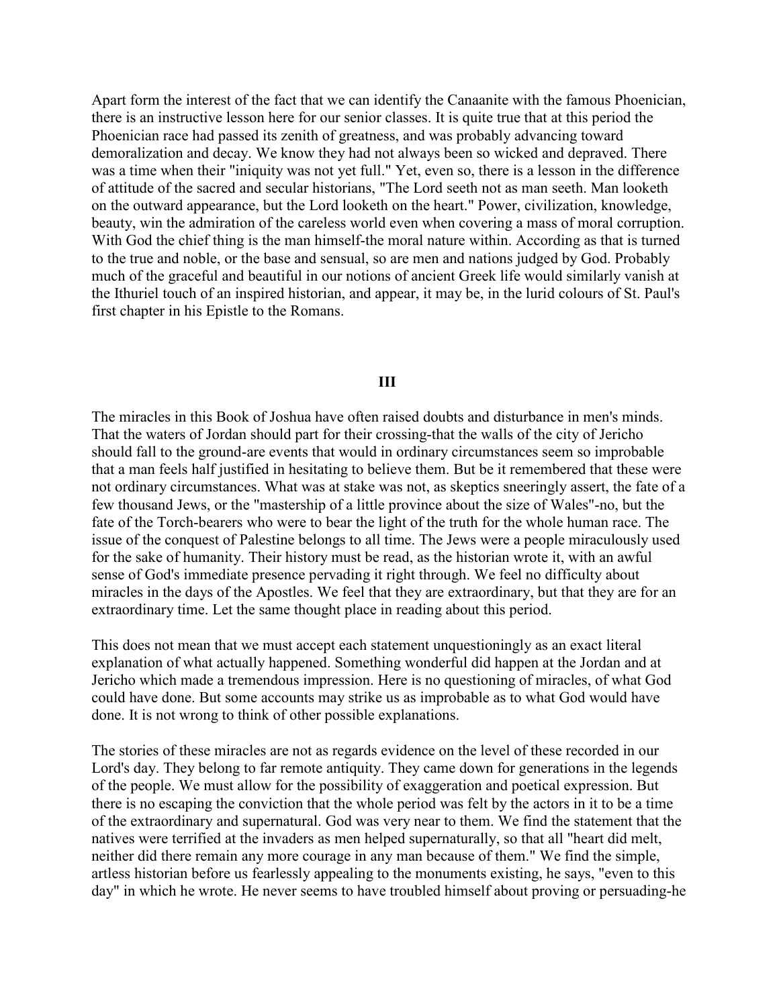Apart form the interest of the fact that we can identify the Canaanite with the famous Phoenician, there is an instructive lesson here for our senior classes. It is quite true that at this period the Phoenician race had passed its zenith of greatness, and was probably advancing toward demoralization and decay. We know they had not always been so wicked and depraved. There was a time when their "iniquity was not yet full." Yet, even so, there is a lesson in the difference of attitude of the sacred and secular historians, "The Lord seeth not as man seeth. Man looketh on the outward appearance, but the Lord looketh on the heart." Power, civilization, knowledge, beauty, win the admiration of the careless world even when covering a mass of moral corruption. With God the chief thing is the man himself-the moral nature within. According as that is turned to the true and noble, or the base and sensual, so are men and nations judged by God. Probably much of the graceful and beautiful in our notions of ancient Greek life would similarly vanish at the Ithuriel touch of an inspired historian, and appear, it may be, in the lurid colours of St. Paul's first chapter in his Epistle to the Romans.

#### **III**

The miracles in this Book of Joshua have often raised doubts and disturbance in men's minds. That the waters of Jordan should part for their crossing-that the walls of the city of Jericho should fall to the ground-are events that would in ordinary circumstances seem so improbable that a man feels half justified in hesitating to believe them. But be it remembered that these were not ordinary circumstances. What was at stake was not, as skeptics sneeringly assert, the fate of a few thousand Jews, or the "mastership of a little province about the size of Wales"-no, but the fate of the Torch-bearers who were to bear the light of the truth for the whole human race. The issue of the conquest of Palestine belongs to all time. The Jews were a people miraculously used for the sake of humanity. Their history must be read, as the historian wrote it, with an awful sense of God's immediate presence pervading it right through. We feel no difficulty about miracles in the days of the Apostles. We feel that they are extraordinary, but that they are for an extraordinary time. Let the same thought place in reading about this period.

This does not mean that we must accept each statement unquestioningly as an exact literal explanation of what actually happened. Something wonderful did happen at the Jordan and at Jericho which made a tremendous impression. Here is no questioning of miracles, of what God could have done. But some accounts may strike us as improbable as to what God would have done. It is not wrong to think of other possible explanations.

The stories of these miracles are not as regards evidence on the level of these recorded in our Lord's day. They belong to far remote antiquity. They came down for generations in the legends of the people. We must allow for the possibility of exaggeration and poetical expression. But there is no escaping the conviction that the whole period was felt by the actors in it to be a time of the extraordinary and supernatural. God was very near to them. We find the statement that the natives were terrified at the invaders as men helped supernaturally, so that all "heart did melt, neither did there remain any more courage in any man because of them." We find the simple, artless historian before us fearlessly appealing to the monuments existing, he says, "even to this day" in which he wrote. He never seems to have troubled himself about proving or persuading-he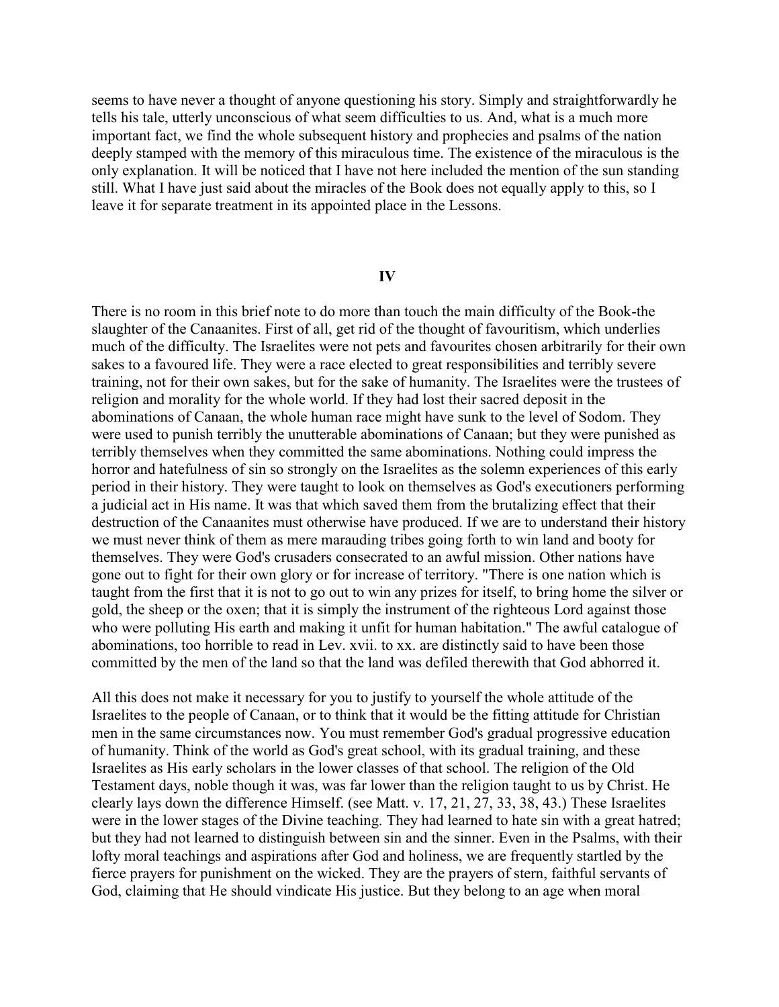seems to have never a thought of anyone questioning his story. Simply and straightforwardly he tells his tale, utterly unconscious of what seem difficulties to us. And, what is a much more important fact, we find the whole subsequent history and prophecies and psalms of the nation deeply stamped with the memory of this miraculous time. The existence of the miraculous is the only explanation. It will be noticed that I have not here included the mention of the sun standing still. What I have just said about the miracles of the Book does not equally apply to this, so I leave it for separate treatment in its appointed place in the Lessons.

#### **IV**

There is no room in this brief note to do more than touch the main difficulty of the Book-the slaughter of the Canaanites. First of all, get rid of the thought of favouritism, which underlies much of the difficulty. The Israelites were not pets and favourites chosen arbitrarily for their own sakes to a favoured life. They were a race elected to great responsibilities and terribly severe training, not for their own sakes, but for the sake of humanity. The Israelites were the trustees of religion and morality for the whole world. If they had lost their sacred deposit in the abominations of Canaan, the whole human race might have sunk to the level of Sodom. They were used to punish terribly the unutterable abominations of Canaan; but they were punished as terribly themselves when they committed the same abominations. Nothing could impress the horror and hatefulness of sin so strongly on the Israelites as the solemn experiences of this early period in their history. They were taught to look on themselves as God's executioners performing a judicial act in His name. It was that which saved them from the brutalizing effect that their destruction of the Canaanites must otherwise have produced. If we are to understand their history we must never think of them as mere marauding tribes going forth to win land and booty for themselves. They were God's crusaders consecrated to an awful mission. Other nations have gone out to fight for their own glory or for increase of territory. "There is one nation which is taught from the first that it is not to go out to win any prizes for itself, to bring home the silver or gold, the sheep or the oxen; that it is simply the instrument of the righteous Lord against those who were polluting His earth and making it unfit for human habitation." The awful catalogue of abominations, too horrible to read in Lev. xvii. to xx. are distinctly said to have been those committed by the men of the land so that the land was defiled therewith that God abhorred it.

All this does not make it necessary for you to justify to yourself the whole attitude of the Israelites to the people of Canaan, or to think that it would be the fitting attitude for Christian men in the same circumstances now. You must remember God's gradual progressive education of humanity. Think of the world as God's great school, with its gradual training, and these Israelites as His early scholars in the lower classes of that school. The religion of the Old Testament days, noble though it was, was far lower than the religion taught to us by Christ. He clearly lays down the difference Himself. (see Matt. v. 17, 21, 27, 33, 38, 43.) These Israelites were in the lower stages of the Divine teaching. They had learned to hate sin with a great hatred; but they had not learned to distinguish between sin and the sinner. Even in the Psalms, with their lofty moral teachings and aspirations after God and holiness, we are frequently startled by the fierce prayers for punishment on the wicked. They are the prayers of stern, faithful servants of God, claiming that He should vindicate His justice. But they belong to an age when moral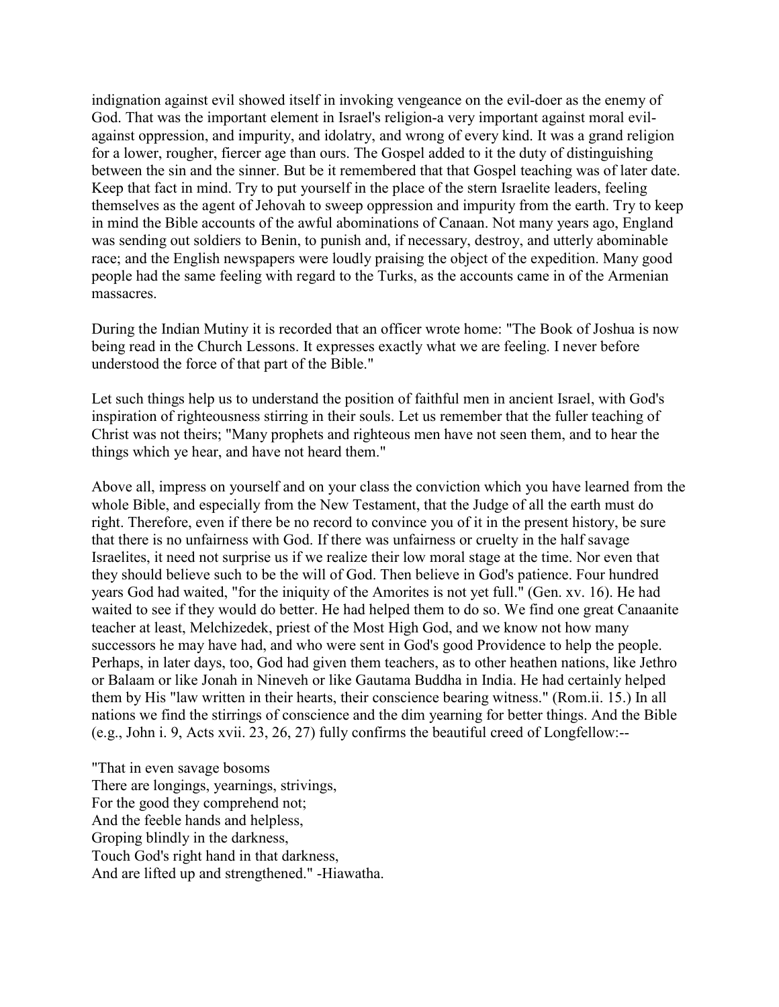indignation against evil showed itself in invoking vengeance on the evil-doer as the enemy of God. That was the important element in Israel's religion-a very important against moral evilagainst oppression, and impurity, and idolatry, and wrong of every kind. It was a grand religion for a lower, rougher, fiercer age than ours. The Gospel added to it the duty of distinguishing between the sin and the sinner. But be it remembered that that Gospel teaching was of later date. Keep that fact in mind. Try to put yourself in the place of the stern Israelite leaders, feeling themselves as the agent of Jehovah to sweep oppression and impurity from the earth. Try to keep in mind the Bible accounts of the awful abominations of Canaan. Not many years ago, England was sending out soldiers to Benin, to punish and, if necessary, destroy, and utterly abominable race; and the English newspapers were loudly praising the object of the expedition. Many good people had the same feeling with regard to the Turks, as the accounts came in of the Armenian massacres.

During the Indian Mutiny it is recorded that an officer wrote home: "The Book of Joshua is now being read in the Church Lessons. It expresses exactly what we are feeling. I never before understood the force of that part of the Bible."

Let such things help us to understand the position of faithful men in ancient Israel, with God's inspiration of righteousness stirring in their souls. Let us remember that the fuller teaching of Christ was not theirs; "Many prophets and righteous men have not seen them, and to hear the things which ye hear, and have not heard them."

Above all, impress on yourself and on your class the conviction which you have learned from the whole Bible, and especially from the New Testament, that the Judge of all the earth must do right. Therefore, even if there be no record to convince you of it in the present history, be sure that there is no unfairness with God. If there was unfairness or cruelty in the half savage Israelites, it need not surprise us if we realize their low moral stage at the time. Nor even that they should believe such to be the will of God. Then believe in God's patience. Four hundred years God had waited, "for the iniquity of the Amorites is not yet full." (Gen. xv. 16). He had waited to see if they would do better. He had helped them to do so. We find one great Canaanite teacher at least, Melchizedek, priest of the Most High God, and we know not how many successors he may have had, and who were sent in God's good Providence to help the people. Perhaps, in later days, too, God had given them teachers, as to other heathen nations, like Jethro or Balaam or like Jonah in Nineveh or like Gautama Buddha in India. He had certainly helped them by His "law written in their hearts, their conscience bearing witness." (Rom.ii. 15.) In all nations we find the stirrings of conscience and the dim yearning for better things. And the Bible (e.g., John i. 9, Acts xvii. 23, 26, 27) fully confirms the beautiful creed of Longfellow:--

"That in even savage bosoms There are longings, yearnings, strivings, For the good they comprehend not; And the feeble hands and helpless, Groping blindly in the darkness, Touch God's right hand in that darkness, And are lifted up and strengthened." -Hiawatha.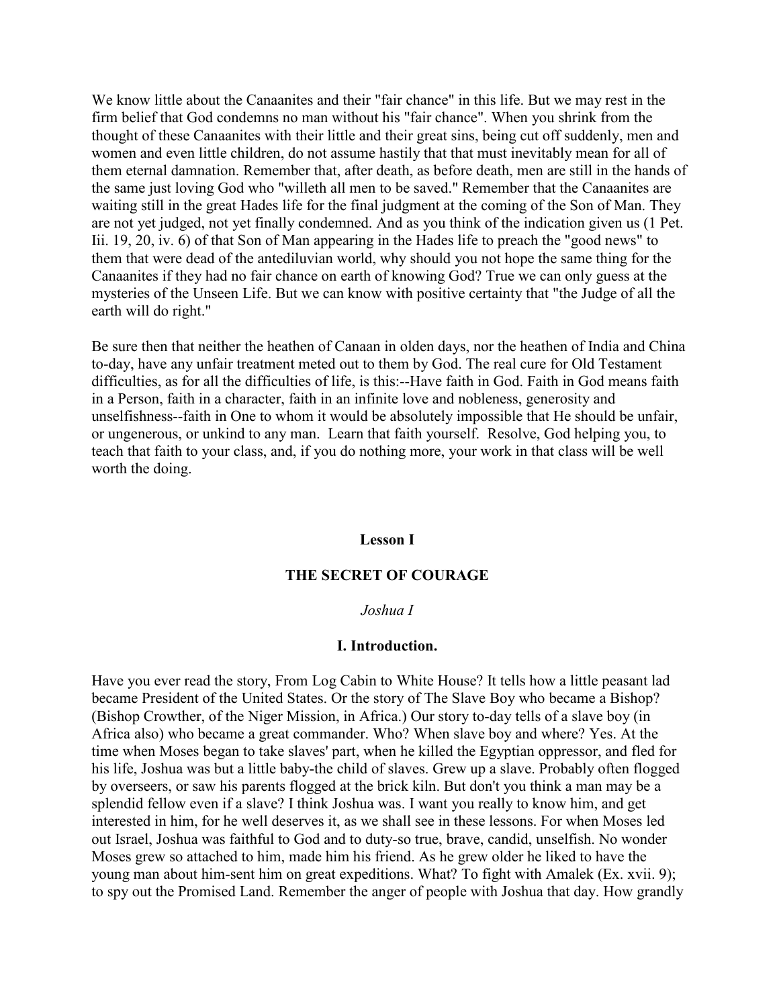We know little about the Canaanites and their "fair chance" in this life. But we may rest in the firm belief that God condemns no man without his "fair chance". When you shrink from the thought of these Canaanites with their little and their great sins, being cut off suddenly, men and women and even little children, do not assume hastily that that must inevitably mean for all of them eternal damnation. Remember that, after death, as before death, men are still in the hands of the same just loving God who "willeth all men to be saved." Remember that the Canaanites are waiting still in the great Hades life for the final judgment at the coming of the Son of Man. They are not yet judged, not yet finally condemned. And as you think of the indication given us (1 Pet. Iii. 19, 20, iv. 6) of that Son of Man appearing in the Hades life to preach the "good news" to them that were dead of the antediluvian world, why should you not hope the same thing for the Canaanites if they had no fair chance on earth of knowing God? True we can only guess at the mysteries of the Unseen Life. But we can know with positive certainty that "the Judge of all the earth will do right."

Be sure then that neither the heathen of Canaan in olden days, nor the heathen of India and China to-day, have any unfair treatment meted out to them by God. The real cure for Old Testament difficulties, as for all the difficulties of life, is this:--Have faith in God. Faith in God means faith in a Person, faith in a character, faith in an infinite love and nobleness, generosity and unselfishness--faith in One to whom it would be absolutely impossible that He should be unfair, or ungenerous, or unkind to any man. Learn that faith yourself. Resolve, God helping you, to teach that faith to your class, and, if you do nothing more, your work in that class will be well worth the doing.

#### **Lesson I**

#### **THE SECRET OF COURAGE**

#### *Joshua I*

#### **I. Introduction.**

Have you ever read the story, From Log Cabin to White House? It tells how a little peasant lad became President of the United States. Or the story of The Slave Boy who became a Bishop? (Bishop Crowther, of the Niger Mission, in Africa.) Our story to-day tells of a slave boy (in Africa also) who became a great commander. Who? When slave boy and where? Yes. At the time when Moses began to take slaves' part, when he killed the Egyptian oppressor, and fled for his life, Joshua was but a little baby-the child of slaves. Grew up a slave. Probably often flogged by overseers, or saw his parents flogged at the brick kiln. But don't you think a man may be a splendid fellow even if a slave? I think Joshua was. I want you really to know him, and get interested in him, for he well deserves it, as we shall see in these lessons. For when Moses led out Israel, Joshua was faithful to God and to duty-so true, brave, candid, unselfish. No wonder Moses grew so attached to him, made him his friend. As he grew older he liked to have the young man about him-sent him on great expeditions. What? To fight with Amalek (Ex. xvii. 9); to spy out the Promised Land. Remember the anger of people with Joshua that day. How grandly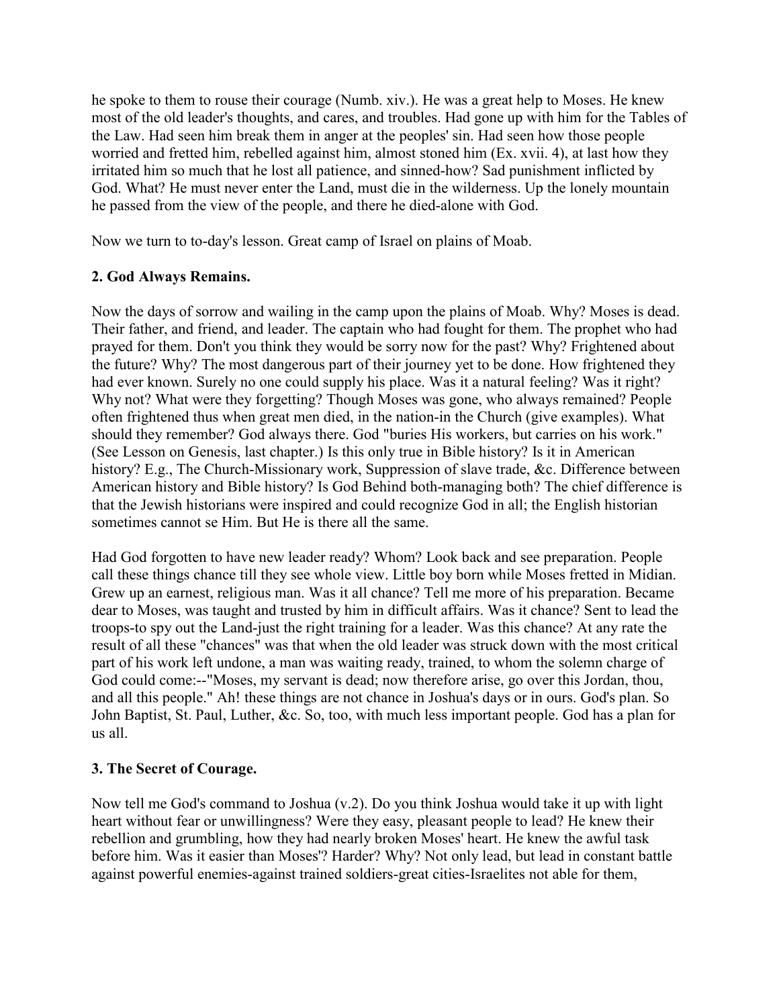he spoke to them to rouse their courage (Numb. xiv.). He was a great help to Moses. He knew most of the old leader's thoughts, and cares, and troubles. Had gone up with him for the Tables of the Law. Had seen him break them in anger at the peoples' sin. Had seen how those people worried and fretted him, rebelled against him, almost stoned him (Ex. xvii. 4), at last how they irritated him so much that he lost all patience, and sinned-how? Sad punishment inflicted by God. What? He must never enter the Land, must die in the wilderness. Up the lonely mountain he passed from the view of the people, and there he died-alone with God.

Now we turn to to-day's lesson. Great camp of Israel on plains of Moab.

# **2. God Always Remains.**

Now the days of sorrow and wailing in the camp upon the plains of Moab. Why? Moses is dead. Their father, and friend, and leader. The captain who had fought for them. The prophet who had prayed for them. Don't you think they would be sorry now for the past? Why? Frightened about the future? Why? The most dangerous part of their journey yet to be done. How frightened they had ever known. Surely no one could supply his place. Was it a natural feeling? Was it right? Why not? What were they forgetting? Though Moses was gone, who always remained? People often frightened thus when great men died, in the nation-in the Church (give examples). What should they remember? God always there. God "buries His workers, but carries on his work." (See Lesson on Genesis, last chapter.) Is this only true in Bible history? Is it in American history? E.g., The Church-Missionary work, Suppression of slave trade, &c. Difference between American history and Bible history? Is God Behind both-managing both? The chief difference is that the Jewish historians were inspired and could recognize God in all; the English historian sometimes cannot se Him. But He is there all the same.

Had God forgotten to have new leader ready? Whom? Look back and see preparation. People call these things chance till they see whole view. Little boy born while Moses fretted in Midian. Grew up an earnest, religious man. Was it all chance? Tell me more of his preparation. Became dear to Moses, was taught and trusted by him in difficult affairs. Was it chance? Sent to lead the troops-to spy out the Land-just the right training for a leader. Was this chance? At any rate the result of all these "chances" was that when the old leader was struck down with the most critical part of his work left undone, a man was waiting ready, trained, to whom the solemn charge of God could come:--"Moses, my servant is dead; now therefore arise, go over this Jordan, thou, and all this people." Ah! these things are not chance in Joshua's days or in ours. God's plan. So John Baptist, St. Paul, Luther, &c. So, too, with much less important people. God has a plan for us all.

# **3. The Secret of Courage.**

Now tell me God's command to Joshua (v.2). Do you think Joshua would take it up with light heart without fear or unwillingness? Were they easy, pleasant people to lead? He knew their rebellion and grumbling, how they had nearly broken Moses' heart. He knew the awful task before him. Was it easier than Moses'? Harder? Why? Not only lead, but lead in constant battle against powerful enemies-against trained soldiers-great cities-Israelites not able for them,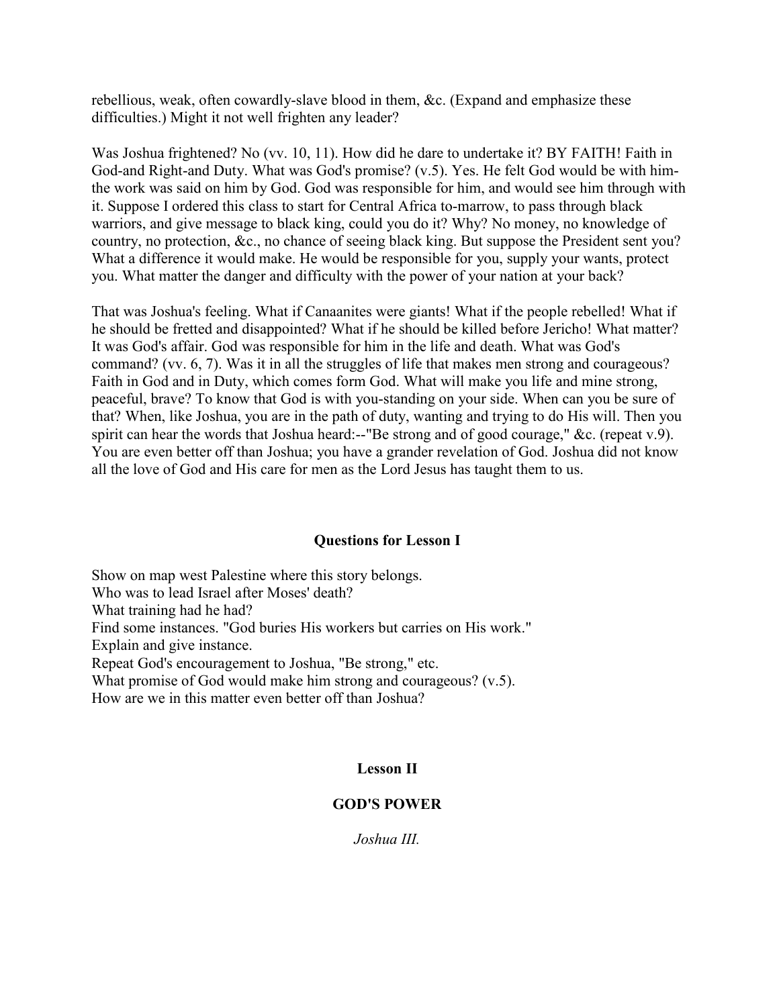rebellious, weak, often cowardly-slave blood in them, &c. (Expand and emphasize these difficulties.) Might it not well frighten any leader?

Was Joshua frightened? No (vv. 10, 11). How did he dare to undertake it? BY FAITH! Faith in God-and Right-and Duty. What was God's promise? (v.5). Yes. He felt God would be with himthe work was said on him by God. God was responsible for him, and would see him through with it. Suppose I ordered this class to start for Central Africa to-marrow, to pass through black warriors, and give message to black king, could you do it? Why? No money, no knowledge of country, no protection, &c., no chance of seeing black king. But suppose the President sent you? What a difference it would make. He would be responsible for you, supply your wants, protect you. What matter the danger and difficulty with the power of your nation at your back?

That was Joshua's feeling. What if Canaanites were giants! What if the people rebelled! What if he should be fretted and disappointed? What if he should be killed before Jericho! What matter? It was God's affair. God was responsible for him in the life and death. What was God's command? (vv. 6, 7). Was it in all the struggles of life that makes men strong and courageous? Faith in God and in Duty, which comes form God. What will make you life and mine strong, peaceful, brave? To know that God is with you-standing on your side. When can you be sure of that? When, like Joshua, you are in the path of duty, wanting and trying to do His will. Then you spirit can hear the words that Joshua heard:--"Be strong and of good courage," &c. (repeat v.9). You are even better off than Joshua; you have a grander revelation of God. Joshua did not know all the love of God and His care for men as the Lord Jesus has taught them to us.

### **Questions for Lesson I**

Show on map west Palestine where this story belongs. Who was to lead Israel after Moses' death? What training had he had? Find some instances. "God buries His workers but carries on His work." Explain and give instance. Repeat God's encouragement to Joshua, "Be strong," etc. What promise of God would make him strong and courageous? (v.5). How are we in this matter even better off than Joshua?

## **Lesson II**

# **GOD'S POWER**

*Joshua III.*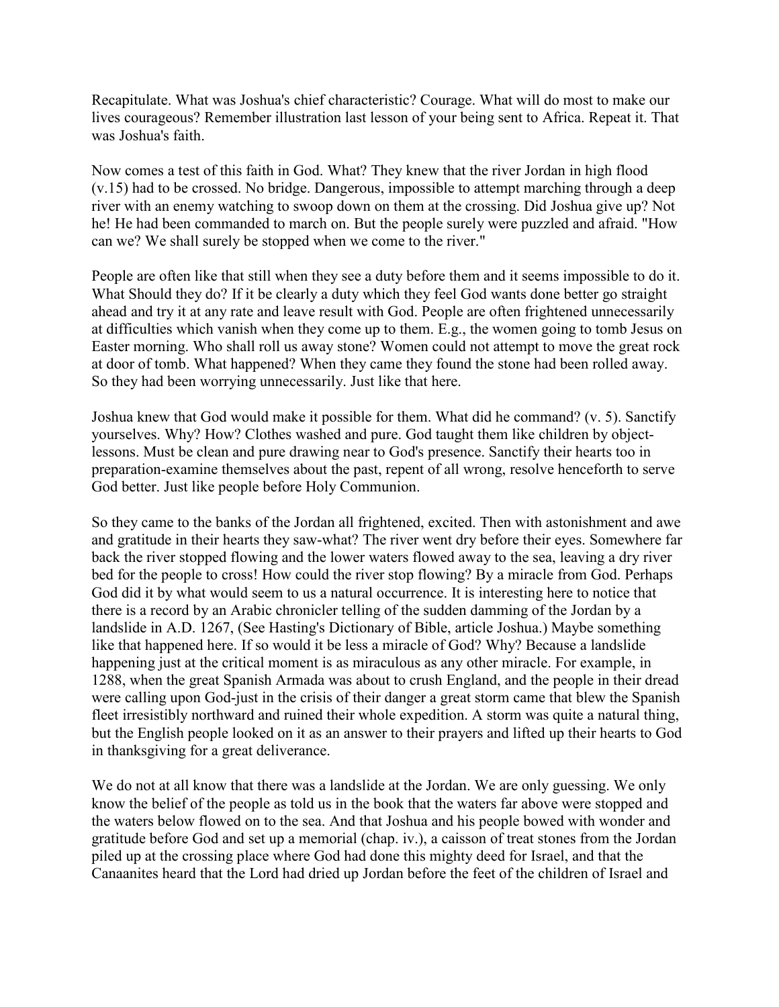Recapitulate. What was Joshua's chief characteristic? Courage. What will do most to make our lives courageous? Remember illustration last lesson of your being sent to Africa. Repeat it. That was Joshua's faith.

Now comes a test of this faith in God. What? They knew that the river Jordan in high flood (v.15) had to be crossed. No bridge. Dangerous, impossible to attempt marching through a deep river with an enemy watching to swoop down on them at the crossing. Did Joshua give up? Not he! He had been commanded to march on. But the people surely were puzzled and afraid. "How can we? We shall surely be stopped when we come to the river."

People are often like that still when they see a duty before them and it seems impossible to do it. What Should they do? If it be clearly a duty which they feel God wants done better go straight ahead and try it at any rate and leave result with God. People are often frightened unnecessarily at difficulties which vanish when they come up to them. E.g., the women going to tomb Jesus on Easter morning. Who shall roll us away stone? Women could not attempt to move the great rock at door of tomb. What happened? When they came they found the stone had been rolled away. So they had been worrying unnecessarily. Just like that here.

Joshua knew that God would make it possible for them. What did he command? (v. 5). Sanctify yourselves. Why? How? Clothes washed and pure. God taught them like children by objectlessons. Must be clean and pure drawing near to God's presence. Sanctify their hearts too in preparation-examine themselves about the past, repent of all wrong, resolve henceforth to serve God better. Just like people before Holy Communion.

So they came to the banks of the Jordan all frightened, excited. Then with astonishment and awe and gratitude in their hearts they saw-what? The river went dry before their eyes. Somewhere far back the river stopped flowing and the lower waters flowed away to the sea, leaving a dry river bed for the people to cross! How could the river stop flowing? By a miracle from God. Perhaps God did it by what would seem to us a natural occurrence. It is interesting here to notice that there is a record by an Arabic chronicler telling of the sudden damming of the Jordan by a landslide in A.D. 1267, (See Hasting's Dictionary of Bible, article Joshua.) Maybe something like that happened here. If so would it be less a miracle of God? Why? Because a landslide happening just at the critical moment is as miraculous as any other miracle. For example, in 1288, when the great Spanish Armada was about to crush England, and the people in their dread were calling upon God-just in the crisis of their danger a great storm came that blew the Spanish fleet irresistibly northward and ruined their whole expedition. A storm was quite a natural thing, but the English people looked on it as an answer to their prayers and lifted up their hearts to God in thanksgiving for a great deliverance.

We do not at all know that there was a landslide at the Jordan. We are only guessing. We only know the belief of the people as told us in the book that the waters far above were stopped and the waters below flowed on to the sea. And that Joshua and his people bowed with wonder and gratitude before God and set up a memorial (chap. iv.), a caisson of treat stones from the Jordan piled up at the crossing place where God had done this mighty deed for Israel, and that the Canaanites heard that the Lord had dried up Jordan before the feet of the children of Israel and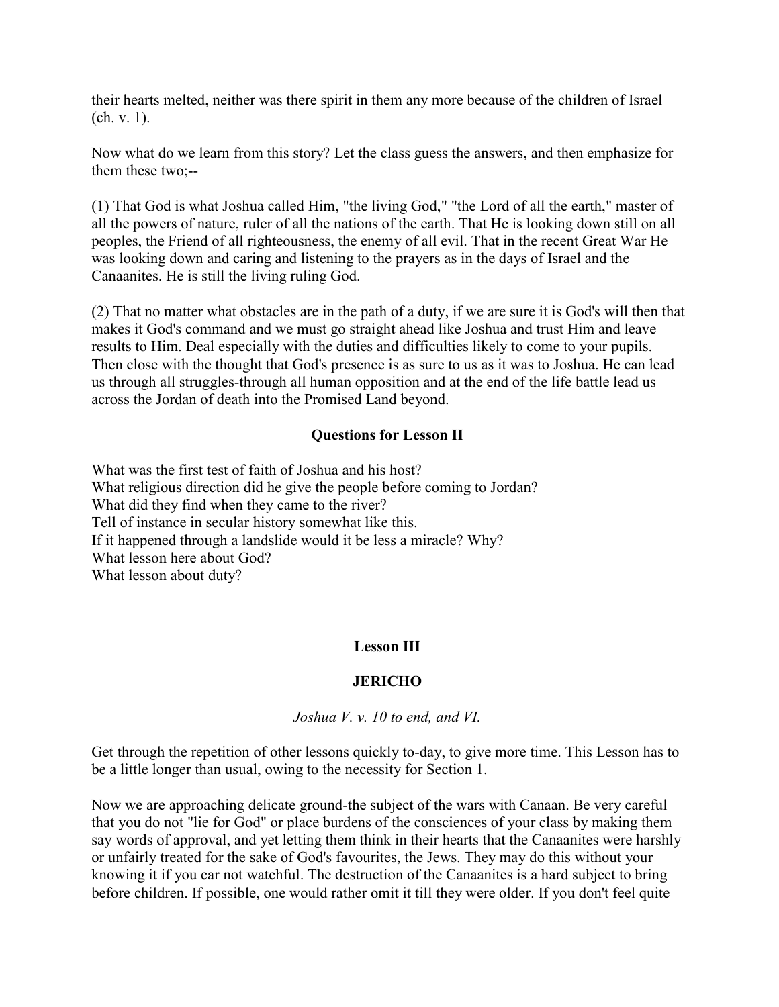their hearts melted, neither was there spirit in them any more because of the children of Israel (ch. v. 1).

Now what do we learn from this story? Let the class guess the answers, and then emphasize for them these two;--

(1) That God is what Joshua called Him, "the living God," "the Lord of all the earth," master of all the powers of nature, ruler of all the nations of the earth. That He is looking down still on all peoples, the Friend of all righteousness, the enemy of all evil. That in the recent Great War He was looking down and caring and listening to the prayers as in the days of Israel and the Canaanites. He is still the living ruling God.

(2) That no matter what obstacles are in the path of a duty, if we are sure it is God's will then that makes it God's command and we must go straight ahead like Joshua and trust Him and leave results to Him. Deal especially with the duties and difficulties likely to come to your pupils. Then close with the thought that God's presence is as sure to us as it was to Joshua. He can lead us through all struggles-through all human opposition and at the end of the life battle lead us across the Jordan of death into the Promised Land beyond.

## **Questions for Lesson II**

What was the first test of faith of Joshua and his host? What religious direction did he give the people before coming to Jordan? What did they find when they came to the river? Tell of instance in secular history somewhat like this. If it happened through a landslide would it be less a miracle? Why? What lesson here about God? What lesson about duty?

### **Lesson III**

### **JERICHO**

*Joshua V. v. 10 to end, and VI.* 

Get through the repetition of other lessons quickly to-day, to give more time. This Lesson has to be a little longer than usual, owing to the necessity for Section 1.

Now we are approaching delicate ground-the subject of the wars with Canaan. Be very careful that you do not "lie for God" or place burdens of the consciences of your class by making them say words of approval, and yet letting them think in their hearts that the Canaanites were harshly or unfairly treated for the sake of God's favourites, the Jews. They may do this without your knowing it if you car not watchful. The destruction of the Canaanites is a hard subject to bring before children. If possible, one would rather omit it till they were older. If you don't feel quite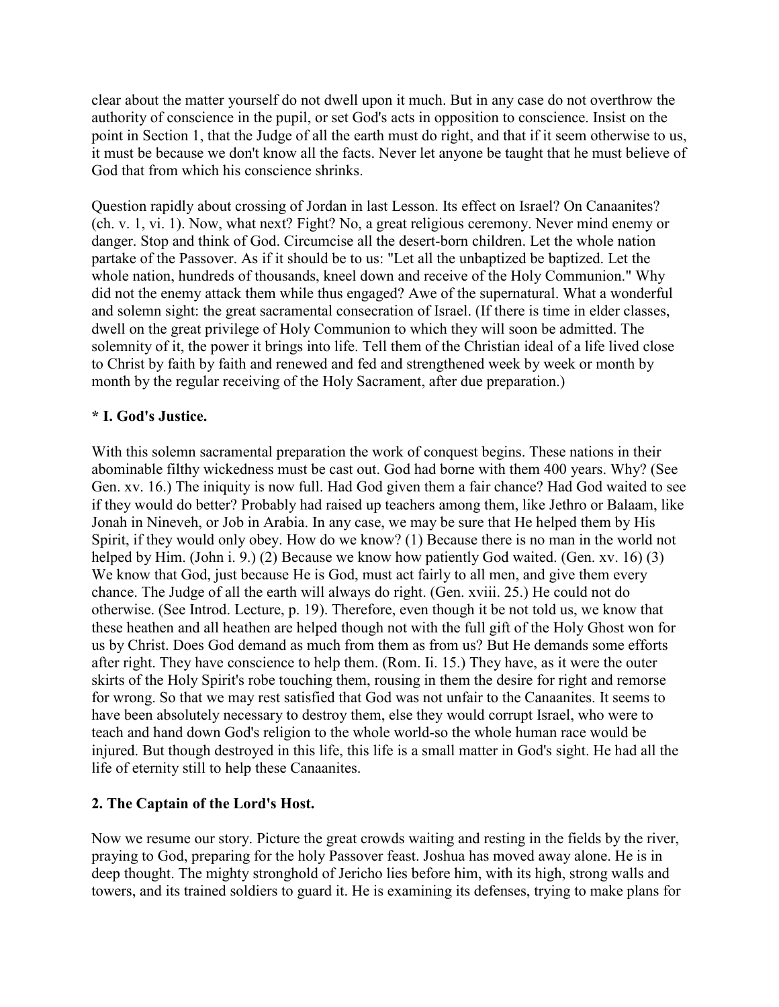clear about the matter yourself do not dwell upon it much. But in any case do not overthrow the authority of conscience in the pupil, or set God's acts in opposition to conscience. Insist on the point in Section 1, that the Judge of all the earth must do right, and that if it seem otherwise to us, it must be because we don't know all the facts. Never let anyone be taught that he must believe of God that from which his conscience shrinks.

Question rapidly about crossing of Jordan in last Lesson. Its effect on Israel? On Canaanites? (ch. v. 1, vi. 1). Now, what next? Fight? No, a great religious ceremony. Never mind enemy or danger. Stop and think of God. Circumcise all the desert-born children. Let the whole nation partake of the Passover. As if it should be to us: "Let all the unbaptized be baptized. Let the whole nation, hundreds of thousands, kneel down and receive of the Holy Communion." Why did not the enemy attack them while thus engaged? Awe of the supernatural. What a wonderful and solemn sight: the great sacramental consecration of Israel. (If there is time in elder classes, dwell on the great privilege of Holy Communion to which they will soon be admitted. The solemnity of it, the power it brings into life. Tell them of the Christian ideal of a life lived close to Christ by faith by faith and renewed and fed and strengthened week by week or month by month by the regular receiving of the Holy Sacrament, after due preparation.)

# **\* I. God's Justice.**

With this solemn sacramental preparation the work of conquest begins. These nations in their abominable filthy wickedness must be cast out. God had borne with them 400 years. Why? (See Gen. xv. 16.) The iniquity is now full. Had God given them a fair chance? Had God waited to see if they would do better? Probably had raised up teachers among them, like Jethro or Balaam, like Jonah in Nineveh, or Job in Arabia. In any case, we may be sure that He helped them by His Spirit, if they would only obey. How do we know? (1) Because there is no man in the world not helped by Him. (John i. 9.) (2) Because we know how patiently God waited. (Gen. xv. 16) (3) We know that God, just because He is God, must act fairly to all men, and give them every chance. The Judge of all the earth will always do right. (Gen. xviii. 25.) He could not do otherwise. (See Introd. Lecture, p. 19). Therefore, even though it be not told us, we know that these heathen and all heathen are helped though not with the full gift of the Holy Ghost won for us by Christ. Does God demand as much from them as from us? But He demands some efforts after right. They have conscience to help them. (Rom. Ii. 15.) They have, as it were the outer skirts of the Holy Spirit's robe touching them, rousing in them the desire for right and remorse for wrong. So that we may rest satisfied that God was not unfair to the Canaanites. It seems to have been absolutely necessary to destroy them, else they would corrupt Israel, who were to teach and hand down God's religion to the whole world-so the whole human race would be injured. But though destroyed in this life, this life is a small matter in God's sight. He had all the life of eternity still to help these Canaanites.

## **2. The Captain of the Lord's Host.**

Now we resume our story. Picture the great crowds waiting and resting in the fields by the river, praying to God, preparing for the holy Passover feast. Joshua has moved away alone. He is in deep thought. The mighty stronghold of Jericho lies before him, with its high, strong walls and towers, and its trained soldiers to guard it. He is examining its defenses, trying to make plans for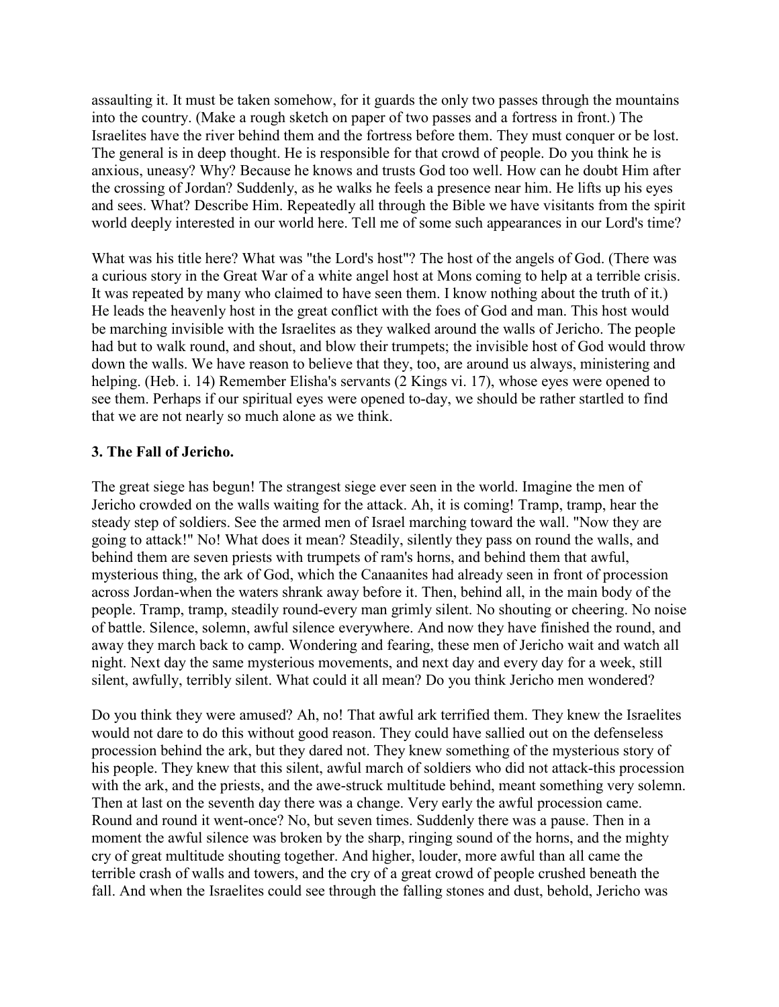assaulting it. It must be taken somehow, for it guards the only two passes through the mountains into the country. (Make a rough sketch on paper of two passes and a fortress in front.) The Israelites have the river behind them and the fortress before them. They must conquer or be lost. The general is in deep thought. He is responsible for that crowd of people. Do you think he is anxious, uneasy? Why? Because he knows and trusts God too well. How can he doubt Him after the crossing of Jordan? Suddenly, as he walks he feels a presence near him. He lifts up his eyes and sees. What? Describe Him. Repeatedly all through the Bible we have visitants from the spirit world deeply interested in our world here. Tell me of some such appearances in our Lord's time?

What was his title here? What was "the Lord's host"? The host of the angels of God. (There was a curious story in the Great War of a white angel host at Mons coming to help at a terrible crisis. It was repeated by many who claimed to have seen them. I know nothing about the truth of it.) He leads the heavenly host in the great conflict with the foes of God and man. This host would be marching invisible with the Israelites as they walked around the walls of Jericho. The people had but to walk round, and shout, and blow their trumpets; the invisible host of God would throw down the walls. We have reason to believe that they, too, are around us always, ministering and helping. (Heb. i. 14) Remember Elisha's servants (2 Kings vi. 17), whose eyes were opened to see them. Perhaps if our spiritual eyes were opened to-day, we should be rather startled to find that we are not nearly so much alone as we think.

## **3. The Fall of Jericho.**

The great siege has begun! The strangest siege ever seen in the world. Imagine the men of Jericho crowded on the walls waiting for the attack. Ah, it is coming! Tramp, tramp, hear the steady step of soldiers. See the armed men of Israel marching toward the wall. "Now they are going to attack!" No! What does it mean? Steadily, silently they pass on round the walls, and behind them are seven priests with trumpets of ram's horns, and behind them that awful, mysterious thing, the ark of God, which the Canaanites had already seen in front of procession across Jordan-when the waters shrank away before it. Then, behind all, in the main body of the people. Tramp, tramp, steadily round-every man grimly silent. No shouting or cheering. No noise of battle. Silence, solemn, awful silence everywhere. And now they have finished the round, and away they march back to camp. Wondering and fearing, these men of Jericho wait and watch all night. Next day the same mysterious movements, and next day and every day for a week, still silent, awfully, terribly silent. What could it all mean? Do you think Jericho men wondered?

Do you think they were amused? Ah, no! That awful ark terrified them. They knew the Israelites would not dare to do this without good reason. They could have sallied out on the defenseless procession behind the ark, but they dared not. They knew something of the mysterious story of his people. They knew that this silent, awful march of soldiers who did not attack-this procession with the ark, and the priests, and the awe-struck multitude behind, meant something very solemn. Then at last on the seventh day there was a change. Very early the awful procession came. Round and round it went-once? No, but seven times. Suddenly there was a pause. Then in a moment the awful silence was broken by the sharp, ringing sound of the horns, and the mighty cry of great multitude shouting together. And higher, louder, more awful than all came the terrible crash of walls and towers, and the cry of a great crowd of people crushed beneath the fall. And when the Israelites could see through the falling stones and dust, behold, Jericho was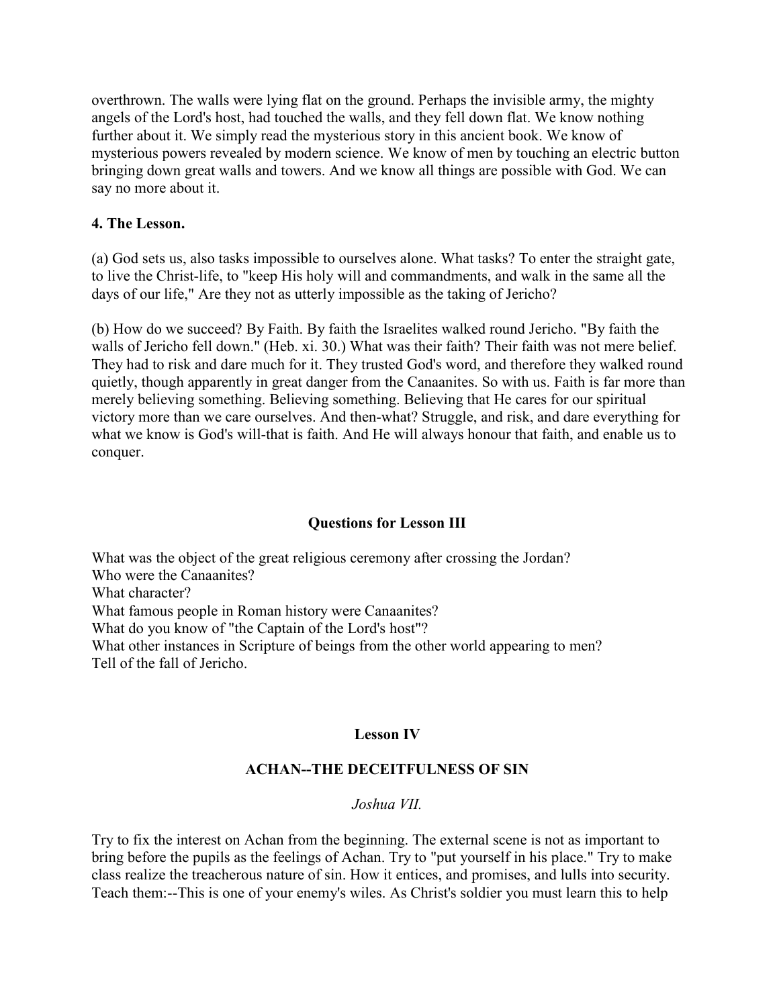overthrown. The walls were lying flat on the ground. Perhaps the invisible army, the mighty angels of the Lord's host, had touched the walls, and they fell down flat. We know nothing further about it. We simply read the mysterious story in this ancient book. We know of mysterious powers revealed by modern science. We know of men by touching an electric button bringing down great walls and towers. And we know all things are possible with God. We can say no more about it.

## **4. The Lesson.**

(a) God sets us, also tasks impossible to ourselves alone. What tasks? To enter the straight gate, to live the Christ-life, to "keep His holy will and commandments, and walk in the same all the days of our life," Are they not as utterly impossible as the taking of Jericho?

(b) How do we succeed? By Faith. By faith the Israelites walked round Jericho. "By faith the walls of Jericho fell down." (Heb. xi. 30.) What was their faith? Their faith was not mere belief. They had to risk and dare much for it. They trusted God's word, and therefore they walked round quietly, though apparently in great danger from the Canaanites. So with us. Faith is far more than merely believing something. Believing something. Believing that He cares for our spiritual victory more than we care ourselves. And then-what? Struggle, and risk, and dare everything for what we know is God's will-that is faith. And He will always honour that faith, and enable us to conquer.

## **Questions for Lesson III**

What was the object of the great religious ceremony after crossing the Jordan? Who were the Canaanites? What character? What famous people in Roman history were Canaanites? What do you know of "the Captain of the Lord's host"? What other instances in Scripture of beings from the other world appearing to men? Tell of the fall of Jericho.

## **Lesson IV**

## **ACHAN--THE DECEITFULNESS OF SIN**

### *Joshua VII.*

Try to fix the interest on Achan from the beginning. The external scene is not as important to bring before the pupils as the feelings of Achan. Try to "put yourself in his place." Try to make class realize the treacherous nature of sin. How it entices, and promises, and lulls into security. Teach them:--This is one of your enemy's wiles. As Christ's soldier you must learn this to help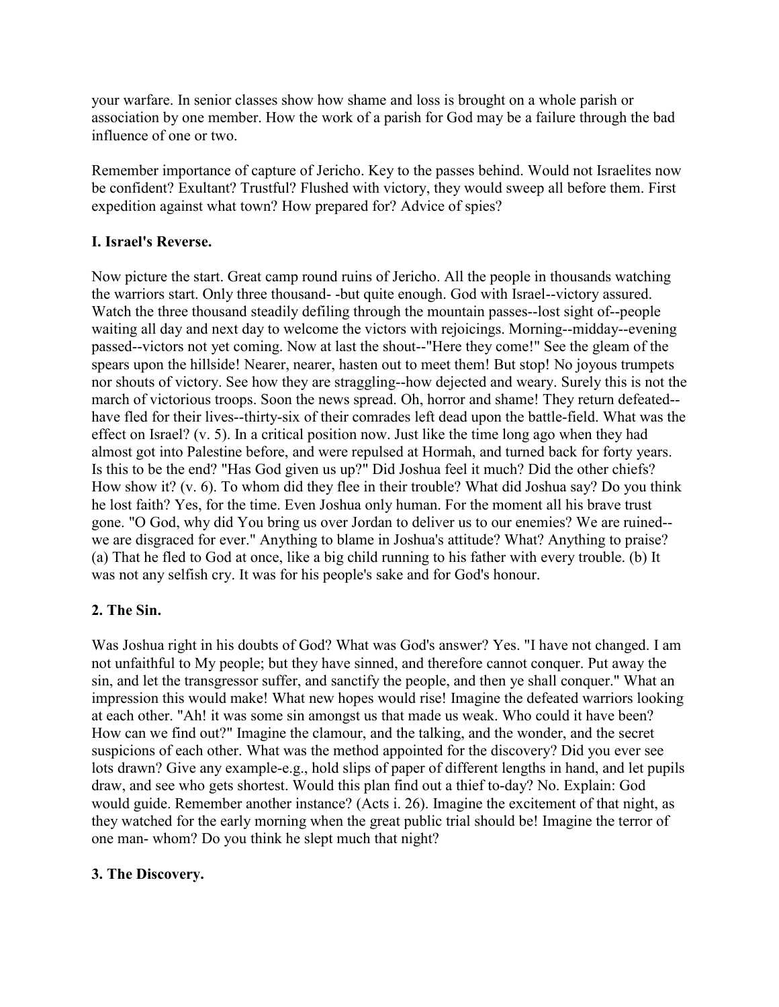your warfare. In senior classes show how shame and loss is brought on a whole parish or association by one member. How the work of a parish for God may be a failure through the bad influence of one or two.

Remember importance of capture of Jericho. Key to the passes behind. Would not Israelites now be confident? Exultant? Trustful? Flushed with victory, they would sweep all before them. First expedition against what town? How prepared for? Advice of spies?

## **I. Israel's Reverse.**

Now picture the start. Great camp round ruins of Jericho. All the people in thousands watching the warriors start. Only three thousand- -but quite enough. God with Israel--victory assured. Watch the three thousand steadily defiling through the mountain passes--lost sight of--people waiting all day and next day to welcome the victors with rejoicings. Morning--midday--evening passed--victors not yet coming. Now at last the shout--"Here they come!" See the gleam of the spears upon the hillside! Nearer, nearer, hasten out to meet them! But stop! No joyous trumpets nor shouts of victory. See how they are straggling--how dejected and weary. Surely this is not the march of victorious troops. Soon the news spread. Oh, horror and shame! They return defeated- have fled for their lives--thirty-six of their comrades left dead upon the battle-field. What was the effect on Israel? (v. 5). In a critical position now. Just like the time long ago when they had almost got into Palestine before, and were repulsed at Hormah, and turned back for forty years. Is this to be the end? "Has God given us up?" Did Joshua feel it much? Did the other chiefs? How show it? (v. 6). To whom did they flee in their trouble? What did Joshua say? Do you think he lost faith? Yes, for the time. Even Joshua only human. For the moment all his brave trust gone. "O God, why did You bring us over Jordan to deliver us to our enemies? We are ruined- we are disgraced for ever." Anything to blame in Joshua's attitude? What? Anything to praise? (a) That he fled to God at once, like a big child running to his father with every trouble. (b) It was not any selfish cry. It was for his people's sake and for God's honour.

## **2. The Sin.**

Was Joshua right in his doubts of God? What was God's answer? Yes. "I have not changed. I am not unfaithful to My people; but they have sinned, and therefore cannot conquer. Put away the sin, and let the transgressor suffer, and sanctify the people, and then ye shall conquer." What an impression this would make! What new hopes would rise! Imagine the defeated warriors looking at each other. "Ah! it was some sin amongst us that made us weak. Who could it have been? How can we find out?" Imagine the clamour, and the talking, and the wonder, and the secret suspicions of each other. What was the method appointed for the discovery? Did you ever see lots drawn? Give any example-e.g., hold slips of paper of different lengths in hand, and let pupils draw, and see who gets shortest. Would this plan find out a thief to-day? No. Explain: God would guide. Remember another instance? (Acts i. 26). Imagine the excitement of that night, as they watched for the early morning when the great public trial should be! Imagine the terror of one man- whom? Do you think he slept much that night?

## **3. The Discovery.**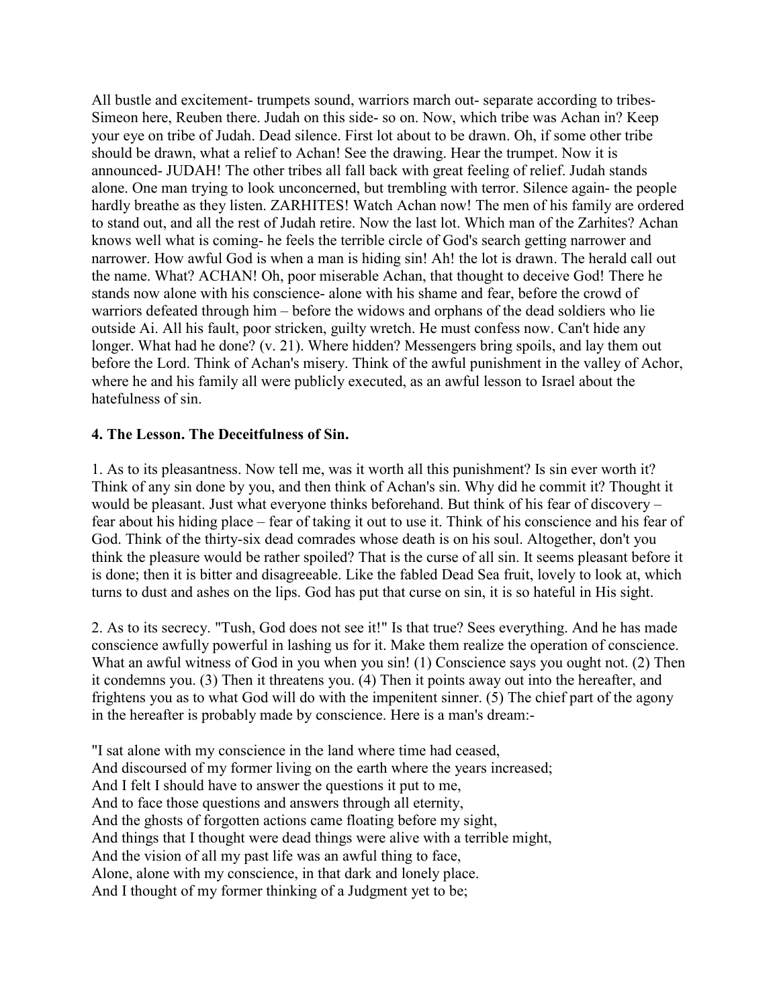All bustle and excitement- trumpets sound, warriors march out- separate according to tribes-Simeon here, Reuben there. Judah on this side- so on. Now, which tribe was Achan in? Keep your eye on tribe of Judah. Dead silence. First lot about to be drawn. Oh, if some other tribe should be drawn, what a relief to Achan! See the drawing. Hear the trumpet. Now it is announced- JUDAH! The other tribes all fall back with great feeling of relief. Judah stands alone. One man trying to look unconcerned, but trembling with terror. Silence again- the people hardly breathe as they listen. ZARHITES! Watch Achan now! The men of his family are ordered to stand out, and all the rest of Judah retire. Now the last lot. Which man of the Zarhites? Achan knows well what is coming- he feels the terrible circle of God's search getting narrower and narrower. How awful God is when a man is hiding sin! Ah! the lot is drawn. The herald call out the name. What? ACHAN! Oh, poor miserable Achan, that thought to deceive God! There he stands now alone with his conscience- alone with his shame and fear, before the crowd of warriors defeated through him – before the widows and orphans of the dead soldiers who lie outside Ai. All his fault, poor stricken, guilty wretch. He must confess now. Can't hide any longer. What had he done? (v. 21). Where hidden? Messengers bring spoils, and lay them out before the Lord. Think of Achan's misery. Think of the awful punishment in the valley of Achor, where he and his family all were publicly executed, as an awful lesson to Israel about the hatefulness of sin.

### **4. The Lesson. The Deceitfulness of Sin.**

1. As to its pleasantness. Now tell me, was it worth all this punishment? Is sin ever worth it? Think of any sin done by you, and then think of Achan's sin. Why did he commit it? Thought it would be pleasant. Just what everyone thinks beforehand. But think of his fear of discovery – fear about his hiding place – fear of taking it out to use it. Think of his conscience and his fear of God. Think of the thirty-six dead comrades whose death is on his soul. Altogether, don't you think the pleasure would be rather spoiled? That is the curse of all sin. It seems pleasant before it is done; then it is bitter and disagreeable. Like the fabled Dead Sea fruit, lovely to look at, which turns to dust and ashes on the lips. God has put that curse on sin, it is so hateful in His sight.

2. As to its secrecy. "Tush, God does not see it!" Is that true? Sees everything. And he has made conscience awfully powerful in lashing us for it. Make them realize the operation of conscience. What an awful witness of God in you when you sin! (1) Conscience says you ought not. (2) Then it condemns you. (3) Then it threatens you. (4) Then it points away out into the hereafter, and frightens you as to what God will do with the impenitent sinner. (5) The chief part of the agony in the hereafter is probably made by conscience. Here is a man's dream:-

"I sat alone with my conscience in the land where time had ceased, And discoursed of my former living on the earth where the years increased; And I felt I should have to answer the questions it put to me, And to face those questions and answers through all eternity, And the ghosts of forgotten actions came floating before my sight, And things that I thought were dead things were alive with a terrible might, And the vision of all my past life was an awful thing to face, Alone, alone with my conscience, in that dark and lonely place. And I thought of my former thinking of a Judgment yet to be;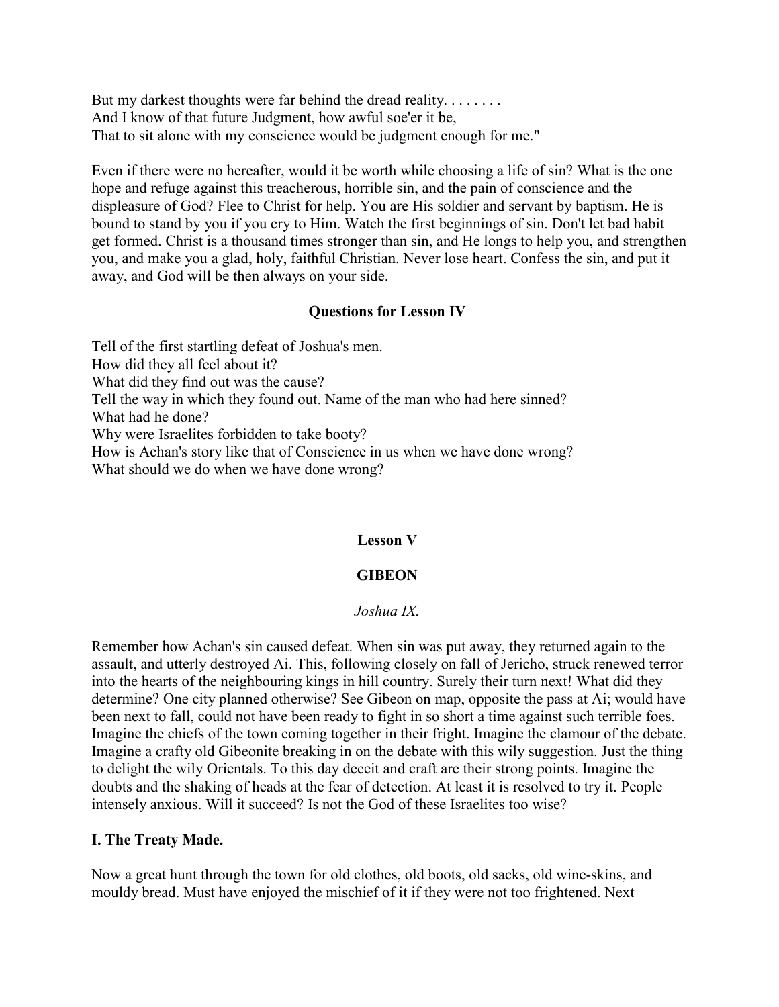But my darkest thoughts were far behind the dread reality. . . . . . . . . And I know of that future Judgment, how awful soe'er it be, That to sit alone with my conscience would be judgment enough for me."

Even if there were no hereafter, would it be worth while choosing a life of sin? What is the one hope and refuge against this treacherous, horrible sin, and the pain of conscience and the displeasure of God? Flee to Christ for help. You are His soldier and servant by baptism. He is bound to stand by you if you cry to Him. Watch the first beginnings of sin. Don't let bad habit get formed. Christ is a thousand times stronger than sin, and He longs to help you, and strengthen you, and make you a glad, holy, faithful Christian. Never lose heart. Confess the sin, and put it away, and God will be then always on your side.

## **Questions for Lesson IV**

Tell of the first startling defeat of Joshua's men. How did they all feel about it? What did they find out was the cause? Tell the way in which they found out. Name of the man who had here sinned? What had he done? Why were Israelites forbidden to take booty? How is Achan's story like that of Conscience in us when we have done wrong? What should we do when we have done wrong?

## **Lesson V**

# **GIBEON**

## *Joshua IX.*

Remember how Achan's sin caused defeat. When sin was put away, they returned again to the assault, and utterly destroyed Ai. This, following closely on fall of Jericho, struck renewed terror into the hearts of the neighbouring kings in hill country. Surely their turn next! What did they determine? One city planned otherwise? See Gibeon on map, opposite the pass at Ai; would have been next to fall, could not have been ready to fight in so short a time against such terrible foes. Imagine the chiefs of the town coming together in their fright. Imagine the clamour of the debate. Imagine a crafty old Gibeonite breaking in on the debate with this wily suggestion. Just the thing to delight the wily Orientals. To this day deceit and craft are their strong points. Imagine the doubts and the shaking of heads at the fear of detection. At least it is resolved to try it. People intensely anxious. Will it succeed? Is not the God of these Israelites too wise?

## **I. The Treaty Made.**

Now a great hunt through the town for old clothes, old boots, old sacks, old wine-skins, and mouldy bread. Must have enjoyed the mischief of it if they were not too frightened. Next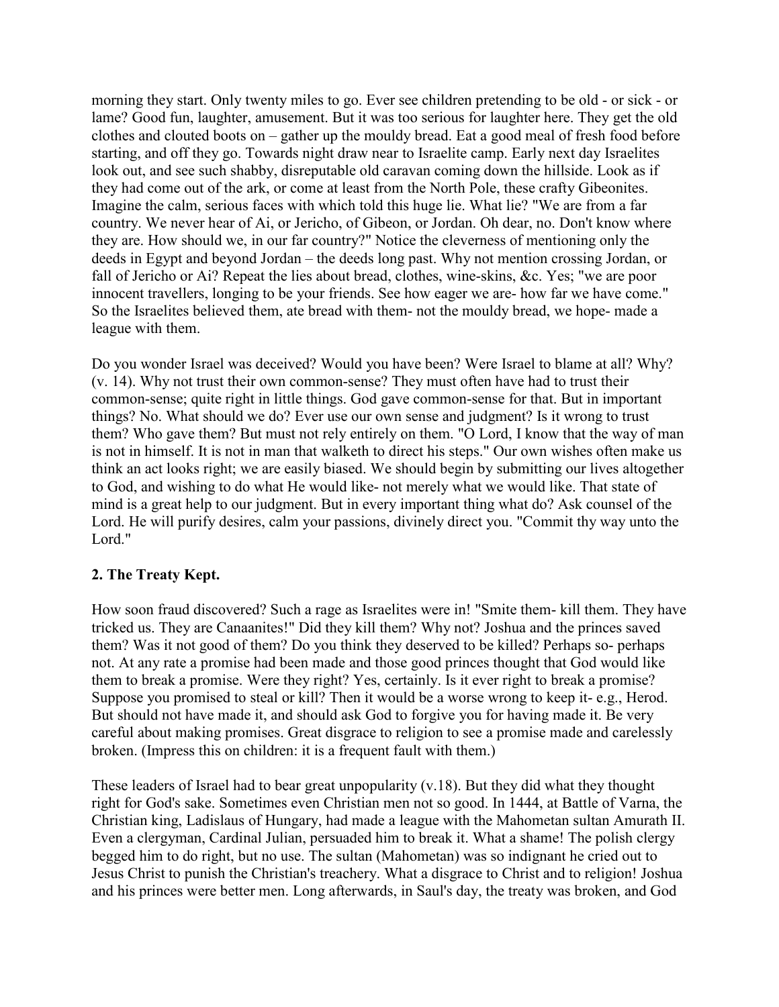morning they start. Only twenty miles to go. Ever see children pretending to be old - or sick - or lame? Good fun, laughter, amusement. But it was too serious for laughter here. They get the old clothes and clouted boots on – gather up the mouldy bread. Eat a good meal of fresh food before starting, and off they go. Towards night draw near to Israelite camp. Early next day Israelites look out, and see such shabby, disreputable old caravan coming down the hillside. Look as if they had come out of the ark, or come at least from the North Pole, these crafty Gibeonites. Imagine the calm, serious faces with which told this huge lie. What lie? "We are from a far country. We never hear of Ai, or Jericho, of Gibeon, or Jordan. Oh dear, no. Don't know where they are. How should we, in our far country?" Notice the cleverness of mentioning only the deeds in Egypt and beyond Jordan – the deeds long past. Why not mention crossing Jordan, or fall of Jericho or Ai? Repeat the lies about bread, clothes, wine-skins, &c. Yes; "we are poor innocent travellers, longing to be your friends. See how eager we are- how far we have come." So the Israelites believed them, ate bread with them- not the mouldy bread, we hope- made a league with them.

Do you wonder Israel was deceived? Would you have been? Were Israel to blame at all? Why? (v. 14). Why not trust their own common-sense? They must often have had to trust their common-sense; quite right in little things. God gave common-sense for that. But in important things? No. What should we do? Ever use our own sense and judgment? Is it wrong to trust them? Who gave them? But must not rely entirely on them. "O Lord, I know that the way of man is not in himself. It is not in man that walketh to direct his steps." Our own wishes often make us think an act looks right; we are easily biased. We should begin by submitting our lives altogether to God, and wishing to do what He would like- not merely what we would like. That state of mind is a great help to our judgment. But in every important thing what do? Ask counsel of the Lord. He will purify desires, calm your passions, divinely direct you. "Commit thy way unto the Lord."

## **2. The Treaty Kept.**

How soon fraud discovered? Such a rage as Israelites were in! "Smite them- kill them. They have tricked us. They are Canaanites!" Did they kill them? Why not? Joshua and the princes saved them? Was it not good of them? Do you think they deserved to be killed? Perhaps so- perhaps not. At any rate a promise had been made and those good princes thought that God would like them to break a promise. Were they right? Yes, certainly. Is it ever right to break a promise? Suppose you promised to steal or kill? Then it would be a worse wrong to keep it- e.g., Herod. But should not have made it, and should ask God to forgive you for having made it. Be very careful about making promises. Great disgrace to religion to see a promise made and carelessly broken. (Impress this on children: it is a frequent fault with them.)

These leaders of Israel had to bear great unpopularity (v.18). But they did what they thought right for God's sake. Sometimes even Christian men not so good. In 1444, at Battle of Varna, the Christian king, Ladislaus of Hungary, had made a league with the Mahometan sultan Amurath II. Even a clergyman, Cardinal Julian, persuaded him to break it. What a shame! The polish clergy begged him to do right, but no use. The sultan (Mahometan) was so indignant he cried out to Jesus Christ to punish the Christian's treachery. What a disgrace to Christ and to religion! Joshua and his princes were better men. Long afterwards, in Saul's day, the treaty was broken, and God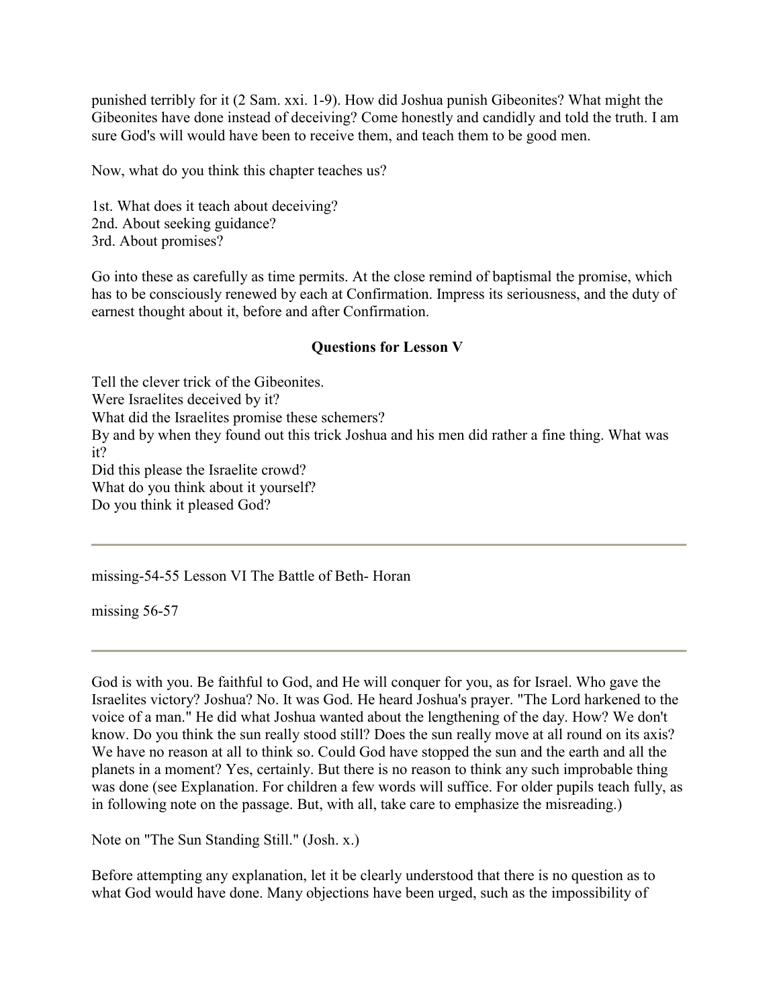punished terribly for it (2 Sam. xxi. 1-9). How did Joshua punish Gibeonites? What might the Gibeonites have done instead of deceiving? Come honestly and candidly and told the truth. I am sure God's will would have been to receive them, and teach them to be good men.

Now, what do you think this chapter teaches us?

1st. What does it teach about deceiving? 2nd. About seeking guidance? 3rd. About promises?

Go into these as carefully as time permits. At the close remind of baptismal the promise, which has to be consciously renewed by each at Confirmation. Impress its seriousness, and the duty of earnest thought about it, before and after Confirmation.

## **Questions for Lesson V**

Tell the clever trick of the Gibeonites. Were Israelites deceived by it? What did the Israelites promise these schemers? By and by when they found out this trick Joshua and his men did rather a fine thing. What was it? Did this please the Israelite crowd? What do you think about it yourself? Do you think it pleased God?

missing-54-55 Lesson VI The Battle of Beth- Horan

missing 56-57

God is with you. Be faithful to God, and He will conquer for you, as for Israel. Who gave the Israelites victory? Joshua? No. It was God. He heard Joshua's prayer. "The Lord harkened to the voice of a man." He did what Joshua wanted about the lengthening of the day. How? We don't know. Do you think the sun really stood still? Does the sun really move at all round on its axis? We have no reason at all to think so. Could God have stopped the sun and the earth and all the planets in a moment? Yes, certainly. But there is no reason to think any such improbable thing was done (see Explanation. For children a few words will suffice. For older pupils teach fully, as in following note on the passage. But, with all, take care to emphasize the misreading.)

Note on "The Sun Standing Still." (Josh. x.)

Before attempting any explanation, let it be clearly understood that there is no question as to what God would have done. Many objections have been urged, such as the impossibility of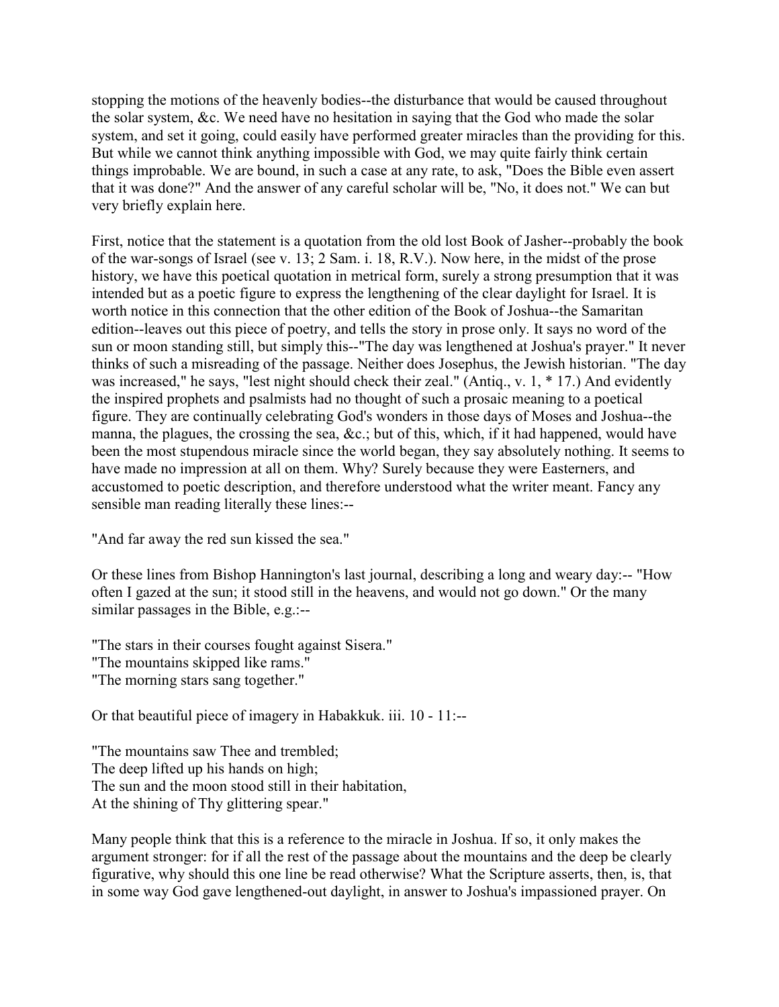stopping the motions of the heavenly bodies--the disturbance that would be caused throughout the solar system, &c. We need have no hesitation in saying that the God who made the solar system, and set it going, could easily have performed greater miracles than the providing for this. But while we cannot think anything impossible with God, we may quite fairly think certain things improbable. We are bound, in such a case at any rate, to ask, "Does the Bible even assert that it was done?" And the answer of any careful scholar will be, "No, it does not." We can but very briefly explain here.

First, notice that the statement is a quotation from the old lost Book of Jasher--probably the book of the war-songs of Israel (see v. 13; 2 Sam. i. 18, R.V.). Now here, in the midst of the prose history, we have this poetical quotation in metrical form, surely a strong presumption that it was intended but as a poetic figure to express the lengthening of the clear daylight for Israel. It is worth notice in this connection that the other edition of the Book of Joshua--the Samaritan edition--leaves out this piece of poetry, and tells the story in prose only. It says no word of the sun or moon standing still, but simply this--"The day was lengthened at Joshua's prayer." It never thinks of such a misreading of the passage. Neither does Josephus, the Jewish historian. "The day was increased," he says, "lest night should check their zeal." (Antiq., v. 1, \* 17.) And evidently the inspired prophets and psalmists had no thought of such a prosaic meaning to a poetical figure. They are continually celebrating God's wonders in those days of Moses and Joshua--the manna, the plagues, the crossing the sea, &c.; but of this, which, if it had happened, would have been the most stupendous miracle since the world began, they say absolutely nothing. It seems to have made no impression at all on them. Why? Surely because they were Easterners, and accustomed to poetic description, and therefore understood what the writer meant. Fancy any sensible man reading literally these lines:--

"And far away the red sun kissed the sea."

Or these lines from Bishop Hannington's last journal, describing a long and weary day:-- "How often I gazed at the sun; it stood still in the heavens, and would not go down." Or the many similar passages in the Bible, e.g.:--

"The stars in their courses fought against Sisera." "The mountains skipped like rams." "The morning stars sang together."

Or that beautiful piece of imagery in Habakkuk. iii. 10 - 11:--

"The mountains saw Thee and trembled; The deep lifted up his hands on high; The sun and the moon stood still in their habitation, At the shining of Thy glittering spear."

Many people think that this is a reference to the miracle in Joshua. If so, it only makes the argument stronger: for if all the rest of the passage about the mountains and the deep be clearly figurative, why should this one line be read otherwise? What the Scripture asserts, then, is, that in some way God gave lengthened-out daylight, in answer to Joshua's impassioned prayer. On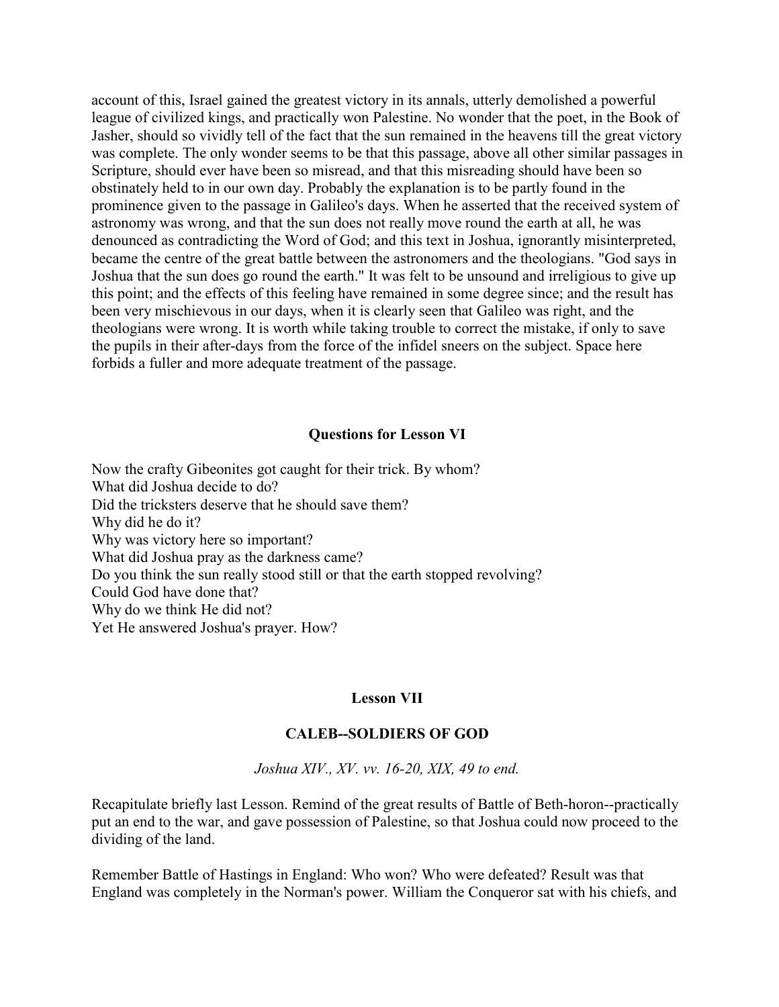account of this, Israel gained the greatest victory in its annals, utterly demolished a powerful league of civilized kings, and practically won Palestine. No wonder that the poet, in the Book of Jasher, should so vividly tell of the fact that the sun remained in the heavens till the great victory was complete. The only wonder seems to be that this passage, above all other similar passages in Scripture, should ever have been so misread, and that this misreading should have been so obstinately held to in our own day. Probably the explanation is to be partly found in the prominence given to the passage in Galileo's days. When he asserted that the received system of astronomy was wrong, and that the sun does not really move round the earth at all, he was denounced as contradicting the Word of God; and this text in Joshua, ignorantly misinterpreted, became the centre of the great battle between the astronomers and the theologians. "God says in Joshua that the sun does go round the earth." It was felt to be unsound and irreligious to give up this point; and the effects of this feeling have remained in some degree since; and the result has been very mischievous in our days, when it is clearly seen that Galileo was right, and the theologians were wrong. It is worth while taking trouble to correct the mistake, if only to save the pupils in their after-days from the force of the infidel sneers on the subject. Space here forbids a fuller and more adequate treatment of the passage.

### **Questions for Lesson VI**

Now the crafty Gibeonites got caught for their trick. By whom? What did Joshua decide to do? Did the tricksters deserve that he should save them? Why did he do it? Why was victory here so important? What did Joshua pray as the darkness came? Do you think the sun really stood still or that the earth stopped revolving? Could God have done that? Why do we think He did not? Yet He answered Joshua's prayer. How?

#### **Lesson VII**

#### **CALEB--SOLDIERS OF GOD**

*Joshua XIV., XV. vv. 16-20, XIX, 49 to end.*

Recapitulate briefly last Lesson. Remind of the great results of Battle of Beth-horon--practically put an end to the war, and gave possession of Palestine, so that Joshua could now proceed to the dividing of the land.

Remember Battle of Hastings in England: Who won? Who were defeated? Result was that England was completely in the Norman's power. William the Conqueror sat with his chiefs, and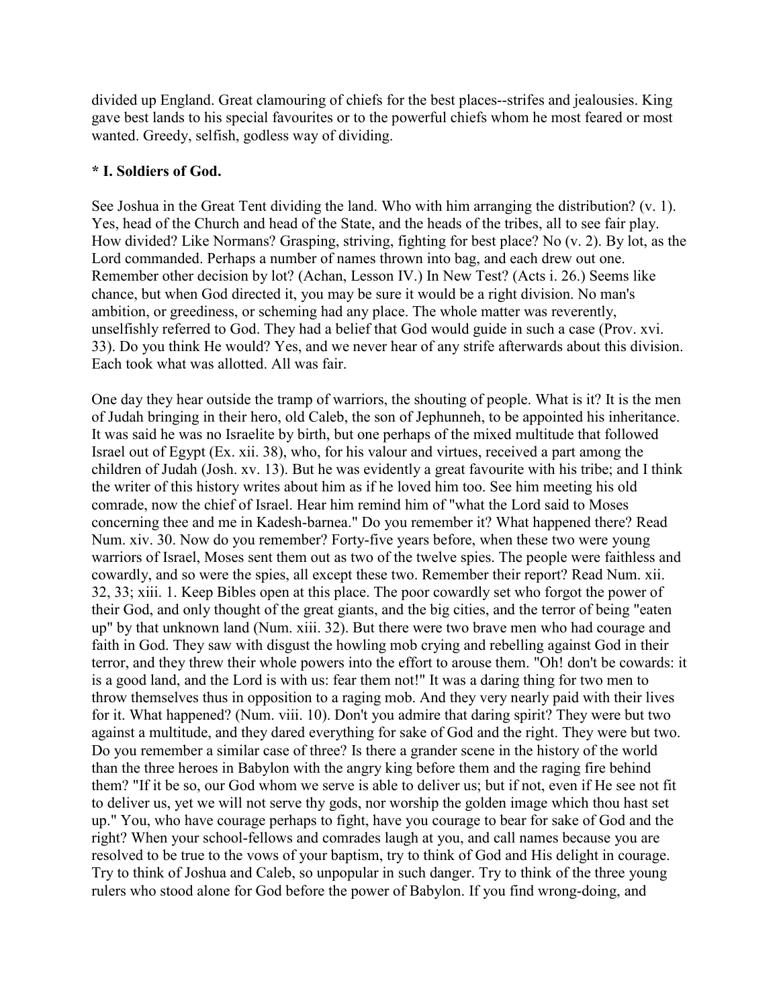divided up England. Great clamouring of chiefs for the best places--strifes and jealousies. King gave best lands to his special favourites or to the powerful chiefs whom he most feared or most wanted. Greedy, selfish, godless way of dividing.

## **\* I. Soldiers of God.**

See Joshua in the Great Tent dividing the land. Who with him arranging the distribution? (v. 1). Yes, head of the Church and head of the State, and the heads of the tribes, all to see fair play. How divided? Like Normans? Grasping, striving, fighting for best place? No (v. 2). By lot, as the Lord commanded. Perhaps a number of names thrown into bag, and each drew out one. Remember other decision by lot? (Achan, Lesson IV.) In New Test? (Acts i. 26.) Seems like chance, but when God directed it, you may be sure it would be a right division. No man's ambition, or greediness, or scheming had any place. The whole matter was reverently, unselfishly referred to God. They had a belief that God would guide in such a case (Prov. xvi. 33). Do you think He would? Yes, and we never hear of any strife afterwards about this division. Each took what was allotted. All was fair.

One day they hear outside the tramp of warriors, the shouting of people. What is it? It is the men of Judah bringing in their hero, old Caleb, the son of Jephunneh, to be appointed his inheritance. It was said he was no Israelite by birth, but one perhaps of the mixed multitude that followed Israel out of Egypt (Ex. xii. 38), who, for his valour and virtues, received a part among the children of Judah (Josh. xv. 13). But he was evidently a great favourite with his tribe; and I think the writer of this history writes about him as if he loved him too. See him meeting his old comrade, now the chief of Israel. Hear him remind him of "what the Lord said to Moses concerning thee and me in Kadesh-barnea." Do you remember it? What happened there? Read Num. xiv. 30. Now do you remember? Forty-five years before, when these two were young warriors of Israel, Moses sent them out as two of the twelve spies. The people were faithless and cowardly, and so were the spies, all except these two. Remember their report? Read Num. xii. 32, 33; xiii. 1. Keep Bibles open at this place. The poor cowardly set who forgot the power of their God, and only thought of the great giants, and the big cities, and the terror of being "eaten up" by that unknown land (Num. xiii. 32). But there were two brave men who had courage and faith in God. They saw with disgust the howling mob crying and rebelling against God in their terror, and they threw their whole powers into the effort to arouse them. "Oh! don't be cowards: it is a good land, and the Lord is with us: fear them not!" It was a daring thing for two men to throw themselves thus in opposition to a raging mob. And they very nearly paid with their lives for it. What happened? (Num. viii. 10). Don't you admire that daring spirit? They were but two against a multitude, and they dared everything for sake of God and the right. They were but two. Do you remember a similar case of three? Is there a grander scene in the history of the world than the three heroes in Babylon with the angry king before them and the raging fire behind them? "If it be so, our God whom we serve is able to deliver us; but if not, even if He see not fit to deliver us, yet we will not serve thy gods, nor worship the golden image which thou hast set up." You, who have courage perhaps to fight, have you courage to bear for sake of God and the right? When your school-fellows and comrades laugh at you, and call names because you are resolved to be true to the vows of your baptism, try to think of God and His delight in courage. Try to think of Joshua and Caleb, so unpopular in such danger. Try to think of the three young rulers who stood alone for God before the power of Babylon. If you find wrong-doing, and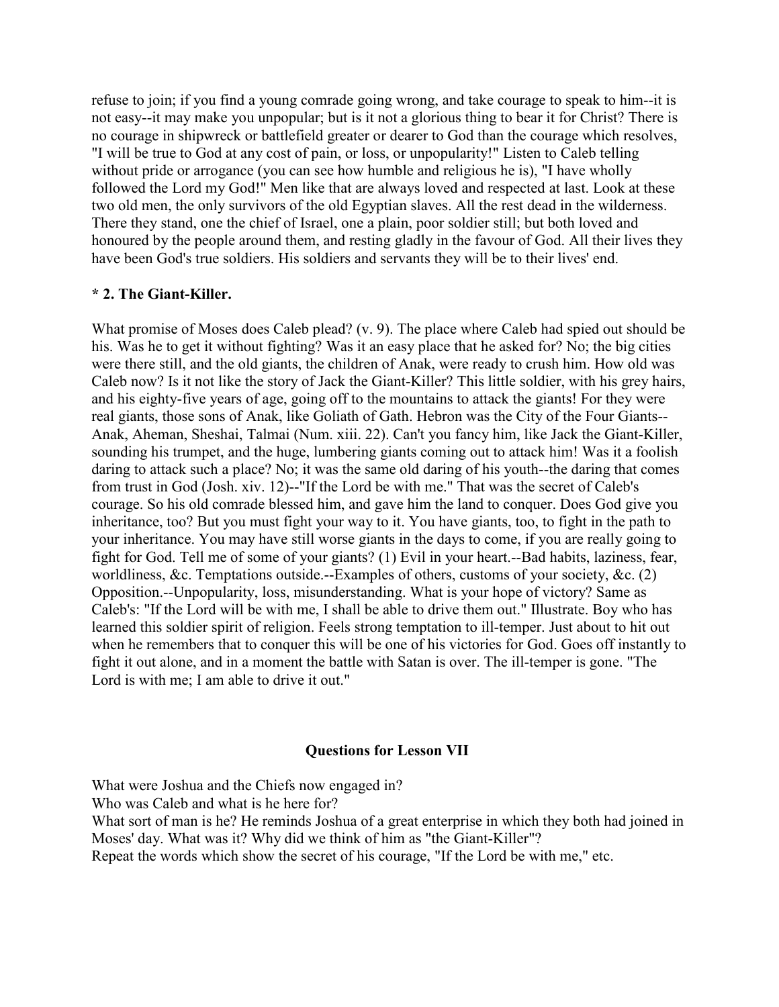refuse to join; if you find a young comrade going wrong, and take courage to speak to him--it is not easy--it may make you unpopular; but is it not a glorious thing to bear it for Christ? There is no courage in shipwreck or battlefield greater or dearer to God than the courage which resolves, "I will be true to God at any cost of pain, or loss, or unpopularity!" Listen to Caleb telling without pride or arrogance (you can see how humble and religious he is), "I have wholly followed the Lord my God!" Men like that are always loved and respected at last. Look at these two old men, the only survivors of the old Egyptian slaves. All the rest dead in the wilderness. There they stand, one the chief of Israel, one a plain, poor soldier still; but both loved and honoured by the people around them, and resting gladly in the favour of God. All their lives they have been God's true soldiers. His soldiers and servants they will be to their lives' end.

## **\* 2. The Giant-Killer.**

What promise of Moses does Caleb plead? (v. 9). The place where Caleb had spied out should be his. Was he to get it without fighting? Was it an easy place that he asked for? No; the big cities were there still, and the old giants, the children of Anak, were ready to crush him. How old was Caleb now? Is it not like the story of Jack the Giant-Killer? This little soldier, with his grey hairs, and his eighty-five years of age, going off to the mountains to attack the giants! For they were real giants, those sons of Anak, like Goliath of Gath. Hebron was the City of the Four Giants-- Anak, Aheman, Sheshai, Talmai (Num. xiii. 22). Can't you fancy him, like Jack the Giant-Killer, sounding his trumpet, and the huge, lumbering giants coming out to attack him! Was it a foolish daring to attack such a place? No; it was the same old daring of his youth--the daring that comes from trust in God (Josh. xiv. 12)--"If the Lord be with me." That was the secret of Caleb's courage. So his old comrade blessed him, and gave him the land to conquer. Does God give you inheritance, too? But you must fight your way to it. You have giants, too, to fight in the path to your inheritance. You may have still worse giants in the days to come, if you are really going to fight for God. Tell me of some of your giants? (1) Evil in your heart.--Bad habits, laziness, fear, worldliness, &c. Temptations outside.--Examples of others, customs of your society, &c. (2) Opposition.--Unpopularity, loss, misunderstanding. What is your hope of victory? Same as Caleb's: "If the Lord will be with me, I shall be able to drive them out." Illustrate. Boy who has learned this soldier spirit of religion. Feels strong temptation to ill-temper. Just about to hit out when he remembers that to conquer this will be one of his victories for God. Goes off instantly to fight it out alone, and in a moment the battle with Satan is over. The ill-temper is gone. "The Lord is with me; I am able to drive it out."

## **Questions for Lesson VII**

What were Joshua and the Chiefs now engaged in?

Who was Caleb and what is he here for?

What sort of man is he? He reminds Joshua of a great enterprise in which they both had joined in Moses' day. What was it? Why did we think of him as "the Giant-Killer"?

Repeat the words which show the secret of his courage, "If the Lord be with me," etc.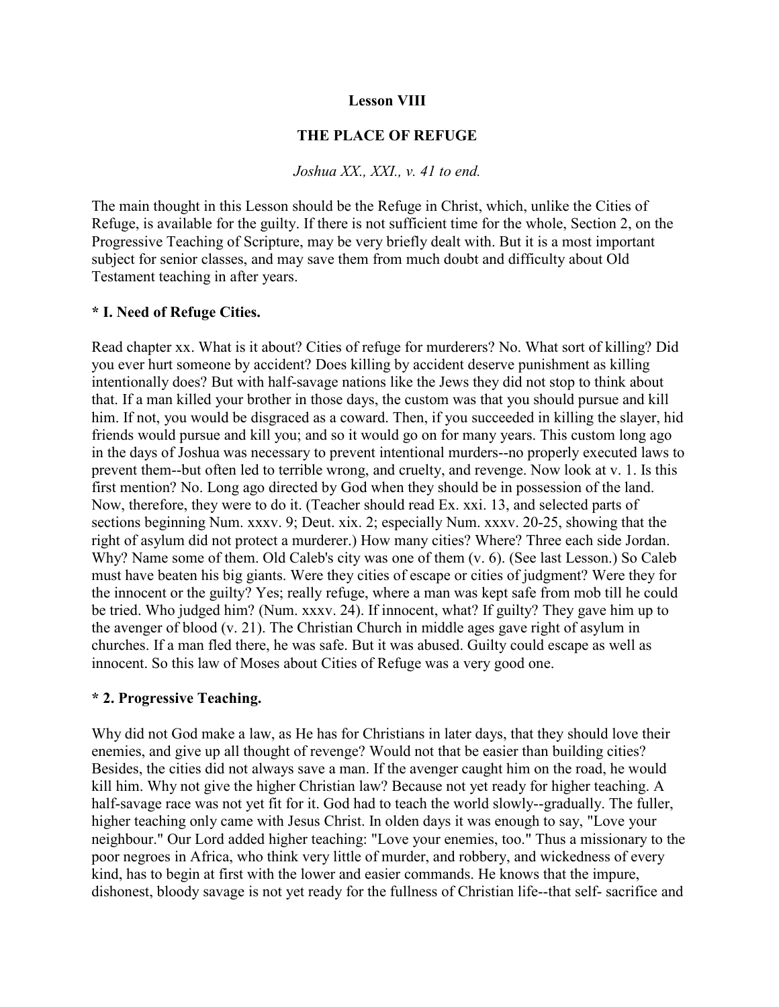## **Lesson VIII**

## **THE PLACE OF REFUGE**

#### *Joshua XX., XXI., v. 41 to end.*

The main thought in this Lesson should be the Refuge in Christ, which, unlike the Cities of Refuge, is available for the guilty. If there is not sufficient time for the whole, Section 2, on the Progressive Teaching of Scripture, may be very briefly dealt with. But it is a most important subject for senior classes, and may save them from much doubt and difficulty about Old Testament teaching in after years.

### **\* I. Need of Refuge Cities.**

Read chapter xx. What is it about? Cities of refuge for murderers? No. What sort of killing? Did you ever hurt someone by accident? Does killing by accident deserve punishment as killing intentionally does? But with half-savage nations like the Jews they did not stop to think about that. If a man killed your brother in those days, the custom was that you should pursue and kill him. If not, you would be disgraced as a coward. Then, if you succeeded in killing the slayer, hid friends would pursue and kill you; and so it would go on for many years. This custom long ago in the days of Joshua was necessary to prevent intentional murders--no properly executed laws to prevent them--but often led to terrible wrong, and cruelty, and revenge. Now look at v. 1. Is this first mention? No. Long ago directed by God when they should be in possession of the land. Now, therefore, they were to do it. (Teacher should read Ex. xxi. 13, and selected parts of sections beginning Num. xxxv. 9; Deut. xix. 2; especially Num. xxxv. 20-25, showing that the right of asylum did not protect a murderer.) How many cities? Where? Three each side Jordan. Why? Name some of them. Old Caleb's city was one of them  $(v. 6)$ . (See last Lesson.) So Caleb must have beaten his big giants. Were they cities of escape or cities of judgment? Were they for the innocent or the guilty? Yes; really refuge, where a man was kept safe from mob till he could be tried. Who judged him? (Num. xxxv. 24). If innocent, what? If guilty? They gave him up to the avenger of blood (v. 21). The Christian Church in middle ages gave right of asylum in churches. If a man fled there, he was safe. But it was abused. Guilty could escape as well as innocent. So this law of Moses about Cities of Refuge was a very good one.

## **\* 2. Progressive Teaching.**

Why did not God make a law, as He has for Christians in later days, that they should love their enemies, and give up all thought of revenge? Would not that be easier than building cities? Besides, the cities did not always save a man. If the avenger caught him on the road, he would kill him. Why not give the higher Christian law? Because not yet ready for higher teaching. A half-savage race was not yet fit for it. God had to teach the world slowly--gradually. The fuller, higher teaching only came with Jesus Christ. In olden days it was enough to say, "Love your neighbour." Our Lord added higher teaching: "Love your enemies, too." Thus a missionary to the poor negroes in Africa, who think very little of murder, and robbery, and wickedness of every kind, has to begin at first with the lower and easier commands. He knows that the impure, dishonest, bloody savage is not yet ready for the fullness of Christian life--that self- sacrifice and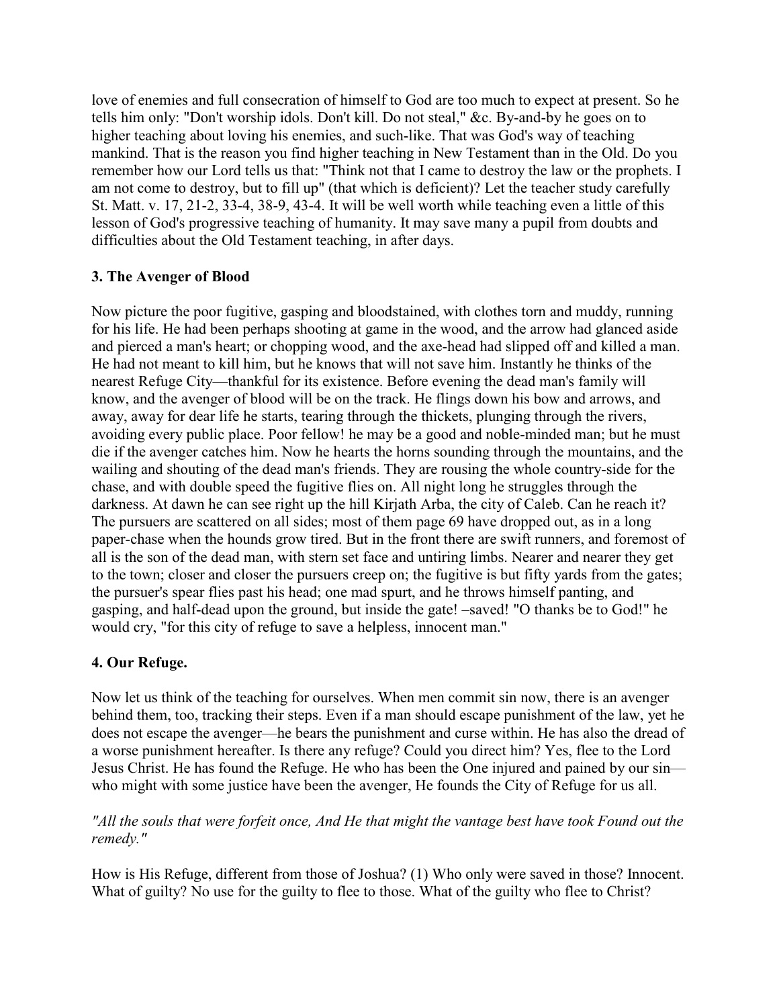love of enemies and full consecration of himself to God are too much to expect at present. So he tells him only: "Don't worship idols. Don't kill. Do not steal," &c. By-and-by he goes on to higher teaching about loving his enemies, and such-like. That was God's way of teaching mankind. That is the reason you find higher teaching in New Testament than in the Old. Do you remember how our Lord tells us that: "Think not that I came to destroy the law or the prophets. I am not come to destroy, but to fill up" (that which is deficient)? Let the teacher study carefully St. Matt. v. 17, 21-2, 33-4, 38-9, 43-4. It will be well worth while teaching even a little of this lesson of God's progressive teaching of humanity. It may save many a pupil from doubts and difficulties about the Old Testament teaching, in after days.

# **3. The Avenger of Blood**

Now picture the poor fugitive, gasping and bloodstained, with clothes torn and muddy, running for his life. He had been perhaps shooting at game in the wood, and the arrow had glanced aside and pierced a man's heart; or chopping wood, and the axe-head had slipped off and killed a man. He had not meant to kill him, but he knows that will not save him. Instantly he thinks of the nearest Refuge City—thankful for its existence. Before evening the dead man's family will know, and the avenger of blood will be on the track. He flings down his bow and arrows, and away, away for dear life he starts, tearing through the thickets, plunging through the rivers, avoiding every public place. Poor fellow! he may be a good and noble-minded man; but he must die if the avenger catches him. Now he hearts the horns sounding through the mountains, and the wailing and shouting of the dead man's friends. They are rousing the whole country-side for the chase, and with double speed the fugitive flies on. All night long he struggles through the darkness. At dawn he can see right up the hill Kirjath Arba, the city of Caleb. Can he reach it? The pursuers are scattered on all sides; most of them page 69 have dropped out, as in a long paper-chase when the hounds grow tired. But in the front there are swift runners, and foremost of all is the son of the dead man, with stern set face and untiring limbs. Nearer and nearer they get to the town; closer and closer the pursuers creep on; the fugitive is but fifty yards from the gates; the pursuer's spear flies past his head; one mad spurt, and he throws himself panting, and gasping, and half-dead upon the ground, but inside the gate! –saved! "O thanks be to God!" he would cry, "for this city of refuge to save a helpless, innocent man."

## **4. Our Refuge.**

Now let us think of the teaching for ourselves. When men commit sin now, there is an avenger behind them, too, tracking their steps. Even if a man should escape punishment of the law, yet he does not escape the avenger—he bears the punishment and curse within. He has also the dread of a worse punishment hereafter. Is there any refuge? Could you direct him? Yes, flee to the Lord Jesus Christ. He has found the Refuge. He who has been the One injured and pained by our sin who might with some justice have been the avenger, He founds the City of Refuge for us all.

## *"All the souls that were forfeit once, And He that might the vantage best have took Found out the remedy."*

How is His Refuge, different from those of Joshua? (1) Who only were saved in those? Innocent. What of guilty? No use for the guilty to flee to those. What of the guilty who flee to Christ?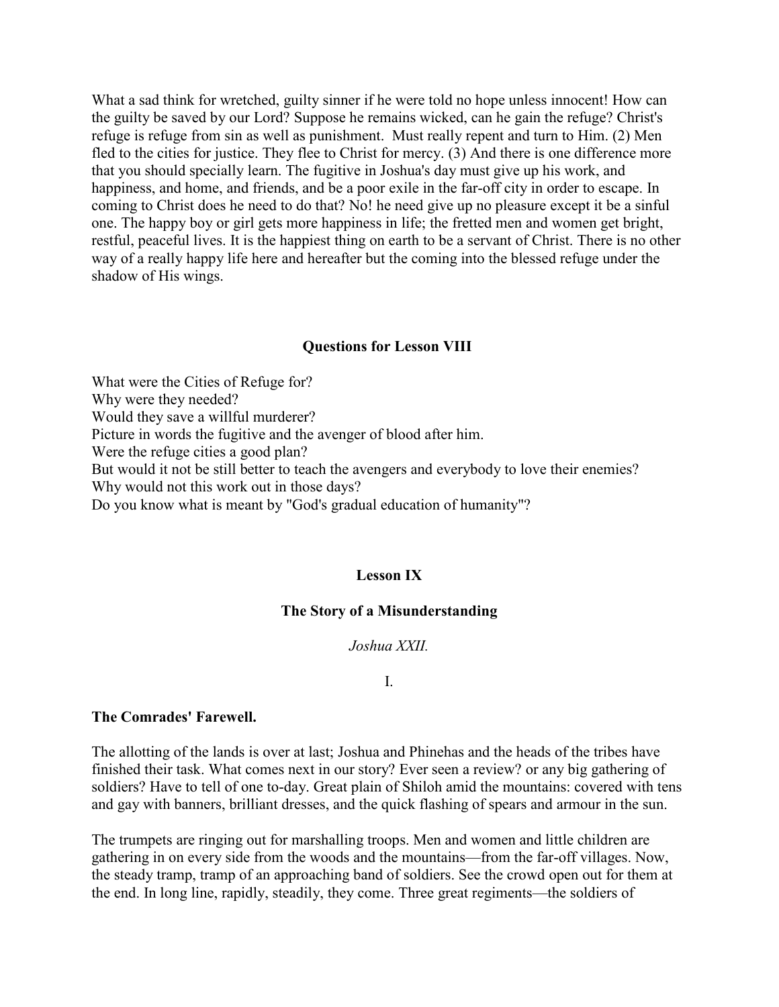What a sad think for wretched, guilty sinner if he were told no hope unless innocent! How can the guilty be saved by our Lord? Suppose he remains wicked, can he gain the refuge? Christ's refuge is refuge from sin as well as punishment. Must really repent and turn to Him. (2) Men fled to the cities for justice. They flee to Christ for mercy. (3) And there is one difference more that you should specially learn. The fugitive in Joshua's day must give up his work, and happiness, and home, and friends, and be a poor exile in the far-off city in order to escape. In coming to Christ does he need to do that? No! he need give up no pleasure except it be a sinful one. The happy boy or girl gets more happiness in life; the fretted men and women get bright, restful, peaceful lives. It is the happiest thing on earth to be a servant of Christ. There is no other way of a really happy life here and hereafter but the coming into the blessed refuge under the shadow of His wings.

#### **Questions for Lesson VIII**

What were the Cities of Refuge for? Why were they needed? Would they save a willful murderer? Picture in words the fugitive and the avenger of blood after him. Were the refuge cities a good plan? But would it not be still better to teach the avengers and everybody to love their enemies? Why would not this work out in those days? Do you know what is meant by "God's gradual education of humanity"?

### **Lesson IX**

### **The Story of a Misunderstanding**

#### *Joshua XXII.*

#### I.

#### **The Comrades' Farewell.**

The allotting of the lands is over at last; Joshua and Phinehas and the heads of the tribes have finished their task. What comes next in our story? Ever seen a review? or any big gathering of soldiers? Have to tell of one to-day. Great plain of Shiloh amid the mountains: covered with tens and gay with banners, brilliant dresses, and the quick flashing of spears and armour in the sun.

The trumpets are ringing out for marshalling troops. Men and women and little children are gathering in on every side from the woods and the mountains—from the far-off villages. Now, the steady tramp, tramp of an approaching band of soldiers. See the crowd open out for them at the end. In long line, rapidly, steadily, they come. Three great regiments—the soldiers of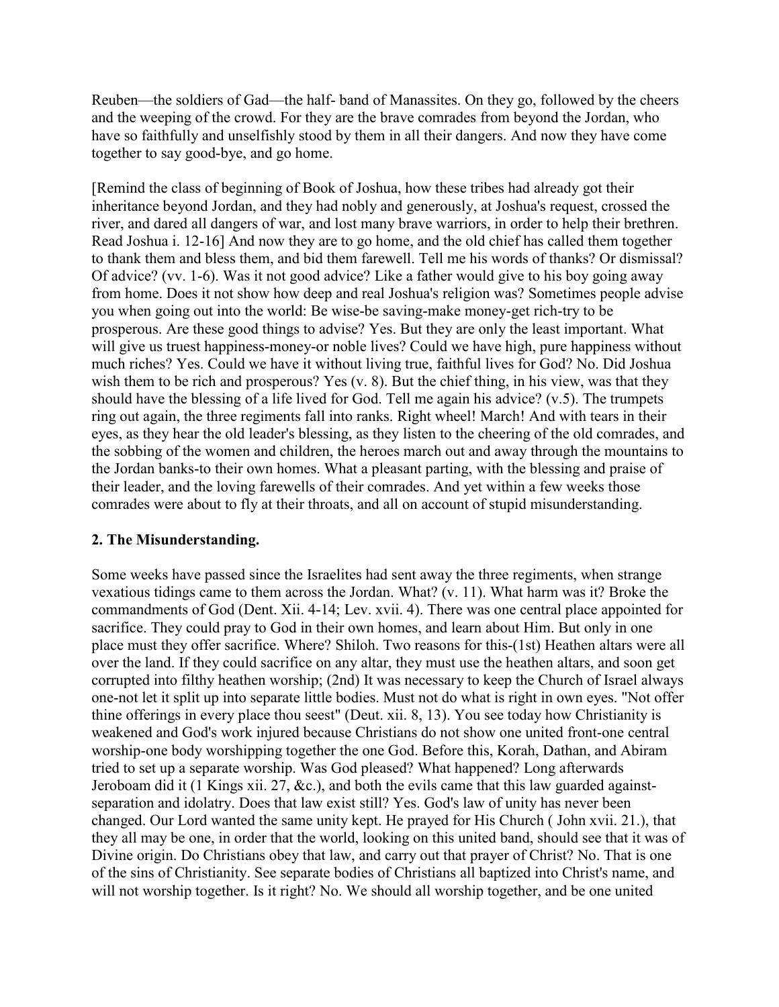Reuben—the soldiers of Gad—the half- band of Manassites. On they go, followed by the cheers and the weeping of the crowd. For they are the brave comrades from beyond the Jordan, who have so faithfully and unselfishly stood by them in all their dangers. And now they have come together to say good-bye, and go home.

[Remind the class of beginning of Book of Joshua, how these tribes had already got their inheritance beyond Jordan, and they had nobly and generously, at Joshua's request, crossed the river, and dared all dangers of war, and lost many brave warriors, in order to help their brethren. Read Joshua i. 12-16] And now they are to go home, and the old chief has called them together to thank them and bless them, and bid them farewell. Tell me his words of thanks? Or dismissal? Of advice? (vv. 1-6). Was it not good advice? Like a father would give to his boy going away from home. Does it not show how deep and real Joshua's religion was? Sometimes people advise you when going out into the world: Be wise-be saving-make money-get rich-try to be prosperous. Are these good things to advise? Yes. But they are only the least important. What will give us truest happiness-money-or noble lives? Could we have high, pure happiness without much riches? Yes. Could we have it without living true, faithful lives for God? No. Did Joshua wish them to be rich and prosperous? Yes (v. 8). But the chief thing, in his view, was that they should have the blessing of a life lived for God. Tell me again his advice? (v.5). The trumpets ring out again, the three regiments fall into ranks. Right wheel! March! And with tears in their eyes, as they hear the old leader's blessing, as they listen to the cheering of the old comrades, and the sobbing of the women and children, the heroes march out and away through the mountains to the Jordan banks-to their own homes. What a pleasant parting, with the blessing and praise of their leader, and the loving farewells of their comrades. And yet within a few weeks those comrades were about to fly at their throats, and all on account of stupid misunderstanding.

## **2. The Misunderstanding.**

Some weeks have passed since the Israelites had sent away the three regiments, when strange vexatious tidings came to them across the Jordan. What? (v. 11). What harm was it? Broke the commandments of God (Dent. Xii. 4-14; Lev. xvii. 4). There was one central place appointed for sacrifice. They could pray to God in their own homes, and learn about Him. But only in one place must they offer sacrifice. Where? Shiloh. Two reasons for this-(1st) Heathen altars were all over the land. If they could sacrifice on any altar, they must use the heathen altars, and soon get corrupted into filthy heathen worship; (2nd) It was necessary to keep the Church of Israel always one-not let it split up into separate little bodies. Must not do what is right in own eyes. "Not offer thine offerings in every place thou seest" (Deut. xii. 8, 13). You see today how Christianity is weakened and God's work injured because Christians do not show one united front-one central worship-one body worshipping together the one God. Before this, Korah, Dathan, and Abiram tried to set up a separate worship. Was God pleased? What happened? Long afterwards Jeroboam did it (1 Kings xii. 27, &c.), and both the evils came that this law guarded againstseparation and idolatry. Does that law exist still? Yes. God's law of unity has never been changed. Our Lord wanted the same unity kept. He prayed for His Church ( John xvii. 21.), that they all may be one, in order that the world, looking on this united band, should see that it was of Divine origin. Do Christians obey that law, and carry out that prayer of Christ? No. That is one of the sins of Christianity. See separate bodies of Christians all baptized into Christ's name, and will not worship together. Is it right? No. We should all worship together, and be one united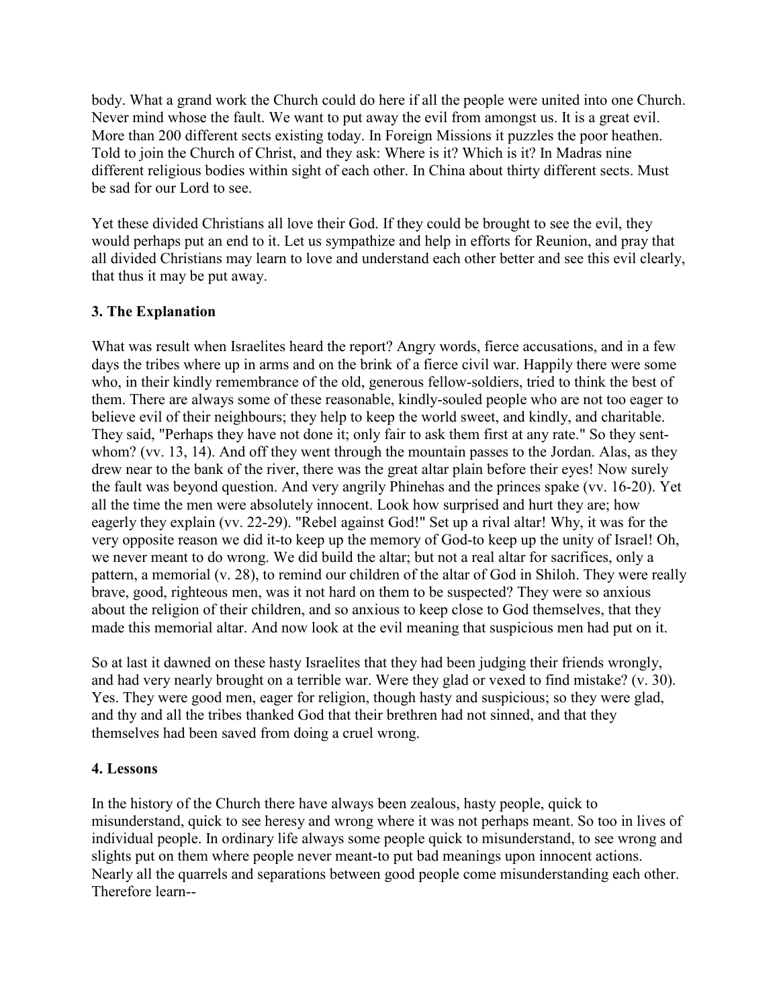body. What a grand work the Church could do here if all the people were united into one Church. Never mind whose the fault. We want to put away the evil from amongst us. It is a great evil. More than 200 different sects existing today. In Foreign Missions it puzzles the poor heathen. Told to join the Church of Christ, and they ask: Where is it? Which is it? In Madras nine different religious bodies within sight of each other. In China about thirty different sects. Must be sad for our Lord to see.

Yet these divided Christians all love their God. If they could be brought to see the evil, they would perhaps put an end to it. Let us sympathize and help in efforts for Reunion, and pray that all divided Christians may learn to love and understand each other better and see this evil clearly, that thus it may be put away.

# **3. The Explanation**

What was result when Israelites heard the report? Angry words, fierce accusations, and in a few days the tribes where up in arms and on the brink of a fierce civil war. Happily there were some who, in their kindly remembrance of the old, generous fellow-soldiers, tried to think the best of them. There are always some of these reasonable, kindly-souled people who are not too eager to believe evil of their neighbours; they help to keep the world sweet, and kindly, and charitable. They said, "Perhaps they have not done it; only fair to ask them first at any rate." So they sentwhom? (vv. 13, 14). And off they went through the mountain passes to the Jordan. Alas, as they drew near to the bank of the river, there was the great altar plain before their eyes! Now surely the fault was beyond question. And very angrily Phinehas and the princes spake (vv. 16-20). Yet all the time the men were absolutely innocent. Look how surprised and hurt they are; how eagerly they explain (vv. 22-29). "Rebel against God!" Set up a rival altar! Why, it was for the very opposite reason we did it-to keep up the memory of God-to keep up the unity of Israel! Oh, we never meant to do wrong. We did build the altar; but not a real altar for sacrifices, only a pattern, a memorial (v. 28), to remind our children of the altar of God in Shiloh. They were really brave, good, righteous men, was it not hard on them to be suspected? They were so anxious about the religion of their children, and so anxious to keep close to God themselves, that they made this memorial altar. And now look at the evil meaning that suspicious men had put on it.

So at last it dawned on these hasty Israelites that they had been judging their friends wrongly, and had very nearly brought on a terrible war. Were they glad or vexed to find mistake? (v. 30). Yes. They were good men, eager for religion, though hasty and suspicious; so they were glad, and thy and all the tribes thanked God that their brethren had not sinned, and that they themselves had been saved from doing a cruel wrong.

## **4. Lessons**

In the history of the Church there have always been zealous, hasty people, quick to misunderstand, quick to see heresy and wrong where it was not perhaps meant. So too in lives of individual people. In ordinary life always some people quick to misunderstand, to see wrong and slights put on them where people never meant-to put bad meanings upon innocent actions. Nearly all the quarrels and separations between good people come misunderstanding each other. Therefore learn--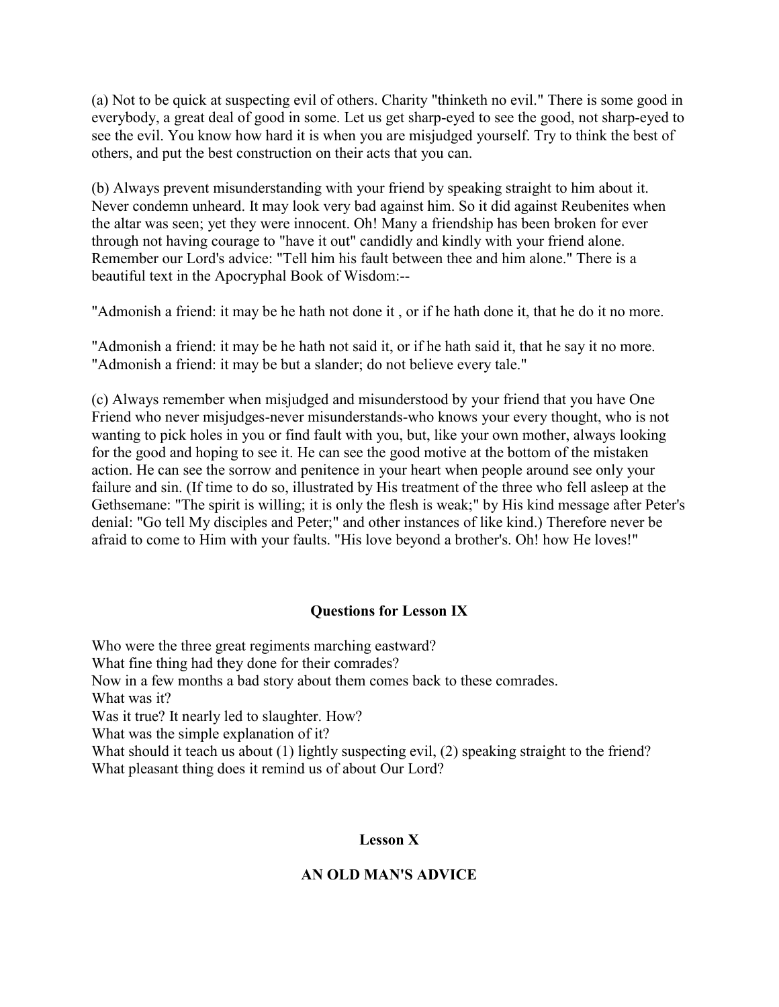(a) Not to be quick at suspecting evil of others. Charity "thinketh no evil." There is some good in everybody, a great deal of good in some. Let us get sharp-eyed to see the good, not sharp-eyed to see the evil. You know how hard it is when you are misjudged yourself. Try to think the best of others, and put the best construction on their acts that you can.

(b) Always prevent misunderstanding with your friend by speaking straight to him about it. Never condemn unheard. It may look very bad against him. So it did against Reubenites when the altar was seen; yet they were innocent. Oh! Many a friendship has been broken for ever through not having courage to "have it out" candidly and kindly with your friend alone. Remember our Lord's advice: "Tell him his fault between thee and him alone." There is a beautiful text in the Apocryphal Book of Wisdom:--

"Admonish a friend: it may be he hath not done it , or if he hath done it, that he do it no more.

"Admonish a friend: it may be he hath not said it, or if he hath said it, that he say it no more. "Admonish a friend: it may be but a slander; do not believe every tale."

(c) Always remember when misjudged and misunderstood by your friend that you have One Friend who never misjudges-never misunderstands-who knows your every thought, who is not wanting to pick holes in you or find fault with you, but, like your own mother, always looking for the good and hoping to see it. He can see the good motive at the bottom of the mistaken action. He can see the sorrow and penitence in your heart when people around see only your failure and sin. (If time to do so, illustrated by His treatment of the three who fell asleep at the Gethsemane: "The spirit is willing; it is only the flesh is weak;" by His kind message after Peter's denial: "Go tell My disciples and Peter;" and other instances of like kind.) Therefore never be afraid to come to Him with your faults. "His love beyond a brother's. Oh! how He loves!"

## **Questions for Lesson IX**

Who were the three great regiments marching eastward? What fine thing had they done for their comrades? Now in a few months a bad story about them comes back to these comrades. What was it? Was it true? It nearly led to slaughter. How? What was the simple explanation of it? What should it teach us about (1) lightly suspecting evil, (2) speaking straight to the friend? What pleasant thing does it remind us of about Our Lord?

### **Lesson X**

### **AN OLD MAN'S ADVICE**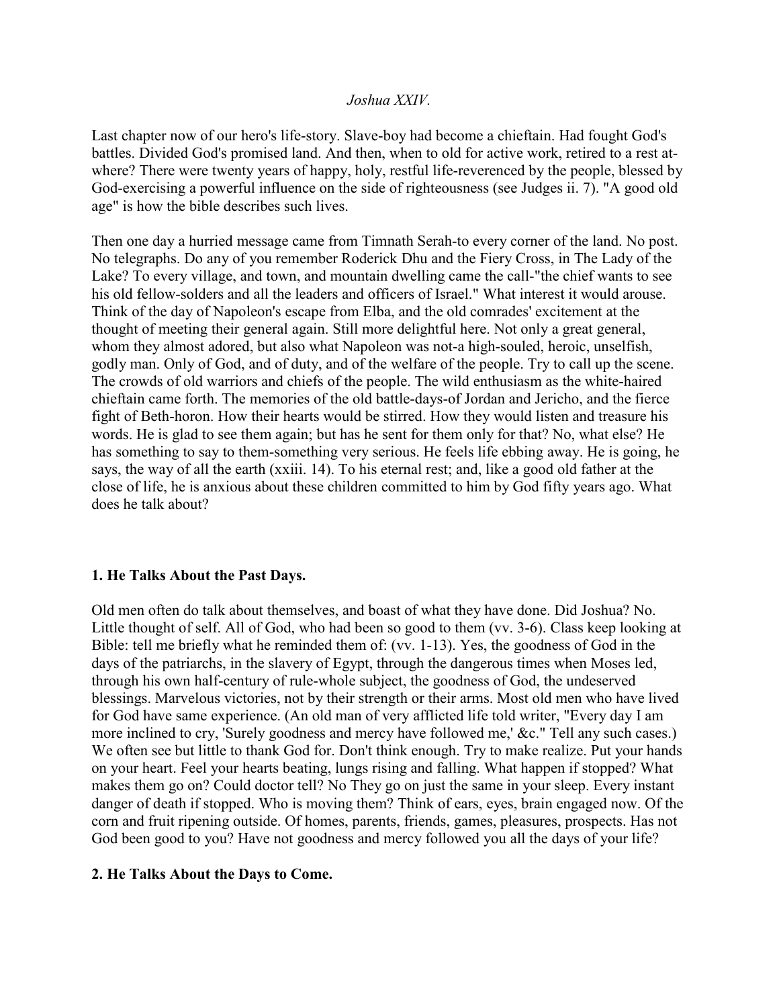### *Joshua XXIV.*

Last chapter now of our hero's life-story. Slave-boy had become a chieftain. Had fought God's battles. Divided God's promised land. And then, when to old for active work, retired to a rest atwhere? There were twenty years of happy, holy, restful life-reverenced by the people, blessed by God-exercising a powerful influence on the side of righteousness (see Judges ii. 7). "A good old age" is how the bible describes such lives.

Then one day a hurried message came from Timnath Serah-to every corner of the land. No post. No telegraphs. Do any of you remember Roderick Dhu and the Fiery Cross, in The Lady of the Lake? To every village, and town, and mountain dwelling came the call-"the chief wants to see his old fellow-solders and all the leaders and officers of Israel." What interest it would arouse. Think of the day of Napoleon's escape from Elba, and the old comrades' excitement at the thought of meeting their general again. Still more delightful here. Not only a great general, whom they almost adored, but also what Napoleon was not-a high-souled, heroic, unselfish, godly man. Only of God, and of duty, and of the welfare of the people. Try to call up the scene. The crowds of old warriors and chiefs of the people. The wild enthusiasm as the white-haired chieftain came forth. The memories of the old battle-days-of Jordan and Jericho, and the fierce fight of Beth-horon. How their hearts would be stirred. How they would listen and treasure his words. He is glad to see them again; but has he sent for them only for that? No, what else? He has something to say to them-something very serious. He feels life ebbing away. He is going, he says, the way of all the earth (xxiii. 14). To his eternal rest; and, like a good old father at the close of life, he is anxious about these children committed to him by God fifty years ago. What does he talk about?

#### **1. He Talks About the Past Days.**

Old men often do talk about themselves, and boast of what they have done. Did Joshua? No. Little thought of self. All of God, who had been so good to them (vv. 3-6). Class keep looking at Bible: tell me briefly what he reminded them of: (vv. 1-13). Yes, the goodness of God in the days of the patriarchs, in the slavery of Egypt, through the dangerous times when Moses led, through his own half-century of rule-whole subject, the goodness of God, the undeserved blessings. Marvelous victories, not by their strength or their arms. Most old men who have lived for God have same experience. (An old man of very afflicted life told writer, "Every day I am more inclined to cry, 'Surely goodness and mercy have followed me,' &c." Tell any such cases.) We often see but little to thank God for. Don't think enough. Try to make realize. Put your hands on your heart. Feel your hearts beating, lungs rising and falling. What happen if stopped? What makes them go on? Could doctor tell? No They go on just the same in your sleep. Every instant danger of death if stopped. Who is moving them? Think of ears, eyes, brain engaged now. Of the corn and fruit ripening outside. Of homes, parents, friends, games, pleasures, prospects. Has not God been good to you? Have not goodness and mercy followed you all the days of your life?

#### **2. He Talks About the Days to Come.**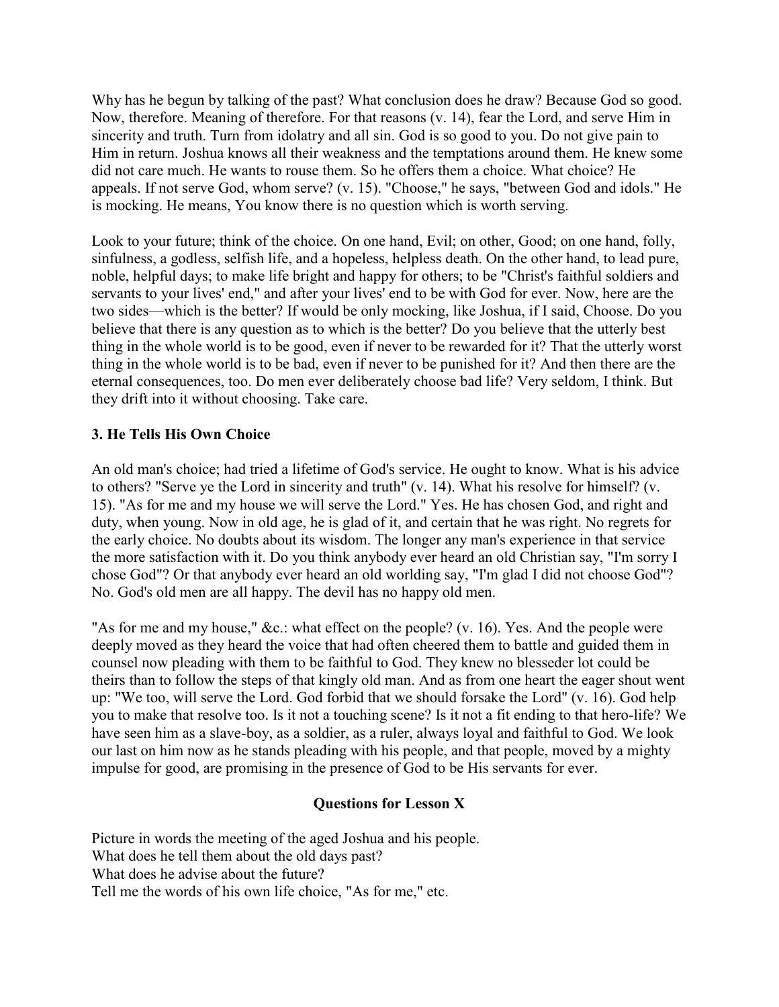Why has he begun by talking of the past? What conclusion does he draw? Because God so good. Now, therefore. Meaning of therefore. For that reasons (v. 14), fear the Lord, and serve Him in sincerity and truth. Turn from idolatry and all sin. God is so good to you. Do not give pain to Him in return. Joshua knows all their weakness and the temptations around them. He knew some did not care much. He wants to rouse them. So he offers them a choice. What choice? He appeals. If not serve God, whom serve? (v. 15). "Choose," he says, "between God and idols." He is mocking. He means, You know there is no question which is worth serving.

Look to your future; think of the choice. On one hand, Evil; on other, Good; on one hand, folly, sinfulness, a godless, selfish life, and a hopeless, helpless death. On the other hand, to lead pure, noble, helpful days; to make life bright and happy for others; to be "Christ's faithful soldiers and servants to your lives' end," and after your lives' end to be with God for ever. Now, here are the two sides—which is the better? If would be only mocking, like Joshua, if I said, Choose. Do you believe that there is any question as to which is the better? Do you believe that the utterly best thing in the whole world is to be good, even if never to be rewarded for it? That the utterly worst thing in the whole world is to be bad, even if never to be punished for it? And then there are the eternal consequences, too. Do men ever deliberately choose bad life? Very seldom, I think. But they drift into it without choosing. Take care.

# **3. He Tells His Own Choice**

An old man's choice; had tried a lifetime of God's service. He ought to know. What is his advice to others? "Serve ye the Lord in sincerity and truth" (v. 14). What his resolve for himself? (v. 15). "As for me and my house we will serve the Lord." Yes. He has chosen God, and right and duty, when young. Now in old age, he is glad of it, and certain that he was right. No regrets for the early choice. No doubts about its wisdom. The longer any man's experience in that service the more satisfaction with it. Do you think anybody ever heard an old Christian say, "I'm sorry I chose God"? Or that anybody ever heard an old worlding say, "I'm glad I did not choose God"? No. God's old men are all happy. The devil has no happy old men.

"As for me and my house," &c.: what effect on the people? (v. 16). Yes. And the people were deeply moved as they heard the voice that had often cheered them to battle and guided them in counsel now pleading with them to be faithful to God. They knew no blesseder lot could be theirs than to follow the steps of that kingly old man. And as from one heart the eager shout went up: "We too, will serve the Lord. God forbid that we should forsake the Lord" (v. 16). God help you to make that resolve too. Is it not a touching scene? Is it not a fit ending to that hero-life? We have seen him as a slave-boy, as a soldier, as a ruler, always loyal and faithful to God. We look our last on him now as he stands pleading with his people, and that people, moved by a mighty impulse for good, are promising in the presence of God to be His servants for ever.

# **Questions for Lesson X**

Picture in words the meeting of the aged Joshua and his people. What does he tell them about the old days past? What does he advise about the future? Tell me the words of his own life choice, "As for me," etc.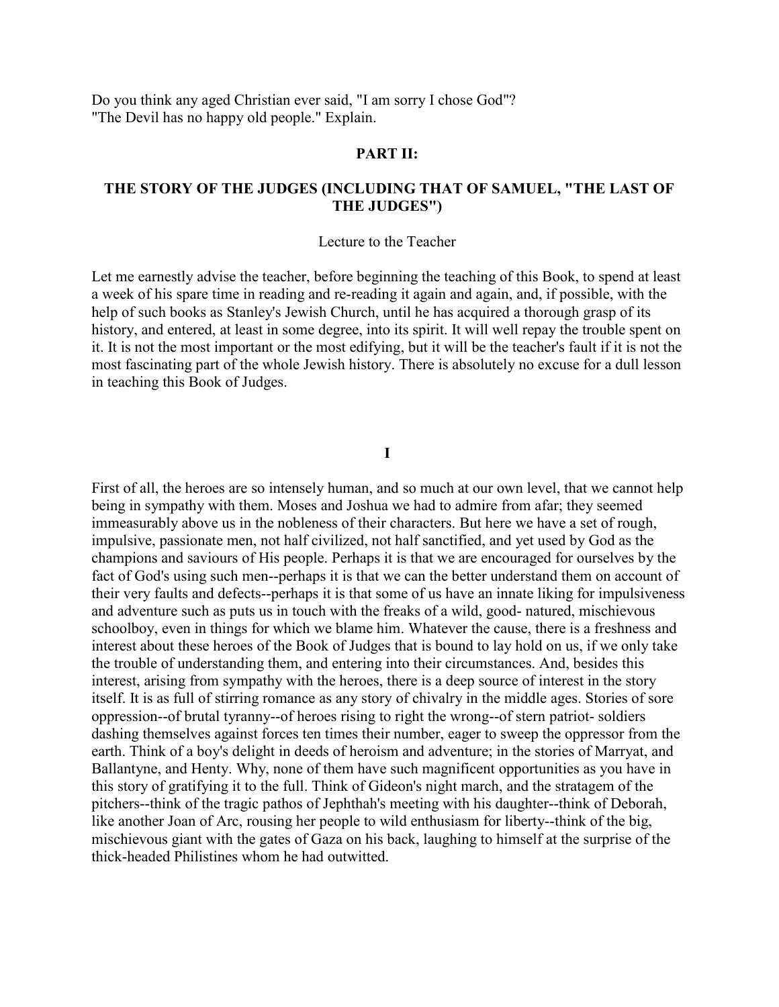Do you think any aged Christian ever said, "I am sorry I chose God"? "The Devil has no happy old people." Explain.

#### **PART II:**

## **THE STORY OF THE JUDGES (INCLUDING THAT OF SAMUEL, "THE LAST OF THE JUDGES")**

#### Lecture to the Teacher

Let me earnestly advise the teacher, before beginning the teaching of this Book, to spend at least a week of his spare time in reading and re-reading it again and again, and, if possible, with the help of such books as Stanley's Jewish Church, until he has acquired a thorough grasp of its history, and entered, at least in some degree, into its spirit. It will well repay the trouble spent on it. It is not the most important or the most edifying, but it will be the teacher's fault if it is not the most fascinating part of the whole Jewish history. There is absolutely no excuse for a dull lesson in teaching this Book of Judges.

**I** 

First of all, the heroes are so intensely human, and so much at our own level, that we cannot help being in sympathy with them. Moses and Joshua we had to admire from afar; they seemed immeasurably above us in the nobleness of their characters. But here we have a set of rough, impulsive, passionate men, not half civilized, not half sanctified, and yet used by God as the champions and saviours of His people. Perhaps it is that we are encouraged for ourselves by the fact of God's using such men--perhaps it is that we can the better understand them on account of their very faults and defects--perhaps it is that some of us have an innate liking for impulsiveness and adventure such as puts us in touch with the freaks of a wild, good- natured, mischievous schoolboy, even in things for which we blame him. Whatever the cause, there is a freshness and interest about these heroes of the Book of Judges that is bound to lay hold on us, if we only take the trouble of understanding them, and entering into their circumstances. And, besides this interest, arising from sympathy with the heroes, there is a deep source of interest in the story itself. It is as full of stirring romance as any story of chivalry in the middle ages. Stories of sore oppression--of brutal tyranny--of heroes rising to right the wrong--of stern patriot- soldiers dashing themselves against forces ten times their number, eager to sweep the oppressor from the earth. Think of a boy's delight in deeds of heroism and adventure; in the stories of Marryat, and Ballantyne, and Henty. Why, none of them have such magnificent opportunities as you have in this story of gratifying it to the full. Think of Gideon's night march, and the stratagem of the pitchers--think of the tragic pathos of Jephthah's meeting with his daughter--think of Deborah, like another Joan of Arc, rousing her people to wild enthusiasm for liberty--think of the big, mischievous giant with the gates of Gaza on his back, laughing to himself at the surprise of the thick-headed Philistines whom he had outwitted.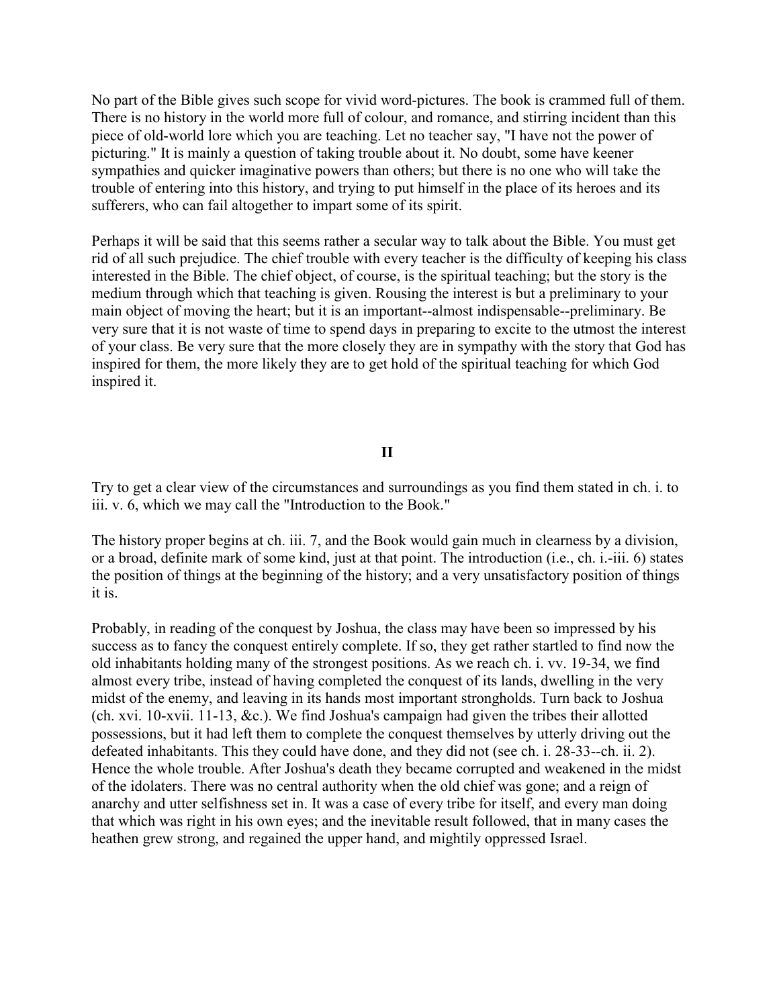No part of the Bible gives such scope for vivid word-pictures. The book is crammed full of them. There is no history in the world more full of colour, and romance, and stirring incident than this piece of old-world lore which you are teaching. Let no teacher say, "I have not the power of picturing." It is mainly a question of taking trouble about it. No doubt, some have keener sympathies and quicker imaginative powers than others; but there is no one who will take the trouble of entering into this history, and trying to put himself in the place of its heroes and its sufferers, who can fail altogether to impart some of its spirit.

Perhaps it will be said that this seems rather a secular way to talk about the Bible. You must get rid of all such prejudice. The chief trouble with every teacher is the difficulty of keeping his class interested in the Bible. The chief object, of course, is the spiritual teaching; but the story is the medium through which that teaching is given. Rousing the interest is but a preliminary to your main object of moving the heart; but it is an important--almost indispensable--preliminary. Be very sure that it is not waste of time to spend days in preparing to excite to the utmost the interest of your class. Be very sure that the more closely they are in sympathy with the story that God has inspired for them, the more likely they are to get hold of the spiritual teaching for which God inspired it.

#### **II**

Try to get a clear view of the circumstances and surroundings as you find them stated in ch. i. to iii. v. 6, which we may call the "Introduction to the Book."

The history proper begins at ch. iii. 7, and the Book would gain much in clearness by a division, or a broad, definite mark of some kind, just at that point. The introduction (i.e., ch. i.-iii. 6) states the position of things at the beginning of the history; and a very unsatisfactory position of things it is.

Probably, in reading of the conquest by Joshua, the class may have been so impressed by his success as to fancy the conquest entirely complete. If so, they get rather startled to find now the old inhabitants holding many of the strongest positions. As we reach ch. i. vv. 19-34, we find almost every tribe, instead of having completed the conquest of its lands, dwelling in the very midst of the enemy, and leaving in its hands most important strongholds. Turn back to Joshua (ch. xvi. 10-xvii. 11-13, &c.). We find Joshua's campaign had given the tribes their allotted possessions, but it had left them to complete the conquest themselves by utterly driving out the defeated inhabitants. This they could have done, and they did not (see ch. i. 28-33--ch. ii. 2). Hence the whole trouble. After Joshua's death they became corrupted and weakened in the midst of the idolaters. There was no central authority when the old chief was gone; and a reign of anarchy and utter selfishness set in. It was a case of every tribe for itself, and every man doing that which was right in his own eyes; and the inevitable result followed, that in many cases the heathen grew strong, and regained the upper hand, and mightily oppressed Israel.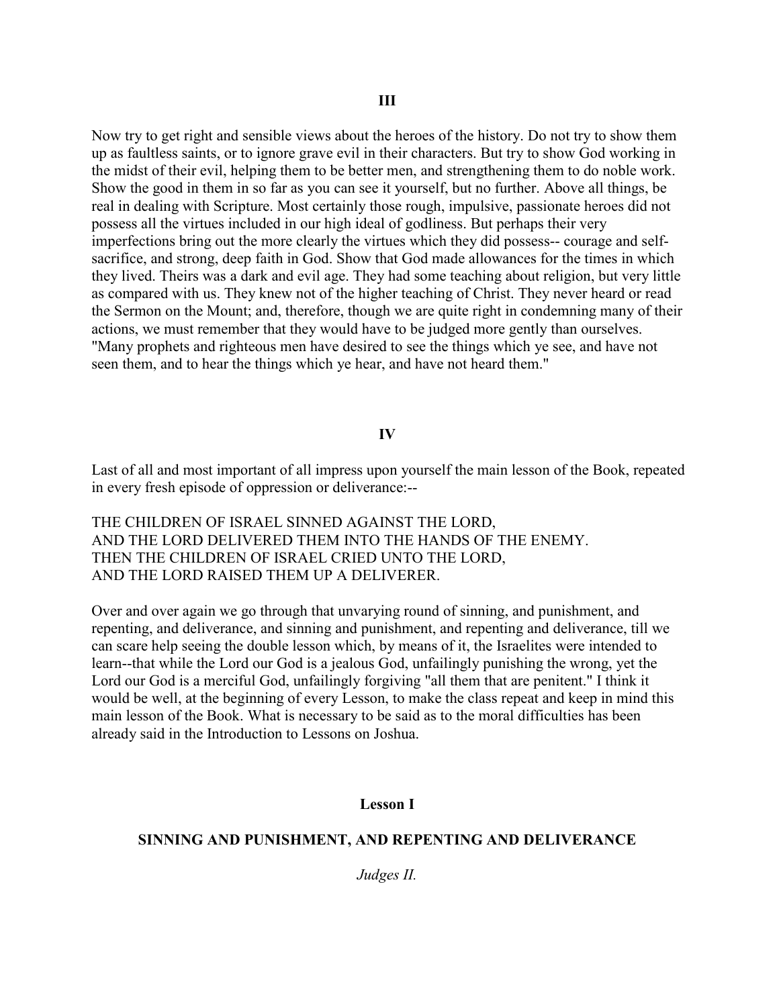Now try to get right and sensible views about the heroes of the history. Do not try to show them up as faultless saints, or to ignore grave evil in their characters. But try to show God working in the midst of their evil, helping them to be better men, and strengthening them to do noble work. Show the good in them in so far as you can see it yourself, but no further. Above all things, be real in dealing with Scripture. Most certainly those rough, impulsive, passionate heroes did not possess all the virtues included in our high ideal of godliness. But perhaps their very imperfections bring out the more clearly the virtues which they did possess-- courage and selfsacrifice, and strong, deep faith in God. Show that God made allowances for the times in which they lived. Theirs was a dark and evil age. They had some teaching about religion, but very little as compared with us. They knew not of the higher teaching of Christ. They never heard or read the Sermon on the Mount; and, therefore, though we are quite right in condemning many of their actions, we must remember that they would have to be judged more gently than ourselves. "Many prophets and righteous men have desired to see the things which ye see, and have not seen them, and to hear the things which ye hear, and have not heard them."

### **IV**

Last of all and most important of all impress upon yourself the main lesson of the Book, repeated in every fresh episode of oppression or deliverance:--

THE CHILDREN OF ISRAEL SINNED AGAINST THE LORD, AND THE LORD DELIVERED THEM INTO THE HANDS OF THE ENEMY. THEN THE CHILDREN OF ISRAEL CRIED UNTO THE LORD, AND THE LORD RAISED THEM UP A DELIVERER.

Over and over again we go through that unvarying round of sinning, and punishment, and repenting, and deliverance, and sinning and punishment, and repenting and deliverance, till we can scare help seeing the double lesson which, by means of it, the Israelites were intended to learn--that while the Lord our God is a jealous God, unfailingly punishing the wrong, yet the Lord our God is a merciful God, unfailingly forgiving "all them that are penitent." I think it would be well, at the beginning of every Lesson, to make the class repeat and keep in mind this main lesson of the Book. What is necessary to be said as to the moral difficulties has been already said in the Introduction to Lessons on Joshua.

#### **Lesson I**

#### **SINNING AND PUNISHMENT, AND REPENTING AND DELIVERANCE**

*Judges II.*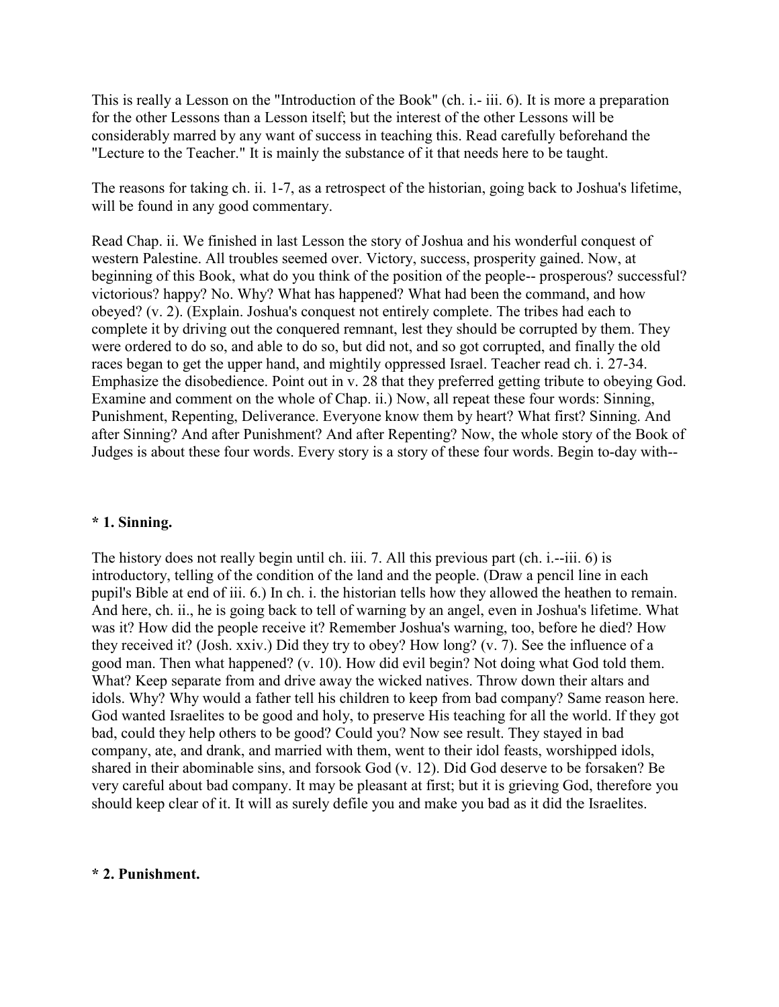This is really a Lesson on the "Introduction of the Book" (ch. i.- iii. 6). It is more a preparation for the other Lessons than a Lesson itself; but the interest of the other Lessons will be considerably marred by any want of success in teaching this. Read carefully beforehand the "Lecture to the Teacher." It is mainly the substance of it that needs here to be taught.

The reasons for taking ch. ii. 1-7, as a retrospect of the historian, going back to Joshua's lifetime, will be found in any good commentary.

Read Chap. ii. We finished in last Lesson the story of Joshua and his wonderful conquest of western Palestine. All troubles seemed over. Victory, success, prosperity gained. Now, at beginning of this Book, what do you think of the position of the people-- prosperous? successful? victorious? happy? No. Why? What has happened? What had been the command, and how obeyed? (v. 2). (Explain. Joshua's conquest not entirely complete. The tribes had each to complete it by driving out the conquered remnant, lest they should be corrupted by them. They were ordered to do so, and able to do so, but did not, and so got corrupted, and finally the old races began to get the upper hand, and mightily oppressed Israel. Teacher read ch. i. 27-34. Emphasize the disobedience. Point out in v. 28 that they preferred getting tribute to obeying God. Examine and comment on the whole of Chap. ii.) Now, all repeat these four words: Sinning, Punishment, Repenting, Deliverance. Everyone know them by heart? What first? Sinning. And after Sinning? And after Punishment? And after Repenting? Now, the whole story of the Book of Judges is about these four words. Every story is a story of these four words. Begin to-day with--

### **\* 1. Sinning.**

The history does not really begin until ch. iii. 7. All this previous part (ch. i.--iii. 6) is introductory, telling of the condition of the land and the people. (Draw a pencil line in each pupil's Bible at end of iii. 6.) In ch. i. the historian tells how they allowed the heathen to remain. And here, ch. ii., he is going back to tell of warning by an angel, even in Joshua's lifetime. What was it? How did the people receive it? Remember Joshua's warning, too, before he died? How they received it? (Josh. xxiv.) Did they try to obey? How long? (v. 7). See the influence of a good man. Then what happened? (v. 10). How did evil begin? Not doing what God told them. What? Keep separate from and drive away the wicked natives. Throw down their altars and idols. Why? Why would a father tell his children to keep from bad company? Same reason here. God wanted Israelites to be good and holy, to preserve His teaching for all the world. If they got bad, could they help others to be good? Could you? Now see result. They stayed in bad company, ate, and drank, and married with them, went to their idol feasts, worshipped idols, shared in their abominable sins, and forsook God (v. 12). Did God deserve to be forsaken? Be very careful about bad company. It may be pleasant at first; but it is grieving God, therefore you should keep clear of it. It will as surely defile you and make you bad as it did the Israelites.

### **\* 2. Punishment.**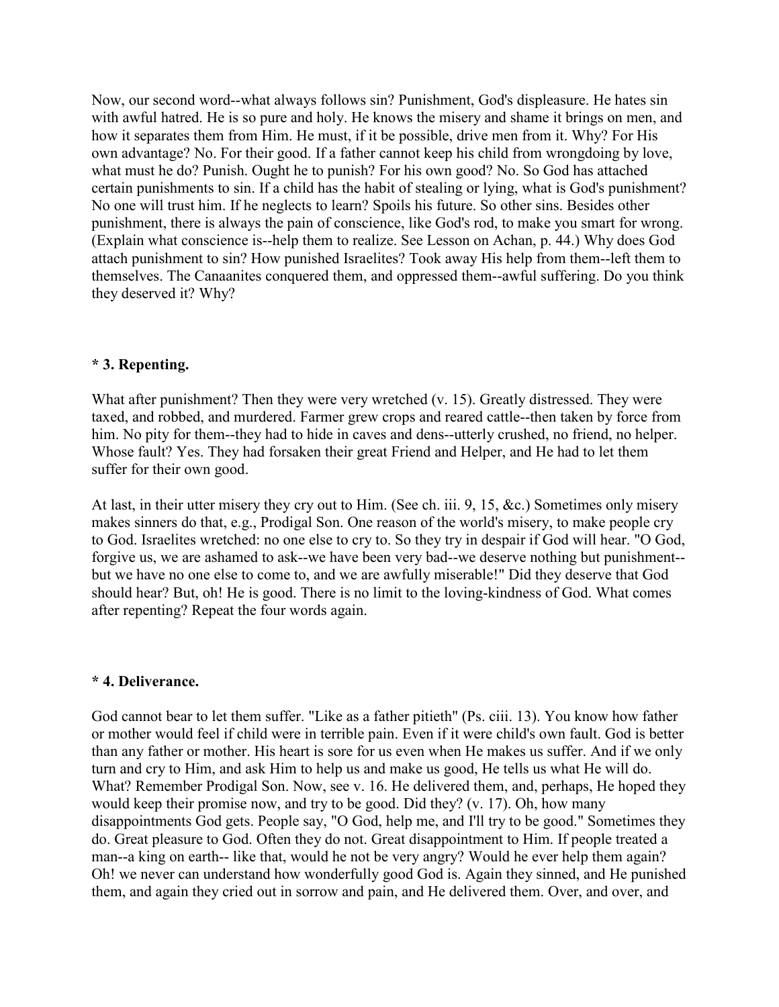Now, our second word--what always follows sin? Punishment, God's displeasure. He hates sin with awful hatred. He is so pure and holy. He knows the misery and shame it brings on men, and how it separates them from Him. He must, if it be possible, drive men from it. Why? For His own advantage? No. For their good. If a father cannot keep his child from wrongdoing by love, what must he do? Punish. Ought he to punish? For his own good? No. So God has attached certain punishments to sin. If a child has the habit of stealing or lying, what is God's punishment? No one will trust him. If he neglects to learn? Spoils his future. So other sins. Besides other punishment, there is always the pain of conscience, like God's rod, to make you smart for wrong. (Explain what conscience is--help them to realize. See Lesson on Achan, p. 44.) Why does God attach punishment to sin? How punished Israelites? Took away His help from them--left them to themselves. The Canaanites conquered them, and oppressed them--awful suffering. Do you think they deserved it? Why?

## **\* 3. Repenting.**

What after punishment? Then they were very wretched (v. 15). Greatly distressed. They were taxed, and robbed, and murdered. Farmer grew crops and reared cattle--then taken by force from him. No pity for them--they had to hide in caves and dens--utterly crushed, no friend, no helper. Whose fault? Yes. They had forsaken their great Friend and Helper, and He had to let them suffer for their own good.

At last, in their utter misery they cry out to Him. (See ch. iii. 9, 15, &c.) Sometimes only misery makes sinners do that, e.g., Prodigal Son. One reason of the world's misery, to make people cry to God. Israelites wretched: no one else to cry to. So they try in despair if God will hear. "O God, forgive us, we are ashamed to ask--we have been very bad--we deserve nothing but punishment- but we have no one else to come to, and we are awfully miserable!" Did they deserve that God should hear? But, oh! He is good. There is no limit to the loving-kindness of God. What comes after repenting? Repeat the four words again.

### **\* 4. Deliverance.**

God cannot bear to let them suffer. "Like as a father pitieth" (Ps. ciii. 13). You know how father or mother would feel if child were in terrible pain. Even if it were child's own fault. God is better than any father or mother. His heart is sore for us even when He makes us suffer. And if we only turn and cry to Him, and ask Him to help us and make us good, He tells us what He will do. What? Remember Prodigal Son. Now, see v. 16. He delivered them, and, perhaps, He hoped they would keep their promise now, and try to be good. Did they? (v. 17). Oh, how many disappointments God gets. People say, "O God, help me, and I'll try to be good." Sometimes they do. Great pleasure to God. Often they do not. Great disappointment to Him. If people treated a man--a king on earth-- like that, would he not be very angry? Would he ever help them again? Oh! we never can understand how wonderfully good God is. Again they sinned, and He punished them, and again they cried out in sorrow and pain, and He delivered them. Over, and over, and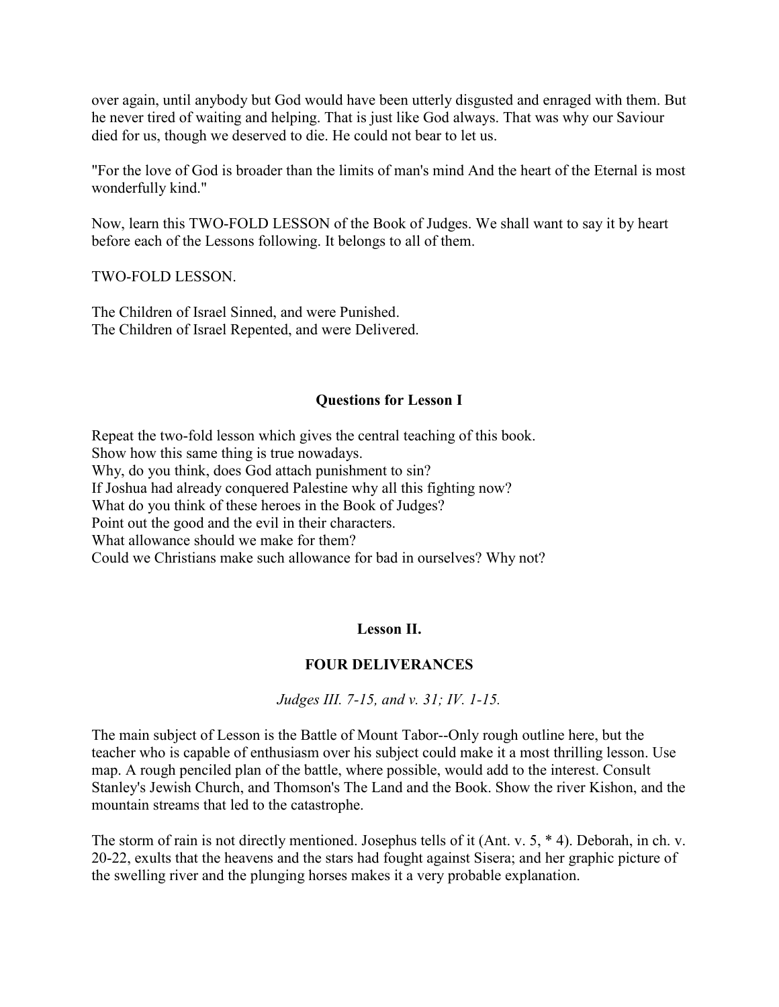over again, until anybody but God would have been utterly disgusted and enraged with them. But he never tired of waiting and helping. That is just like God always. That was why our Saviour died for us, though we deserved to die. He could not bear to let us.

"For the love of God is broader than the limits of man's mind And the heart of the Eternal is most wonderfully kind."

Now, learn this TWO-FOLD LESSON of the Book of Judges. We shall want to say it by heart before each of the Lessons following. It belongs to all of them.

TWO-FOLD LESSON.

The Children of Israel Sinned, and were Punished. The Children of Israel Repented, and were Delivered.

#### **Questions for Lesson I**

Repeat the two-fold lesson which gives the central teaching of this book. Show how this same thing is true nowadays. Why, do you think, does God attach punishment to sin? If Joshua had already conquered Palestine why all this fighting now? What do you think of these heroes in the Book of Judges? Point out the good and the evil in their characters. What allowance should we make for them? Could we Christians make such allowance for bad in ourselves? Why not?

## **Lesson II.**

## **FOUR DELIVERANCES**

*Judges III. 7-15, and v. 31; IV. 1-15.*

The main subject of Lesson is the Battle of Mount Tabor--Only rough outline here, but the teacher who is capable of enthusiasm over his subject could make it a most thrilling lesson. Use map. A rough penciled plan of the battle, where possible, would add to the interest. Consult Stanley's Jewish Church, and Thomson's The Land and the Book. Show the river Kishon, and the mountain streams that led to the catastrophe.

The storm of rain is not directly mentioned. Josephus tells of it (Ant. v. 5, \* 4). Deborah, in ch. v. 20-22, exults that the heavens and the stars had fought against Sisera; and her graphic picture of the swelling river and the plunging horses makes it a very probable explanation.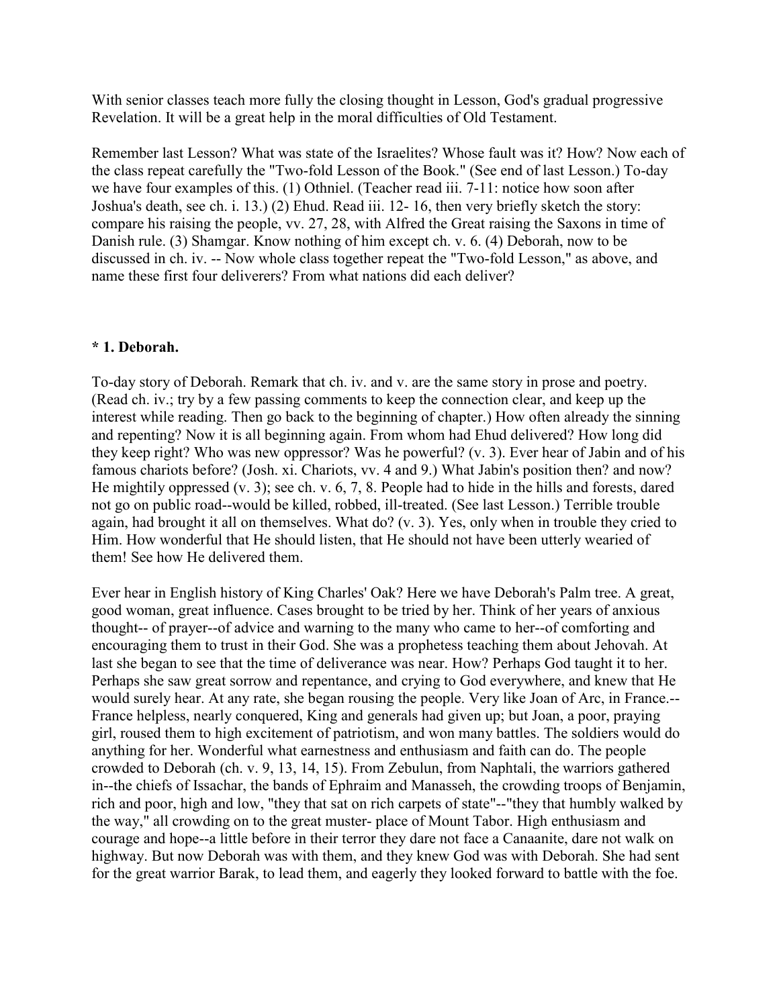With senior classes teach more fully the closing thought in Lesson, God's gradual progressive Revelation. It will be a great help in the moral difficulties of Old Testament.

Remember last Lesson? What was state of the Israelites? Whose fault was it? How? Now each of the class repeat carefully the "Two-fold Lesson of the Book." (See end of last Lesson.) To-day we have four examples of this. (1) Othniel. (Teacher read iii. 7-11: notice how soon after Joshua's death, see ch. i. 13.) (2) Ehud. Read iii. 12- 16, then very briefly sketch the story: compare his raising the people, vv. 27, 28, with Alfred the Great raising the Saxons in time of Danish rule. (3) Shamgar. Know nothing of him except ch. v. 6. (4) Deborah, now to be discussed in ch. iv. -- Now whole class together repeat the "Two-fold Lesson," as above, and name these first four deliverers? From what nations did each deliver?

## **\* 1. Deborah.**

To-day story of Deborah. Remark that ch. iv. and v. are the same story in prose and poetry. (Read ch. iv.; try by a few passing comments to keep the connection clear, and keep up the interest while reading. Then go back to the beginning of chapter.) How often already the sinning and repenting? Now it is all beginning again. From whom had Ehud delivered? How long did they keep right? Who was new oppressor? Was he powerful? (v. 3). Ever hear of Jabin and of his famous chariots before? (Josh. xi. Chariots, vv. 4 and 9.) What Jabin's position then? and now? He mightily oppressed (v. 3); see ch. v. 6, 7, 8. People had to hide in the hills and forests, dared not go on public road--would be killed, robbed, ill-treated. (See last Lesson.) Terrible trouble again, had brought it all on themselves. What do? (v. 3). Yes, only when in trouble they cried to Him. How wonderful that He should listen, that He should not have been utterly wearied of them! See how He delivered them.

Ever hear in English history of King Charles' Oak? Here we have Deborah's Palm tree. A great, good woman, great influence. Cases brought to be tried by her. Think of her years of anxious thought-- of prayer--of advice and warning to the many who came to her--of comforting and encouraging them to trust in their God. She was a prophetess teaching them about Jehovah. At last she began to see that the time of deliverance was near. How? Perhaps God taught it to her. Perhaps she saw great sorrow and repentance, and crying to God everywhere, and knew that He would surely hear. At any rate, she began rousing the people. Very like Joan of Arc, in France.-- France helpless, nearly conquered, King and generals had given up; but Joan, a poor, praying girl, roused them to high excitement of patriotism, and won many battles. The soldiers would do anything for her. Wonderful what earnestness and enthusiasm and faith can do. The people crowded to Deborah (ch. v. 9, 13, 14, 15). From Zebulun, from Naphtali, the warriors gathered in--the chiefs of Issachar, the bands of Ephraim and Manasseh, the crowding troops of Benjamin, rich and poor, high and low, "they that sat on rich carpets of state"--"they that humbly walked by the way," all crowding on to the great muster- place of Mount Tabor. High enthusiasm and courage and hope--a little before in their terror they dare not face a Canaanite, dare not walk on highway. But now Deborah was with them, and they knew God was with Deborah. She had sent for the great warrior Barak, to lead them, and eagerly they looked forward to battle with the foe.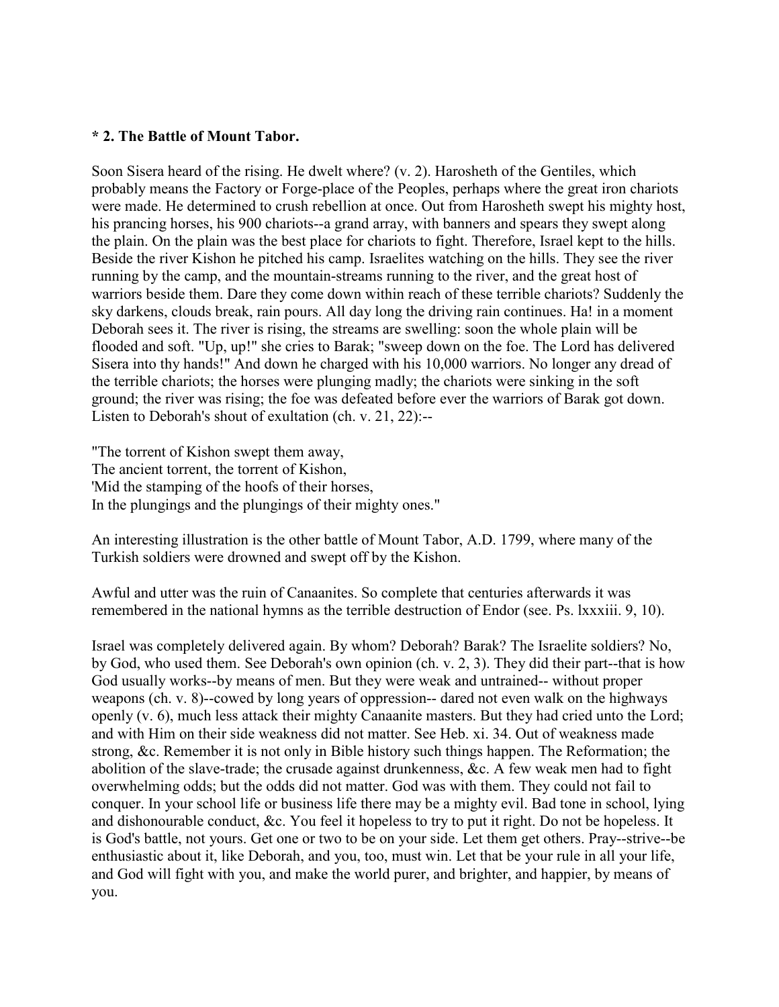#### **\* 2. The Battle of Mount Tabor.**

Soon Sisera heard of the rising. He dwelt where? (v. 2). Harosheth of the Gentiles, which probably means the Factory or Forge-place of the Peoples, perhaps where the great iron chariots were made. He determined to crush rebellion at once. Out from Harosheth swept his mighty host, his prancing horses, his 900 chariots--a grand array, with banners and spears they swept along the plain. On the plain was the best place for chariots to fight. Therefore, Israel kept to the hills. Beside the river Kishon he pitched his camp. Israelites watching on the hills. They see the river running by the camp, and the mountain-streams running to the river, and the great host of warriors beside them. Dare they come down within reach of these terrible chariots? Suddenly the sky darkens, clouds break, rain pours. All day long the driving rain continues. Ha! in a moment Deborah sees it. The river is rising, the streams are swelling: soon the whole plain will be flooded and soft. "Up, up!" she cries to Barak; "sweep down on the foe. The Lord has delivered Sisera into thy hands!" And down he charged with his 10,000 warriors. No longer any dread of the terrible chariots; the horses were plunging madly; the chariots were sinking in the soft ground; the river was rising; the foe was defeated before ever the warriors of Barak got down. Listen to Deborah's shout of exultation (ch. v. 21, 22):--

"The torrent of Kishon swept them away, The ancient torrent, the torrent of Kishon, 'Mid the stamping of the hoofs of their horses, In the plungings and the plungings of their mighty ones."

An interesting illustration is the other battle of Mount Tabor, A.D. 1799, where many of the Turkish soldiers were drowned and swept off by the Kishon.

Awful and utter was the ruin of Canaanites. So complete that centuries afterwards it was remembered in the national hymns as the terrible destruction of Endor (see. Ps. lxxxiii. 9, 10).

Israel was completely delivered again. By whom? Deborah? Barak? The Israelite soldiers? No, by God, who used them. See Deborah's own opinion (ch. v. 2, 3). They did their part--that is how God usually works--by means of men. But they were weak and untrained-- without proper weapons (ch. v. 8)--cowed by long years of oppression-- dared not even walk on the highways openly (v. 6), much less attack their mighty Canaanite masters. But they had cried unto the Lord; and with Him on their side weakness did not matter. See Heb. xi. 34. Out of weakness made strong, &c. Remember it is not only in Bible history such things happen. The Reformation; the abolition of the slave-trade; the crusade against drunkenness, &c. A few weak men had to fight overwhelming odds; but the odds did not matter. God was with them. They could not fail to conquer. In your school life or business life there may be a mighty evil. Bad tone in school, lying and dishonourable conduct, &c. You feel it hopeless to try to put it right. Do not be hopeless. It is God's battle, not yours. Get one or two to be on your side. Let them get others. Pray--strive--be enthusiastic about it, like Deborah, and you, too, must win. Let that be your rule in all your life, and God will fight with you, and make the world purer, and brighter, and happier, by means of you.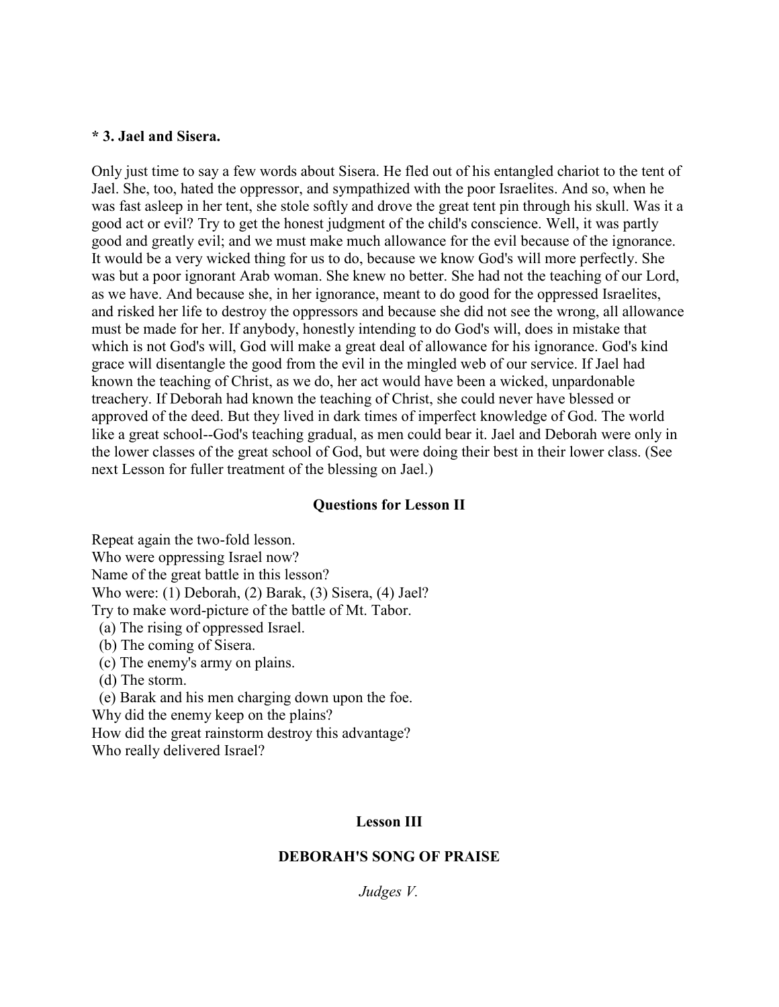#### **\* 3. Jael and Sisera.**

Only just time to say a few words about Sisera. He fled out of his entangled chariot to the tent of Jael. She, too, hated the oppressor, and sympathized with the poor Israelites. And so, when he was fast asleep in her tent, she stole softly and drove the great tent pin through his skull. Was it a good act or evil? Try to get the honest judgment of the child's conscience. Well, it was partly good and greatly evil; and we must make much allowance for the evil because of the ignorance. It would be a very wicked thing for us to do, because we know God's will more perfectly. She was but a poor ignorant Arab woman. She knew no better. She had not the teaching of our Lord, as we have. And because she, in her ignorance, meant to do good for the oppressed Israelites, and risked her life to destroy the oppressors and because she did not see the wrong, all allowance must be made for her. If anybody, honestly intending to do God's will, does in mistake that which is not God's will, God will make a great deal of allowance for his ignorance. God's kind grace will disentangle the good from the evil in the mingled web of our service. If Jael had known the teaching of Christ, as we do, her act would have been a wicked, unpardonable treachery. If Deborah had known the teaching of Christ, she could never have blessed or approved of the deed. But they lived in dark times of imperfect knowledge of God. The world like a great school--God's teaching gradual, as men could bear it. Jael and Deborah were only in the lower classes of the great school of God, but were doing their best in their lower class. (See next Lesson for fuller treatment of the blessing on Jael.)

#### **Questions for Lesson II**

Repeat again the two-fold lesson. Who were oppressing Israel now? Name of the great battle in this lesson? Who were: (1) Deborah, (2) Barak, (3) Sisera, (4) Jael? Try to make word-picture of the battle of Mt. Tabor. (a) The rising of oppressed Israel. (b) The coming of Sisera. (c) The enemy's army on plains. (d) The storm.

 (e) Barak and his men charging down upon the foe. Why did the enemy keep on the plains? How did the great rainstorm destroy this advantage? Who really delivered Israel?

## **Lesson III**

#### **DEBORAH'S SONG OF PRAISE**

*Judges V.*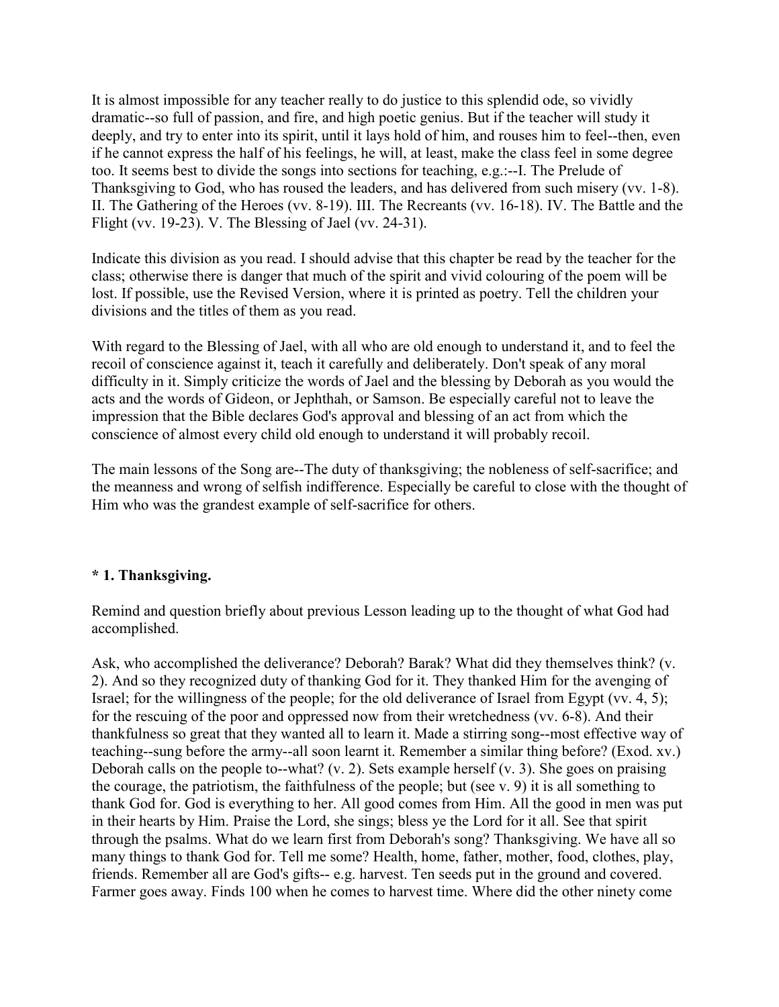It is almost impossible for any teacher really to do justice to this splendid ode, so vividly dramatic--so full of passion, and fire, and high poetic genius. But if the teacher will study it deeply, and try to enter into its spirit, until it lays hold of him, and rouses him to feel--then, even if he cannot express the half of his feelings, he will, at least, make the class feel in some degree too. It seems best to divide the songs into sections for teaching, e.g.:--I. The Prelude of Thanksgiving to God, who has roused the leaders, and has delivered from such misery (vv. 1-8). II. The Gathering of the Heroes (vv. 8-19). III. The Recreants (vv. 16-18). IV. The Battle and the Flight (vv. 19-23). V. The Blessing of Jael (vv. 24-31).

Indicate this division as you read. I should advise that this chapter be read by the teacher for the class; otherwise there is danger that much of the spirit and vivid colouring of the poem will be lost. If possible, use the Revised Version, where it is printed as poetry. Tell the children your divisions and the titles of them as you read.

With regard to the Blessing of Jael, with all who are old enough to understand it, and to feel the recoil of conscience against it, teach it carefully and deliberately. Don't speak of any moral difficulty in it. Simply criticize the words of Jael and the blessing by Deborah as you would the acts and the words of Gideon, or Jephthah, or Samson. Be especially careful not to leave the impression that the Bible declares God's approval and blessing of an act from which the conscience of almost every child old enough to understand it will probably recoil.

The main lessons of the Song are--The duty of thanksgiving; the nobleness of self-sacrifice; and the meanness and wrong of selfish indifference. Especially be careful to close with the thought of Him who was the grandest example of self-sacrifice for others.

## **\* 1. Thanksgiving.**

Remind and question briefly about previous Lesson leading up to the thought of what God had accomplished.

Ask, who accomplished the deliverance? Deborah? Barak? What did they themselves think? (v. 2). And so they recognized duty of thanking God for it. They thanked Him for the avenging of Israel; for the willingness of the people; for the old deliverance of Israel from Egypt (vv. 4, 5); for the rescuing of the poor and oppressed now from their wretchedness (vv. 6-8). And their thankfulness so great that they wanted all to learn it. Made a stirring song--most effective way of teaching--sung before the army--all soon learnt it. Remember a similar thing before? (Exod. xv.) Deborah calls on the people to--what? (v. 2). Sets example herself (v. 3). She goes on praising the courage, the patriotism, the faithfulness of the people; but (see v. 9) it is all something to thank God for. God is everything to her. All good comes from Him. All the good in men was put in their hearts by Him. Praise the Lord, she sings; bless ye the Lord for it all. See that spirit through the psalms. What do we learn first from Deborah's song? Thanksgiving. We have all so many things to thank God for. Tell me some? Health, home, father, mother, food, clothes, play, friends. Remember all are God's gifts-- e.g. harvest. Ten seeds put in the ground and covered. Farmer goes away. Finds 100 when he comes to harvest time. Where did the other ninety come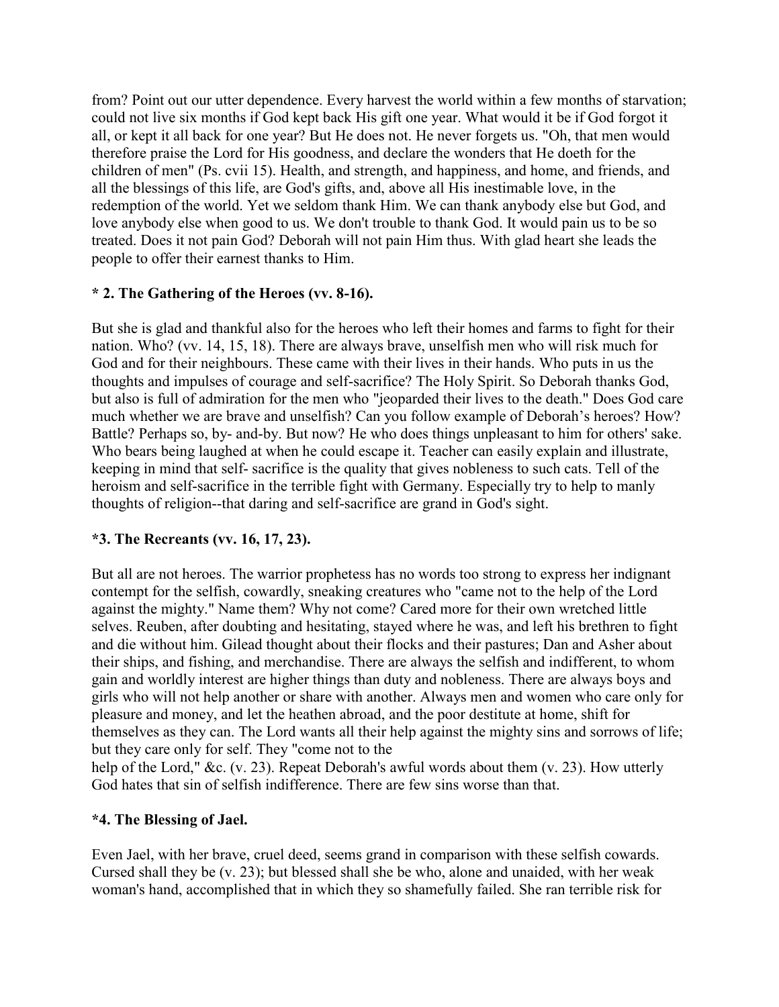from? Point out our utter dependence. Every harvest the world within a few months of starvation; could not live six months if God kept back His gift one year. What would it be if God forgot it all, or kept it all back for one year? But He does not. He never forgets us. "Oh, that men would therefore praise the Lord for His goodness, and declare the wonders that He doeth for the children of men" (Ps. cvii 15). Health, and strength, and happiness, and home, and friends, and all the blessings of this life, are God's gifts, and, above all His inestimable love, in the redemption of the world. Yet we seldom thank Him. We can thank anybody else but God, and love anybody else when good to us. We don't trouble to thank God. It would pain us to be so treated. Does it not pain God? Deborah will not pain Him thus. With glad heart she leads the people to offer their earnest thanks to Him.

## **\* 2. The Gathering of the Heroes (vv. 8-16).**

But she is glad and thankful also for the heroes who left their homes and farms to fight for their nation. Who? (vv. 14, 15, 18). There are always brave, unselfish men who will risk much for God and for their neighbours. These came with their lives in their hands. Who puts in us the thoughts and impulses of courage and self-sacrifice? The Holy Spirit. So Deborah thanks God, but also is full of admiration for the men who "jeoparded their lives to the death." Does God care much whether we are brave and unselfish? Can you follow example of Deborah's heroes? How? Battle? Perhaps so, by- and-by. But now? He who does things unpleasant to him for others' sake. Who bears being laughed at when he could escape it. Teacher can easily explain and illustrate, keeping in mind that self- sacrifice is the quality that gives nobleness to such cats. Tell of the heroism and self-sacrifice in the terrible fight with Germany. Especially try to help to manly thoughts of religion--that daring and self-sacrifice are grand in God's sight.

# **\*3. The Recreants (vv. 16, 17, 23).**

But all are not heroes. The warrior prophetess has no words too strong to express her indignant contempt for the selfish, cowardly, sneaking creatures who "came not to the help of the Lord against the mighty." Name them? Why not come? Cared more for their own wretched little selves. Reuben, after doubting and hesitating, stayed where he was, and left his brethren to fight and die without him. Gilead thought about their flocks and their pastures; Dan and Asher about their ships, and fishing, and merchandise. There are always the selfish and indifferent, to whom gain and worldly interest are higher things than duty and nobleness. There are always boys and girls who will not help another or share with another. Always men and women who care only for pleasure and money, and let the heathen abroad, and the poor destitute at home, shift for themselves as they can. The Lord wants all their help against the mighty sins and sorrows of life; but they care only for self. They "come not to the

help of the Lord," &c. (v. 23). Repeat Deborah's awful words about them (v. 23). How utterly God hates that sin of selfish indifference. There are few sins worse than that.

## **\*4. The Blessing of Jael.**

Even Jael, with her brave, cruel deed, seems grand in comparison with these selfish cowards. Cursed shall they be (v. 23); but blessed shall she be who, alone and unaided, with her weak woman's hand, accomplished that in which they so shamefully failed. She ran terrible risk for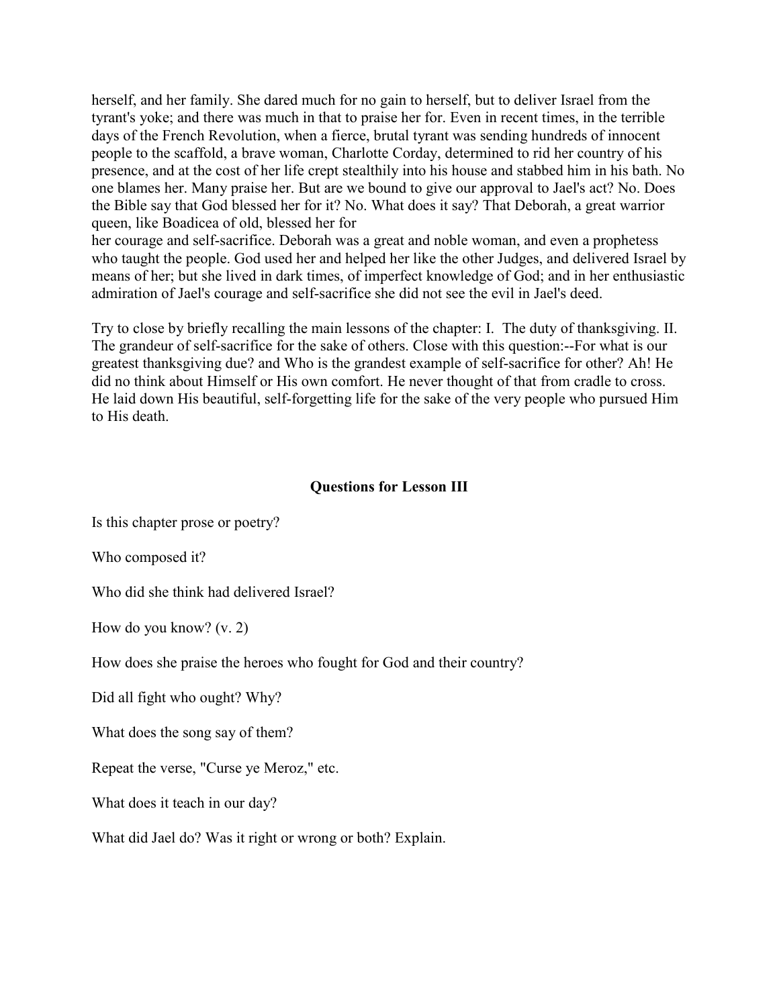herself, and her family. She dared much for no gain to herself, but to deliver Israel from the tyrant's yoke; and there was much in that to praise her for. Even in recent times, in the terrible days of the French Revolution, when a fierce, brutal tyrant was sending hundreds of innocent people to the scaffold, a brave woman, Charlotte Corday, determined to rid her country of his presence, and at the cost of her life crept stealthily into his house and stabbed him in his bath. No one blames her. Many praise her. But are we bound to give our approval to Jael's act? No. Does the Bible say that God blessed her for it? No. What does it say? That Deborah, a great warrior queen, like Boadicea of old, blessed her for

her courage and self-sacrifice. Deborah was a great and noble woman, and even a prophetess who taught the people. God used her and helped her like the other Judges, and delivered Israel by means of her; but she lived in dark times, of imperfect knowledge of God; and in her enthusiastic admiration of Jael's courage and self-sacrifice she did not see the evil in Jael's deed.

Try to close by briefly recalling the main lessons of the chapter: I. The duty of thanksgiving. II. The grandeur of self-sacrifice for the sake of others. Close with this question:--For what is our greatest thanksgiving due? and Who is the grandest example of self-sacrifice for other? Ah! He did no think about Himself or His own comfort. He never thought of that from cradle to cross. He laid down His beautiful, self-forgetting life for the sake of the very people who pursued Him to His death.

#### **Questions for Lesson III**

Is this chapter prose or poetry?

Who composed it?

Who did she think had delivered Israel?

How do you know? (v. 2)

How does she praise the heroes who fought for God and their country?

Did all fight who ought? Why?

What does the song say of them?

Repeat the verse, "Curse ye Meroz," etc.

What does it teach in our day?

What did Jael do? Was it right or wrong or both? Explain.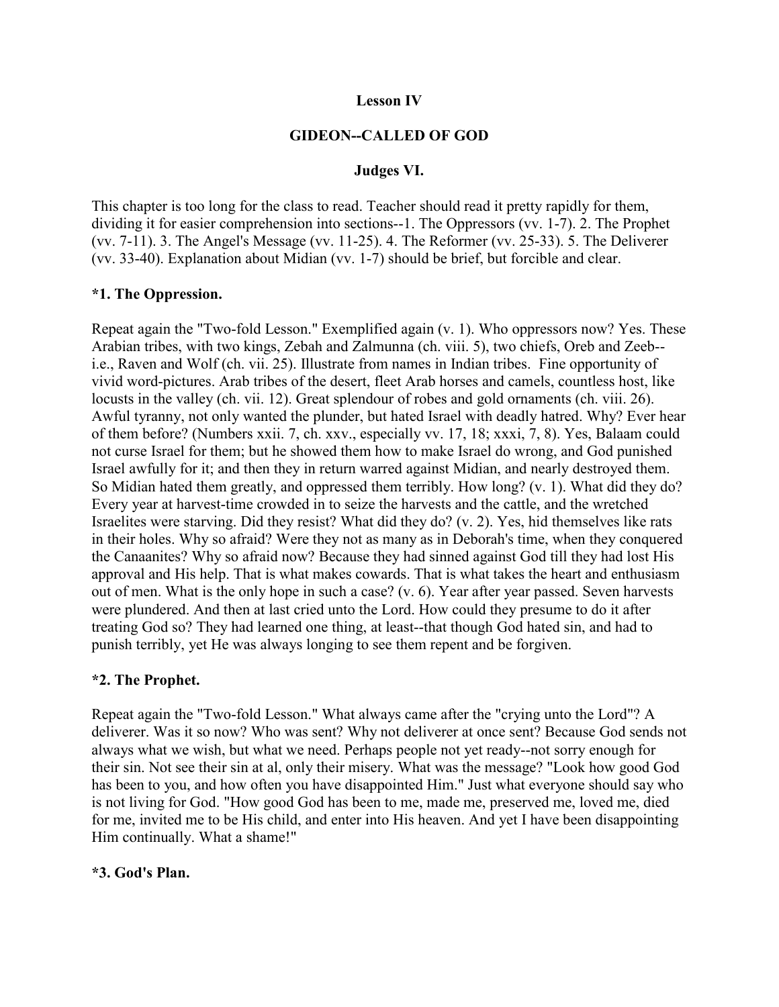#### **Lesson IV**

#### **GIDEON--CALLED OF GOD**

#### **Judges VI.**

This chapter is too long for the class to read. Teacher should read it pretty rapidly for them, dividing it for easier comprehension into sections--1. The Oppressors (vv. 1-7). 2. The Prophet (vv. 7-11). 3. The Angel's Message (vv. 11-25). 4. The Reformer (vv. 25-33). 5. The Deliverer (vv. 33-40). Explanation about Midian (vv. 1-7) should be brief, but forcible and clear.

#### **\*1. The Oppression.**

Repeat again the "Two-fold Lesson." Exemplified again (v. 1). Who oppressors now? Yes. These Arabian tribes, with two kings, Zebah and Zalmunna (ch. viii. 5), two chiefs, Oreb and Zeeb- i.e., Raven and Wolf (ch. vii. 25). Illustrate from names in Indian tribes. Fine opportunity of vivid word-pictures. Arab tribes of the desert, fleet Arab horses and camels, countless host, like locusts in the valley (ch. vii. 12). Great splendour of robes and gold ornaments (ch. viii. 26). Awful tyranny, not only wanted the plunder, but hated Israel with deadly hatred. Why? Ever hear of them before? (Numbers xxii. 7, ch. xxv., especially vv. 17, 18; xxxi, 7, 8). Yes, Balaam could not curse Israel for them; but he showed them how to make Israel do wrong, and God punished Israel awfully for it; and then they in return warred against Midian, and nearly destroyed them. So Midian hated them greatly, and oppressed them terribly. How long? (v. 1). What did they do? Every year at harvest-time crowded in to seize the harvests and the cattle, and the wretched Israelites were starving. Did they resist? What did they do? (v. 2). Yes, hid themselves like rats in their holes. Why so afraid? Were they not as many as in Deborah's time, when they conquered the Canaanites? Why so afraid now? Because they had sinned against God till they had lost His approval and His help. That is what makes cowards. That is what takes the heart and enthusiasm out of men. What is the only hope in such a case? (v. 6). Year after year passed. Seven harvests were plundered. And then at last cried unto the Lord. How could they presume to do it after treating God so? They had learned one thing, at least--that though God hated sin, and had to punish terribly, yet He was always longing to see them repent and be forgiven.

#### **\*2. The Prophet.**

Repeat again the "Two-fold Lesson." What always came after the "crying unto the Lord"? A deliverer. Was it so now? Who was sent? Why not deliverer at once sent? Because God sends not always what we wish, but what we need. Perhaps people not yet ready--not sorry enough for their sin. Not see their sin at al, only their misery. What was the message? "Look how good God has been to you, and how often you have disappointed Him." Just what everyone should say who is not living for God. "How good God has been to me, made me, preserved me, loved me, died for me, invited me to be His child, and enter into His heaven. And yet I have been disappointing Him continually. What a shame!"

#### **\*3. God's Plan.**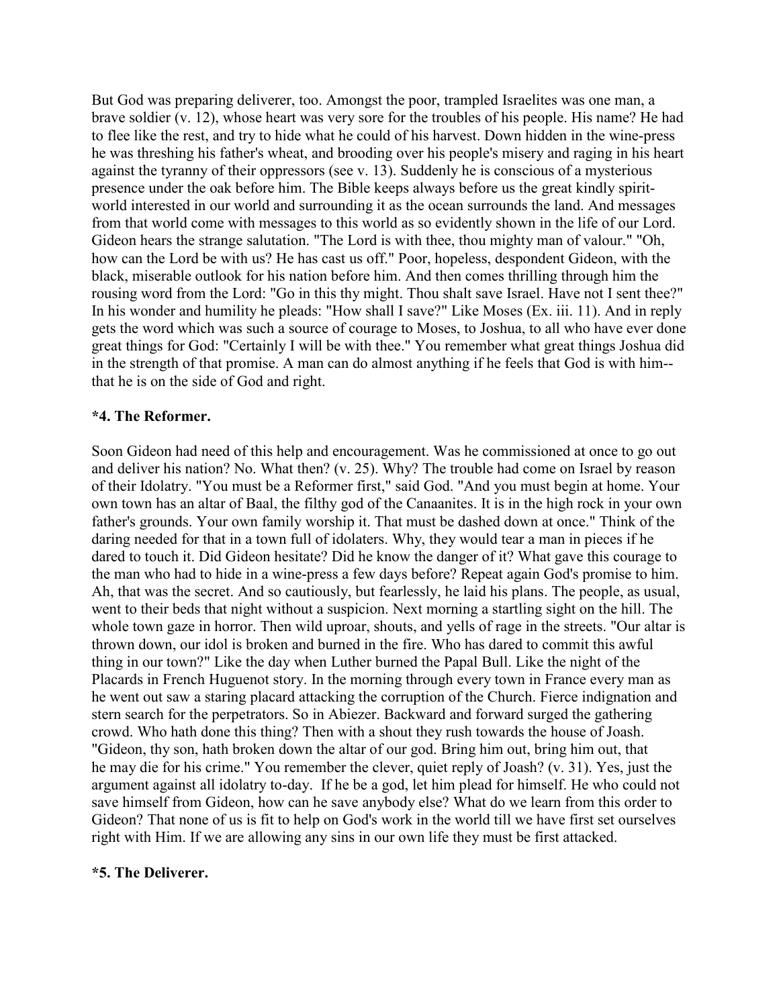But God was preparing deliverer, too. Amongst the poor, trampled Israelites was one man, a brave soldier (v. 12), whose heart was very sore for the troubles of his people. His name? He had to flee like the rest, and try to hide what he could of his harvest. Down hidden in the wine-press he was threshing his father's wheat, and brooding over his people's misery and raging in his heart against the tyranny of their oppressors (see v. 13). Suddenly he is conscious of a mysterious presence under the oak before him. The Bible keeps always before us the great kindly spiritworld interested in our world and surrounding it as the ocean surrounds the land. And messages from that world come with messages to this world as so evidently shown in the life of our Lord. Gideon hears the strange salutation. "The Lord is with thee, thou mighty man of valour." "Oh, how can the Lord be with us? He has cast us off." Poor, hopeless, despondent Gideon, with the black, miserable outlook for his nation before him. And then comes thrilling through him the rousing word from the Lord: "Go in this thy might. Thou shalt save Israel. Have not I sent thee?" In his wonder and humility he pleads: "How shall I save?" Like Moses (Ex. iii. 11). And in reply gets the word which was such a source of courage to Moses, to Joshua, to all who have ever done great things for God: "Certainly I will be with thee." You remember what great things Joshua did in the strength of that promise. A man can do almost anything if he feels that God is with him- that he is on the side of God and right.

#### **\*4. The Reformer.**

Soon Gideon had need of this help and encouragement. Was he commissioned at once to go out and deliver his nation? No. What then? (v. 25). Why? The trouble had come on Israel by reason of their Idolatry. "You must be a Reformer first," said God. "And you must begin at home. Your own town has an altar of Baal, the filthy god of the Canaanites. It is in the high rock in your own father's grounds. Your own family worship it. That must be dashed down at once." Think of the daring needed for that in a town full of idolaters. Why, they would tear a man in pieces if he dared to touch it. Did Gideon hesitate? Did he know the danger of it? What gave this courage to the man who had to hide in a wine-press a few days before? Repeat again God's promise to him. Ah, that was the secret. And so cautiously, but fearlessly, he laid his plans. The people, as usual, went to their beds that night without a suspicion. Next morning a startling sight on the hill. The whole town gaze in horror. Then wild uproar, shouts, and yells of rage in the streets. "Our altar is thrown down, our idol is broken and burned in the fire. Who has dared to commit this awful thing in our town?" Like the day when Luther burned the Papal Bull. Like the night of the Placards in French Huguenot story. In the morning through every town in France every man as he went out saw a staring placard attacking the corruption of the Church. Fierce indignation and stern search for the perpetrators. So in Abiezer. Backward and forward surged the gathering crowd. Who hath done this thing? Then with a shout they rush towards the house of Joash. "Gideon, thy son, hath broken down the altar of our god. Bring him out, bring him out, that he may die for his crime." You remember the clever, quiet reply of Joash? (v. 31). Yes, just the argument against all idolatry to-day. If he be a god, let him plead for himself. He who could not save himself from Gideon, how can he save anybody else? What do we learn from this order to Gideon? That none of us is fit to help on God's work in the world till we have first set ourselves right with Him. If we are allowing any sins in our own life they must be first attacked.

#### **\*5. The Deliverer.**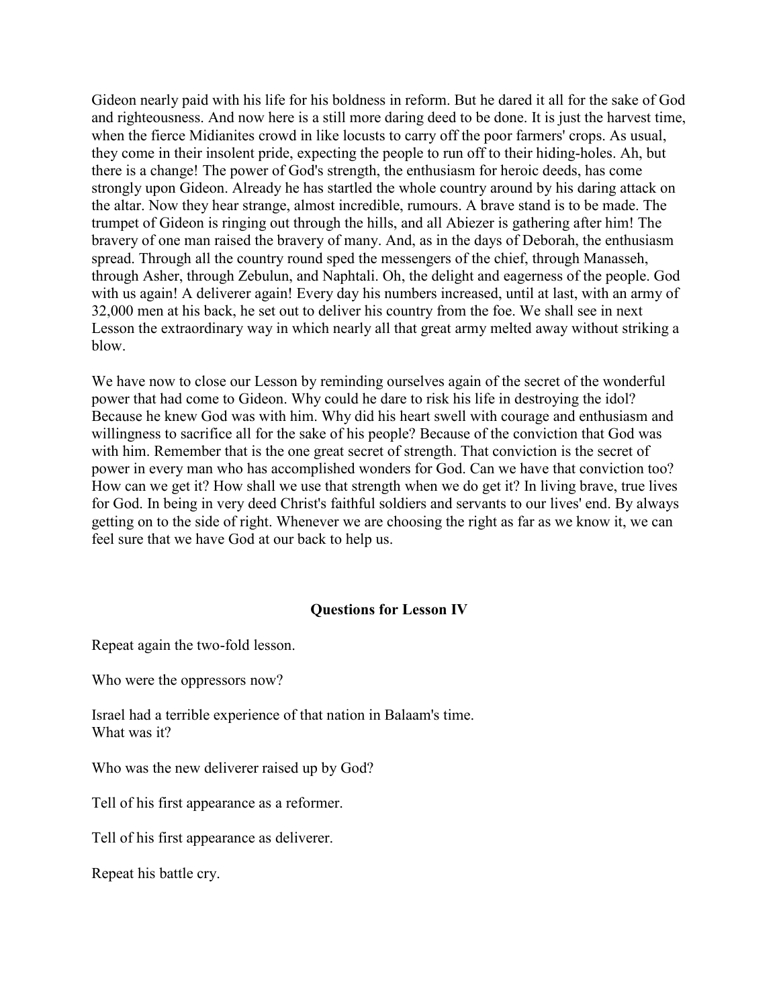Gideon nearly paid with his life for his boldness in reform. But he dared it all for the sake of God and righteousness. And now here is a still more daring deed to be done. It is just the harvest time, when the fierce Midianites crowd in like locusts to carry off the poor farmers' crops. As usual, they come in their insolent pride, expecting the people to run off to their hiding-holes. Ah, but there is a change! The power of God's strength, the enthusiasm for heroic deeds, has come strongly upon Gideon. Already he has startled the whole country around by his daring attack on the altar. Now they hear strange, almost incredible, rumours. A brave stand is to be made. The trumpet of Gideon is ringing out through the hills, and all Abiezer is gathering after him! The bravery of one man raised the bravery of many. And, as in the days of Deborah, the enthusiasm spread. Through all the country round sped the messengers of the chief, through Manasseh, through Asher, through Zebulun, and Naphtali. Oh, the delight and eagerness of the people. God with us again! A deliverer again! Every day his numbers increased, until at last, with an army of 32,000 men at his back, he set out to deliver his country from the foe. We shall see in next Lesson the extraordinary way in which nearly all that great army melted away without striking a blow.

We have now to close our Lesson by reminding ourselves again of the secret of the wonderful power that had come to Gideon. Why could he dare to risk his life in destroying the idol? Because he knew God was with him. Why did his heart swell with courage and enthusiasm and willingness to sacrifice all for the sake of his people? Because of the conviction that God was with him. Remember that is the one great secret of strength. That conviction is the secret of power in every man who has accomplished wonders for God. Can we have that conviction too? How can we get it? How shall we use that strength when we do get it? In living brave, true lives for God. In being in very deed Christ's faithful soldiers and servants to our lives' end. By always getting on to the side of right. Whenever we are choosing the right as far as we know it, we can feel sure that we have God at our back to help us.

#### **Questions for Lesson IV**

Repeat again the two-fold lesson.

Who were the oppressors now?

Israel had a terrible experience of that nation in Balaam's time. What was it?

Who was the new deliverer raised up by God?

Tell of his first appearance as a reformer.

Tell of his first appearance as deliverer.

Repeat his battle cry.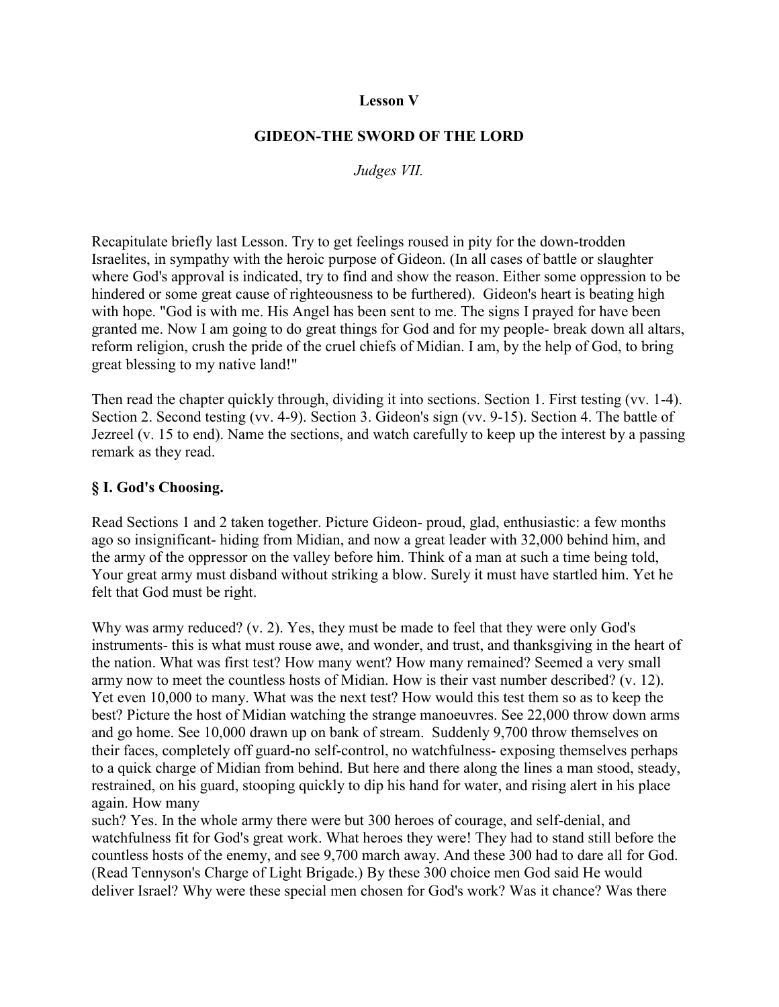#### **Lesson V**

#### **GIDEON-THE SWORD OF THE LORD**

*Judges VII.*

Recapitulate briefly last Lesson. Try to get feelings roused in pity for the down-trodden Israelites, in sympathy with the heroic purpose of Gideon. (In all cases of battle or slaughter where God's approval is indicated, try to find and show the reason. Either some oppression to be hindered or some great cause of righteousness to be furthered). Gideon's heart is beating high with hope. "God is with me. His Angel has been sent to me. The signs I prayed for have been granted me. Now I am going to do great things for God and for my people- break down all altars, reform religion, crush the pride of the cruel chiefs of Midian. I am, by the help of God, to bring great blessing to my native land!"

Then read the chapter quickly through, dividing it into sections. Section 1. First testing (vv. 1-4). Section 2. Second testing (vv. 4-9). Section 3. Gideon's sign (vv. 9-15). Section 4. The battle of Jezreel (v. 15 to end). Name the sections, and watch carefully to keep up the interest by a passing remark as they read.

#### **§ I. God's Choosing.**

Read Sections 1 and 2 taken together. Picture Gideon- proud, glad, enthusiastic: a few months ago so insignificant- hiding from Midian, and now a great leader with 32,000 behind him, and the army of the oppressor on the valley before him. Think of a man at such a time being told, Your great army must disband without striking a blow. Surely it must have startled him. Yet he felt that God must be right.

Why was army reduced? (v. 2). Yes, they must be made to feel that they were only God's instruments- this is what must rouse awe, and wonder, and trust, and thanksgiving in the heart of the nation. What was first test? How many went? How many remained? Seemed a very small army now to meet the countless hosts of Midian. How is their vast number described? (v. 12). Yet even 10,000 to many. What was the next test? How would this test them so as to keep the best? Picture the host of Midian watching the strange manoeuvres. See 22,000 throw down arms and go home. See 10,000 drawn up on bank of stream. Suddenly 9,700 throw themselves on their faces, completely off guard-no self-control, no watchfulness- exposing themselves perhaps to a quick charge of Midian from behind. But here and there along the lines a man stood, steady, restrained, on his guard, stooping quickly to dip his hand for water, and rising alert in his place again. How many

such? Yes. In the whole army there were but 300 heroes of courage, and self-denial, and watchfulness fit for God's great work. What heroes they were! They had to stand still before the countless hosts of the enemy, and see 9,700 march away. And these 300 had to dare all for God. (Read Tennyson's Charge of Light Brigade.) By these 300 choice men God said He would deliver Israel? Why were these special men chosen for God's work? Was it chance? Was there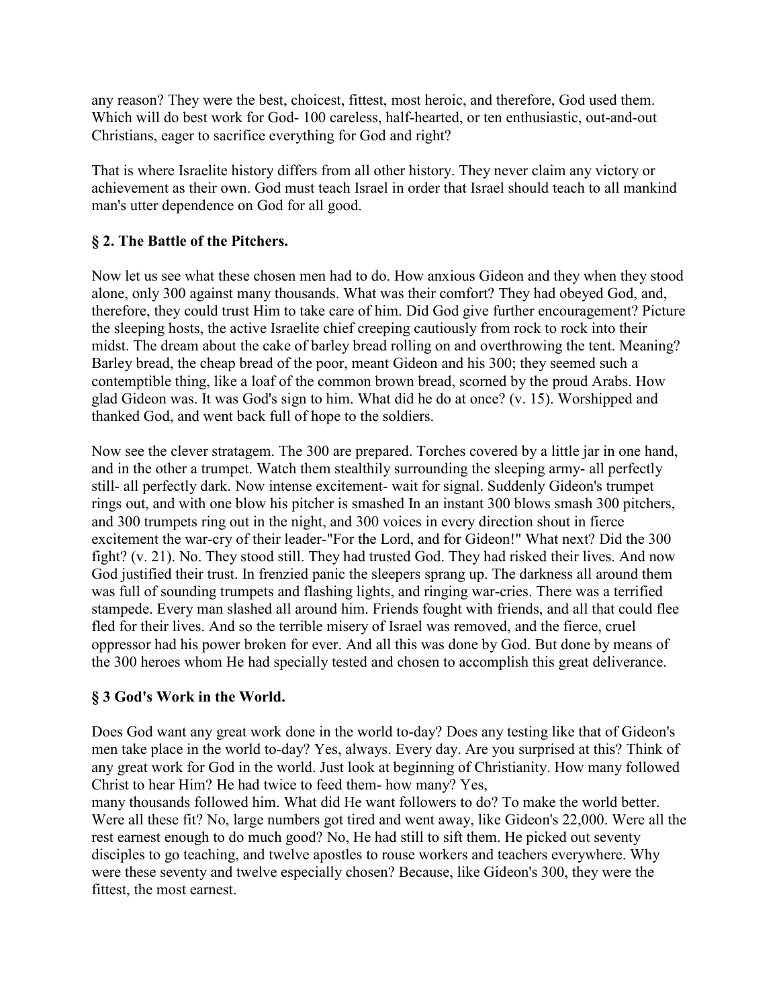any reason? They were the best, choicest, fittest, most heroic, and therefore, God used them. Which will do best work for God- 100 careless, half-hearted, or ten enthusiastic, out-and-out Christians, eager to sacrifice everything for God and right?

That is where Israelite history differs from all other history. They never claim any victory or achievement as their own. God must teach Israel in order that Israel should teach to all mankind man's utter dependence on God for all good.

# **§ 2. The Battle of the Pitchers.**

Now let us see what these chosen men had to do. How anxious Gideon and they when they stood alone, only 300 against many thousands. What was their comfort? They had obeyed God, and, therefore, they could trust Him to take care of him. Did God give further encouragement? Picture the sleeping hosts, the active Israelite chief creeping cautiously from rock to rock into their midst. The dream about the cake of barley bread rolling on and overthrowing the tent. Meaning? Barley bread, the cheap bread of the poor, meant Gideon and his 300; they seemed such a contemptible thing, like a loaf of the common brown bread, scorned by the proud Arabs. How glad Gideon was. It was God's sign to him. What did he do at once? (v. 15). Worshipped and thanked God, and went back full of hope to the soldiers.

Now see the clever stratagem. The 300 are prepared. Torches covered by a little jar in one hand, and in the other a trumpet. Watch them stealthily surrounding the sleeping army- all perfectly still- all perfectly dark. Now intense excitement- wait for signal. Suddenly Gideon's trumpet rings out, and with one blow his pitcher is smashed In an instant 300 blows smash 300 pitchers, and 300 trumpets ring out in the night, and 300 voices in every direction shout in fierce excitement the war-cry of their leader-"For the Lord, and for Gideon!" What next? Did the 300 fight? (v. 21). No. They stood still. They had trusted God. They had risked their lives. And now God justified their trust. In frenzied panic the sleepers sprang up. The darkness all around them was full of sounding trumpets and flashing lights, and ringing war-cries. There was a terrified stampede. Every man slashed all around him. Friends fought with friends, and all that could flee fled for their lives. And so the terrible misery of Israel was removed, and the fierce, cruel oppressor had his power broken for ever. And all this was done by God. But done by means of the 300 heroes whom He had specially tested and chosen to accomplish this great deliverance.

# **§ 3 God's Work in the World.**

Does God want any great work done in the world to-day? Does any testing like that of Gideon's men take place in the world to-day? Yes, always. Every day. Are you surprised at this? Think of any great work for God in the world. Just look at beginning of Christianity. How many followed Christ to hear Him? He had twice to feed them- how many? Yes,

many thousands followed him. What did He want followers to do? To make the world better. Were all these fit? No, large numbers got tired and went away, like Gideon's 22,000. Were all the rest earnest enough to do much good? No, He had still to sift them. He picked out seventy disciples to go teaching, and twelve apostles to rouse workers and teachers everywhere. Why were these seventy and twelve especially chosen? Because, like Gideon's 300, they were the fittest, the most earnest.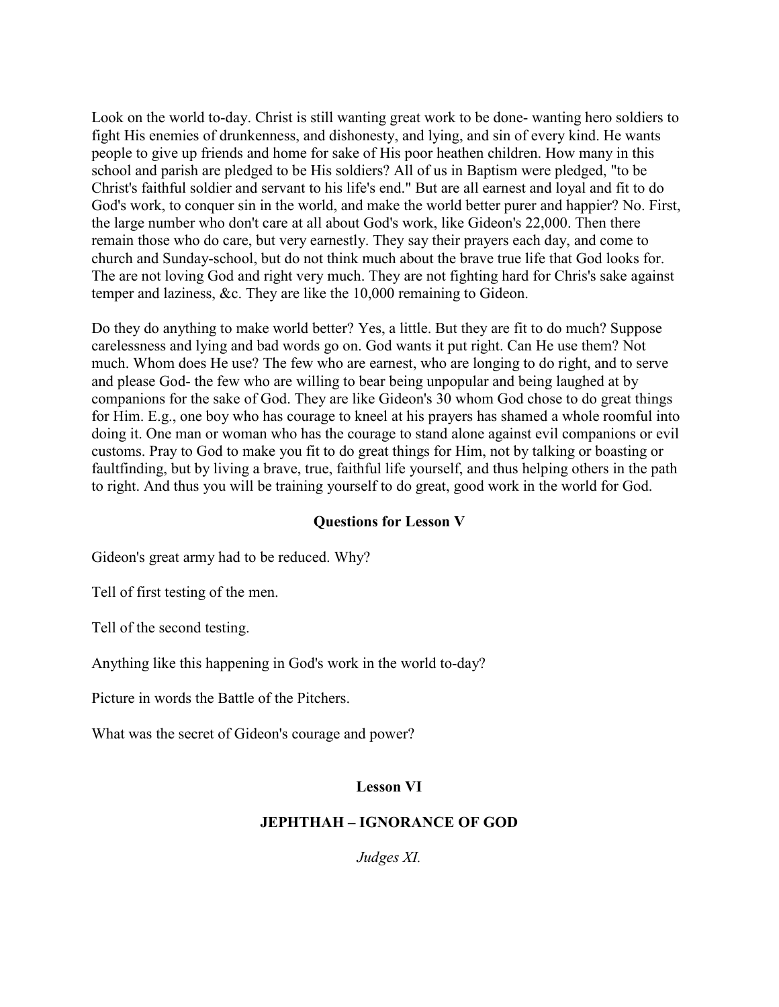Look on the world to-day. Christ is still wanting great work to be done- wanting hero soldiers to fight His enemies of drunkenness, and dishonesty, and lying, and sin of every kind. He wants people to give up friends and home for sake of His poor heathen children. How many in this school and parish are pledged to be His soldiers? All of us in Baptism were pledged, "to be Christ's faithful soldier and servant to his life's end." But are all earnest and loyal and fit to do God's work, to conquer sin in the world, and make the world better purer and happier? No. First, the large number who don't care at all about God's work, like Gideon's 22,000. Then there remain those who do care, but very earnestly. They say their prayers each day, and come to church and Sunday-school, but do not think much about the brave true life that God looks for. The are not loving God and right very much. They are not fighting hard for Chris's sake against temper and laziness, &c. They are like the 10,000 remaining to Gideon.

Do they do anything to make world better? Yes, a little. But they are fit to do much? Suppose carelessness and lying and bad words go on. God wants it put right. Can He use them? Not much. Whom does He use? The few who are earnest, who are longing to do right, and to serve and please God- the few who are willing to bear being unpopular and being laughed at by companions for the sake of God. They are like Gideon's 30 whom God chose to do great things for Him. E.g., one boy who has courage to kneel at his prayers has shamed a whole roomful into doing it. One man or woman who has the courage to stand alone against evil companions or evil customs. Pray to God to make you fit to do great things for Him, not by talking or boasting or faultfinding, but by living a brave, true, faithful life yourself, and thus helping others in the path to right. And thus you will be training yourself to do great, good work in the world for God.

#### **Questions for Lesson V**

Gideon's great army had to be reduced. Why?

Tell of first testing of the men.

Tell of the second testing.

Anything like this happening in God's work in the world to-day?

Picture in words the Battle of the Pitchers.

What was the secret of Gideon's courage and power?

#### **Lesson VI**

#### **JEPHTHAH – IGNORANCE OF GOD**

*Judges XI.*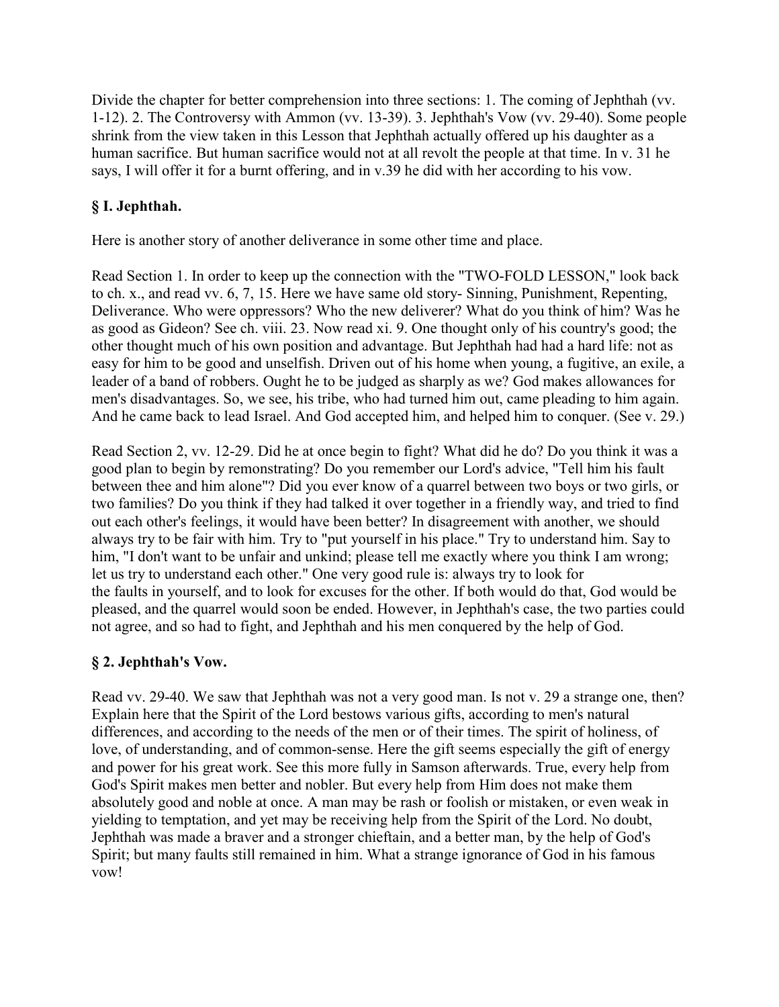Divide the chapter for better comprehension into three sections: 1. The coming of Jephthah (vv. 1-12). 2. The Controversy with Ammon (vv. 13-39). 3. Jephthah's Vow (vv. 29-40). Some people shrink from the view taken in this Lesson that Jephthah actually offered up his daughter as a human sacrifice. But human sacrifice would not at all revolt the people at that time. In v. 31 he says, I will offer it for a burnt offering, and in v.39 he did with her according to his vow.

# **§ I. Jephthah.**

Here is another story of another deliverance in some other time and place.

Read Section 1. In order to keep up the connection with the "TWO-FOLD LESSON," look back to ch. x., and read vv. 6, 7, 15. Here we have same old story- Sinning, Punishment, Repenting, Deliverance. Who were oppressors? Who the new deliverer? What do you think of him? Was he as good as Gideon? See ch. viii. 23. Now read xi. 9. One thought only of his country's good; the other thought much of his own position and advantage. But Jephthah had had a hard life: not as easy for him to be good and unselfish. Driven out of his home when young, a fugitive, an exile, a leader of a band of robbers. Ought he to be judged as sharply as we? God makes allowances for men's disadvantages. So, we see, his tribe, who had turned him out, came pleading to him again. And he came back to lead Israel. And God accepted him, and helped him to conquer. (See v. 29.)

Read Section 2, vv. 12-29. Did he at once begin to fight? What did he do? Do you think it was a good plan to begin by remonstrating? Do you remember our Lord's advice, "Tell him his fault between thee and him alone"? Did you ever know of a quarrel between two boys or two girls, or two families? Do you think if they had talked it over together in a friendly way, and tried to find out each other's feelings, it would have been better? In disagreement with another, we should always try to be fair with him. Try to "put yourself in his place." Try to understand him. Say to him, "I don't want to be unfair and unkind; please tell me exactly where you think I am wrong; let us try to understand each other." One very good rule is: always try to look for the faults in yourself, and to look for excuses for the other. If both would do that, God would be pleased, and the quarrel would soon be ended. However, in Jephthah's case, the two parties could not agree, and so had to fight, and Jephthah and his men conquered by the help of God.

# **§ 2. Jephthah's Vow.**

Read vv. 29-40. We saw that Jephthah was not a very good man. Is not v. 29 a strange one, then? Explain here that the Spirit of the Lord bestows various gifts, according to men's natural differences, and according to the needs of the men or of their times. The spirit of holiness, of love, of understanding, and of common-sense. Here the gift seems especially the gift of energy and power for his great work. See this more fully in Samson afterwards. True, every help from God's Spirit makes men better and nobler. But every help from Him does not make them absolutely good and noble at once. A man may be rash or foolish or mistaken, or even weak in yielding to temptation, and yet may be receiving help from the Spirit of the Lord. No doubt, Jephthah was made a braver and a stronger chieftain, and a better man, by the help of God's Spirit; but many faults still remained in him. What a strange ignorance of God in his famous vow!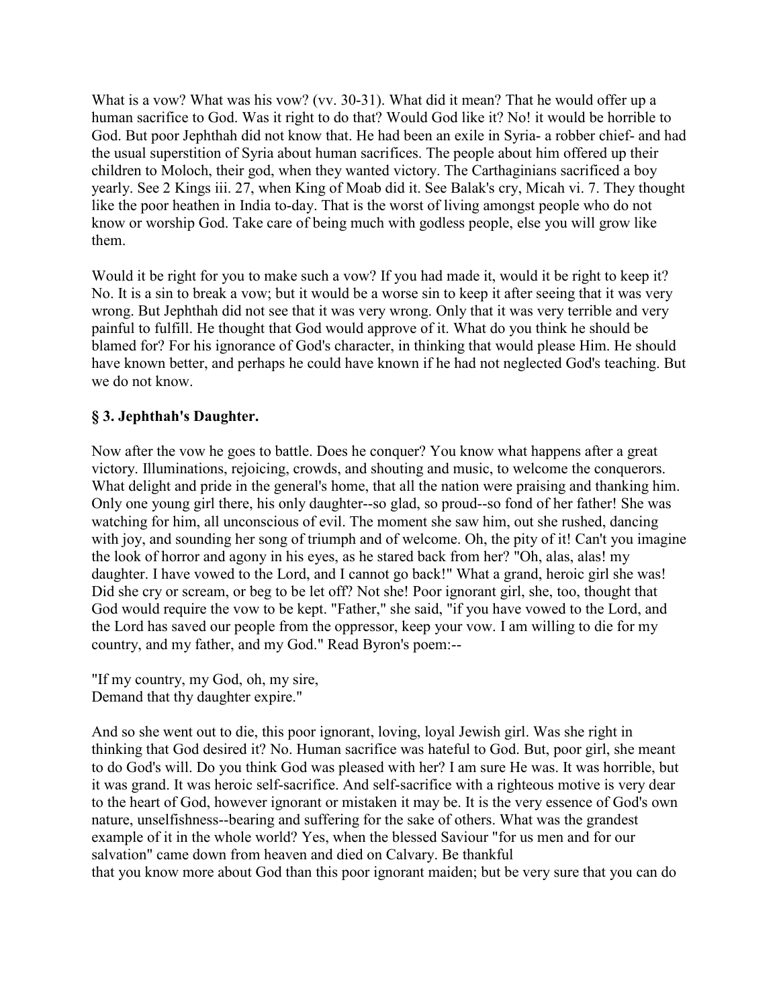What is a vow? What was his vow? (vv. 30-31). What did it mean? That he would offer up a human sacrifice to God. Was it right to do that? Would God like it? No! it would be horrible to God. But poor Jephthah did not know that. He had been an exile in Syria- a robber chief- and had the usual superstition of Syria about human sacrifices. The people about him offered up their children to Moloch, their god, when they wanted victory. The Carthaginians sacrificed a boy yearly. See 2 Kings iii. 27, when King of Moab did it. See Balak's cry, Micah vi. 7. They thought like the poor heathen in India to-day. That is the worst of living amongst people who do not know or worship God. Take care of being much with godless people, else you will grow like them.

Would it be right for you to make such a vow? If you had made it, would it be right to keep it? No. It is a sin to break a vow; but it would be a worse sin to keep it after seeing that it was very wrong. But Jephthah did not see that it was very wrong. Only that it was very terrible and very painful to fulfill. He thought that God would approve of it. What do you think he should be blamed for? For his ignorance of God's character, in thinking that would please Him. He should have known better, and perhaps he could have known if he had not neglected God's teaching. But we do not know.

# **§ 3. Jephthah's Daughter.**

Now after the vow he goes to battle. Does he conquer? You know what happens after a great victory. Illuminations, rejoicing, crowds, and shouting and music, to welcome the conquerors. What delight and pride in the general's home, that all the nation were praising and thanking him. Only one young girl there, his only daughter--so glad, so proud--so fond of her father! She was watching for him, all unconscious of evil. The moment she saw him, out she rushed, dancing with joy, and sounding her song of triumph and of welcome. Oh, the pity of it! Can't you imagine the look of horror and agony in his eyes, as he stared back from her? "Oh, alas, alas! my daughter. I have vowed to the Lord, and I cannot go back!" What a grand, heroic girl she was! Did she cry or scream, or beg to be let off? Not she! Poor ignorant girl, she, too, thought that God would require the vow to be kept. "Father," she said, "if you have vowed to the Lord, and the Lord has saved our people from the oppressor, keep your vow. I am willing to die for my country, and my father, and my God." Read Byron's poem:--

"If my country, my God, oh, my sire, Demand that thy daughter expire."

And so she went out to die, this poor ignorant, loving, loyal Jewish girl. Was she right in thinking that God desired it? No. Human sacrifice was hateful to God. But, poor girl, she meant to do God's will. Do you think God was pleased with her? I am sure He was. It was horrible, but it was grand. It was heroic self-sacrifice. And self-sacrifice with a righteous motive is very dear to the heart of God, however ignorant or mistaken it may be. It is the very essence of God's own nature, unselfishness--bearing and suffering for the sake of others. What was the grandest example of it in the whole world? Yes, when the blessed Saviour "for us men and for our salvation" came down from heaven and died on Calvary. Be thankful that you know more about God than this poor ignorant maiden; but be very sure that you can do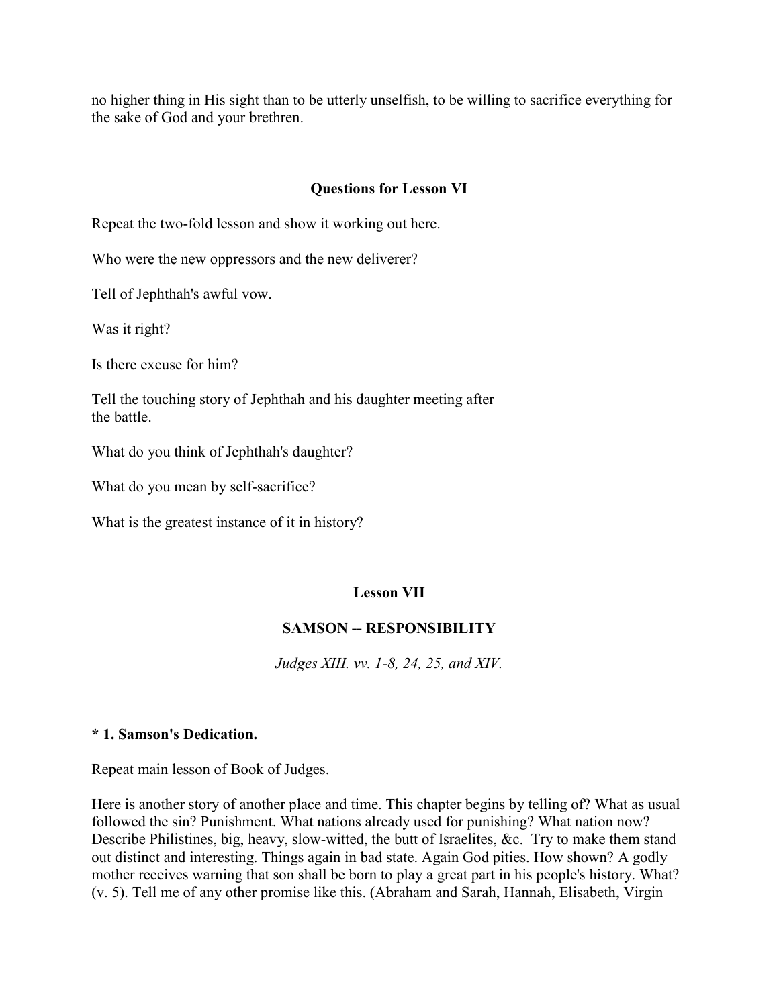no higher thing in His sight than to be utterly unselfish, to be willing to sacrifice everything for the sake of God and your brethren.

## **Questions for Lesson VI**

Repeat the two-fold lesson and show it working out here.

Who were the new oppressors and the new deliverer?

Tell of Jephthah's awful vow.

Was it right?

Is there excuse for him?

Tell the touching story of Jephthah and his daughter meeting after the battle.

What do you think of Jephthah's daughter?

What do you mean by self-sacrifice?

What is the greatest instance of it in history?

## **Lesson VII**

## **SAMSON -- RESPONSIBILITY**

*Judges XIII. vv. 1-8, 24, 25, and XIV.*

#### **\* 1. Samson's Dedication.**

Repeat main lesson of Book of Judges.

Here is another story of another place and time. This chapter begins by telling of? What as usual followed the sin? Punishment. What nations already used for punishing? What nation now? Describe Philistines, big, heavy, slow-witted, the butt of Israelites, &c. Try to make them stand out distinct and interesting. Things again in bad state. Again God pities. How shown? A godly mother receives warning that son shall be born to play a great part in his people's history. What? (v. 5). Tell me of any other promise like this. (Abraham and Sarah, Hannah, Elisabeth, Virgin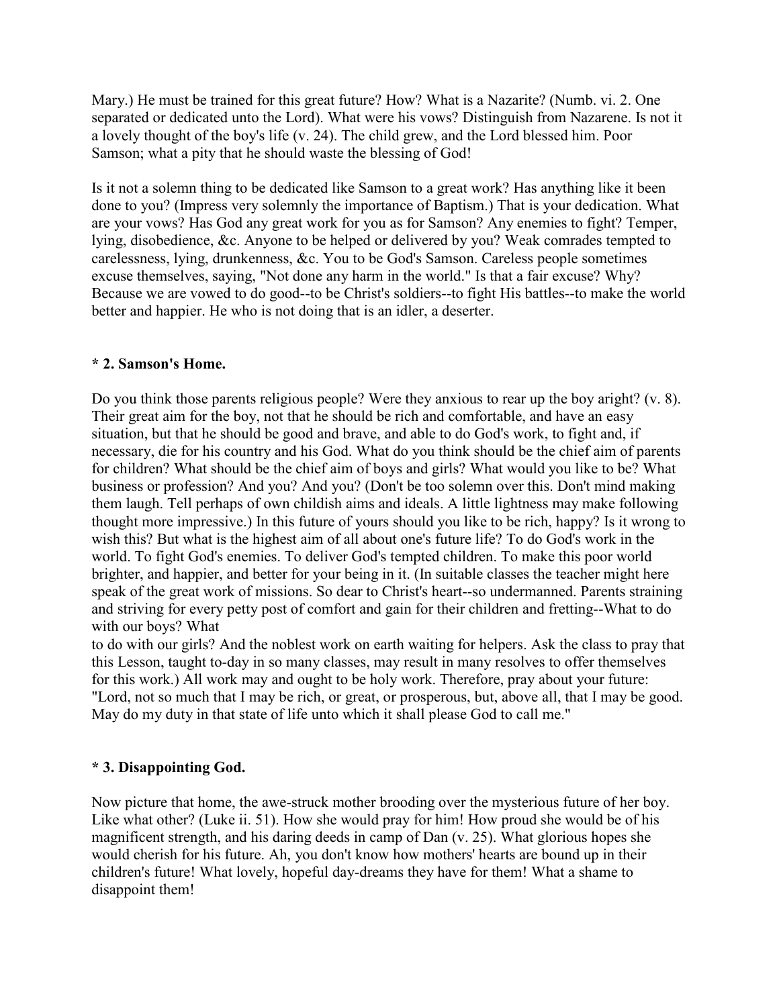Mary.) He must be trained for this great future? How? What is a Nazarite? (Numb. vi. 2. One separated or dedicated unto the Lord). What were his vows? Distinguish from Nazarene. Is not it a lovely thought of the boy's life (v. 24). The child grew, and the Lord blessed him. Poor Samson; what a pity that he should waste the blessing of God!

Is it not a solemn thing to be dedicated like Samson to a great work? Has anything like it been done to you? (Impress very solemnly the importance of Baptism.) That is your dedication. What are your vows? Has God any great work for you as for Samson? Any enemies to fight? Temper, lying, disobedience, &c. Anyone to be helped or delivered by you? Weak comrades tempted to carelessness, lying, drunkenness, &c. You to be God's Samson. Careless people sometimes excuse themselves, saying, "Not done any harm in the world." Is that a fair excuse? Why? Because we are vowed to do good--to be Christ's soldiers--to fight His battles--to make the world better and happier. He who is not doing that is an idler, a deserter.

#### **\* 2. Samson's Home.**

Do you think those parents religious people? Were they anxious to rear up the boy aright? (v. 8). Their great aim for the boy, not that he should be rich and comfortable, and have an easy situation, but that he should be good and brave, and able to do God's work, to fight and, if necessary, die for his country and his God. What do you think should be the chief aim of parents for children? What should be the chief aim of boys and girls? What would you like to be? What business or profession? And you? And you? (Don't be too solemn over this. Don't mind making them laugh. Tell perhaps of own childish aims and ideals. A little lightness may make following thought more impressive.) In this future of yours should you like to be rich, happy? Is it wrong to wish this? But what is the highest aim of all about one's future life? To do God's work in the world. To fight God's enemies. To deliver God's tempted children. To make this poor world brighter, and happier, and better for your being in it. (In suitable classes the teacher might here speak of the great work of missions. So dear to Christ's heart--so undermanned. Parents straining and striving for every petty post of comfort and gain for their children and fretting--What to do with our boys? What

to do with our girls? And the noblest work on earth waiting for helpers. Ask the class to pray that this Lesson, taught to-day in so many classes, may result in many resolves to offer themselves for this work.) All work may and ought to be holy work. Therefore, pray about your future: "Lord, not so much that I may be rich, or great, or prosperous, but, above all, that I may be good. May do my duty in that state of life unto which it shall please God to call me."

## **\* 3. Disappointing God.**

Now picture that home, the awe-struck mother brooding over the mysterious future of her boy. Like what other? (Luke ii. 51). How she would pray for him! How proud she would be of his magnificent strength, and his daring deeds in camp of Dan (v. 25). What glorious hopes she would cherish for his future. Ah, you don't know how mothers' hearts are bound up in their children's future! What lovely, hopeful day-dreams they have for them! What a shame to disappoint them!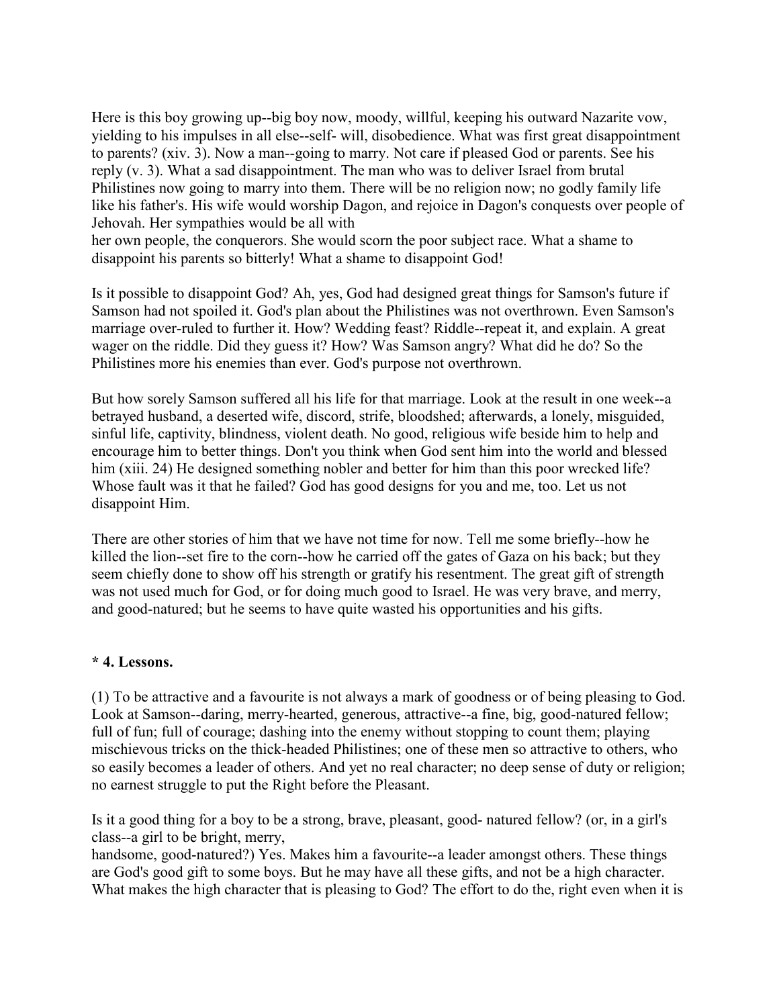Here is this boy growing up--big boy now, moody, willful, keeping his outward Nazarite vow, yielding to his impulses in all else--self- will, disobedience. What was first great disappointment to parents? (xiv. 3). Now a man--going to marry. Not care if pleased God or parents. See his reply (v. 3). What a sad disappointment. The man who was to deliver Israel from brutal Philistines now going to marry into them. There will be no religion now; no godly family life like his father's. His wife would worship Dagon, and rejoice in Dagon's conquests over people of Jehovah. Her sympathies would be all with

her own people, the conquerors. She would scorn the poor subject race. What a shame to disappoint his parents so bitterly! What a shame to disappoint God!

Is it possible to disappoint God? Ah, yes, God had designed great things for Samson's future if Samson had not spoiled it. God's plan about the Philistines was not overthrown. Even Samson's marriage over-ruled to further it. How? Wedding feast? Riddle--repeat it, and explain. A great wager on the riddle. Did they guess it? How? Was Samson angry? What did he do? So the Philistines more his enemies than ever. God's purpose not overthrown.

But how sorely Samson suffered all his life for that marriage. Look at the result in one week--a betrayed husband, a deserted wife, discord, strife, bloodshed; afterwards, a lonely, misguided, sinful life, captivity, blindness, violent death. No good, religious wife beside him to help and encourage him to better things. Don't you think when God sent him into the world and blessed him (xiii. 24) He designed something nobler and better for him than this poor wrecked life? Whose fault was it that he failed? God has good designs for you and me, too. Let us not disappoint Him.

There are other stories of him that we have not time for now. Tell me some briefly--how he killed the lion--set fire to the corn--how he carried off the gates of Gaza on his back; but they seem chiefly done to show off his strength or gratify his resentment. The great gift of strength was not used much for God, or for doing much good to Israel. He was very brave, and merry, and good-natured; but he seems to have quite wasted his opportunities and his gifts.

#### **\* 4. Lessons.**

(1) To be attractive and a favourite is not always a mark of goodness or of being pleasing to God. Look at Samson--daring, merry-hearted, generous, attractive--a fine, big, good-natured fellow; full of fun; full of courage; dashing into the enemy without stopping to count them; playing mischievous tricks on the thick-headed Philistines; one of these men so attractive to others, who so easily becomes a leader of others. And yet no real character; no deep sense of duty or religion; no earnest struggle to put the Right before the Pleasant.

Is it a good thing for a boy to be a strong, brave, pleasant, good- natured fellow? (or, in a girl's class--a girl to be bright, merry,

handsome, good-natured?) Yes. Makes him a favourite--a leader amongst others. These things are God's good gift to some boys. But he may have all these gifts, and not be a high character. What makes the high character that is pleasing to God? The effort to do the, right even when it is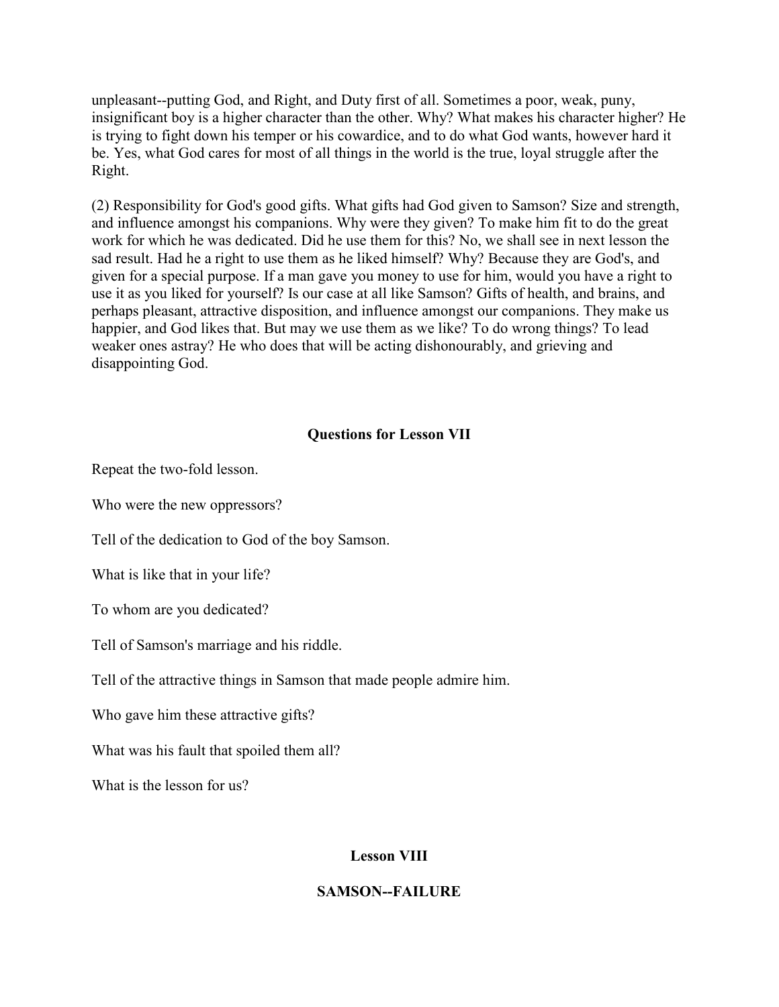unpleasant--putting God, and Right, and Duty first of all. Sometimes a poor, weak, puny, insignificant boy is a higher character than the other. Why? What makes his character higher? He is trying to fight down his temper or his cowardice, and to do what God wants, however hard it be. Yes, what God cares for most of all things in the world is the true, loyal struggle after the Right.

(2) Responsibility for God's good gifts. What gifts had God given to Samson? Size and strength, and influence amongst his companions. Why were they given? To make him fit to do the great work for which he was dedicated. Did he use them for this? No, we shall see in next lesson the sad result. Had he a right to use them as he liked himself? Why? Because they are God's, and given for a special purpose. If a man gave you money to use for him, would you have a right to use it as you liked for yourself? Is our case at all like Samson? Gifts of health, and brains, and perhaps pleasant, attractive disposition, and influence amongst our companions. They make us happier, and God likes that. But may we use them as we like? To do wrong things? To lead weaker ones astray? He who does that will be acting dishonourably, and grieving and disappointing God.

## **Questions for Lesson VII**

Repeat the two-fold lesson.

Who were the new oppressors?

Tell of the dedication to God of the boy Samson.

What is like that in your life?

To whom are you dedicated?

Tell of Samson's marriage and his riddle.

Tell of the attractive things in Samson that made people admire him.

Who gave him these attractive gifts?

What was his fault that spoiled them all?

What is the lesson for us?

# **Lesson VIII**

## **SAMSON--FAILURE**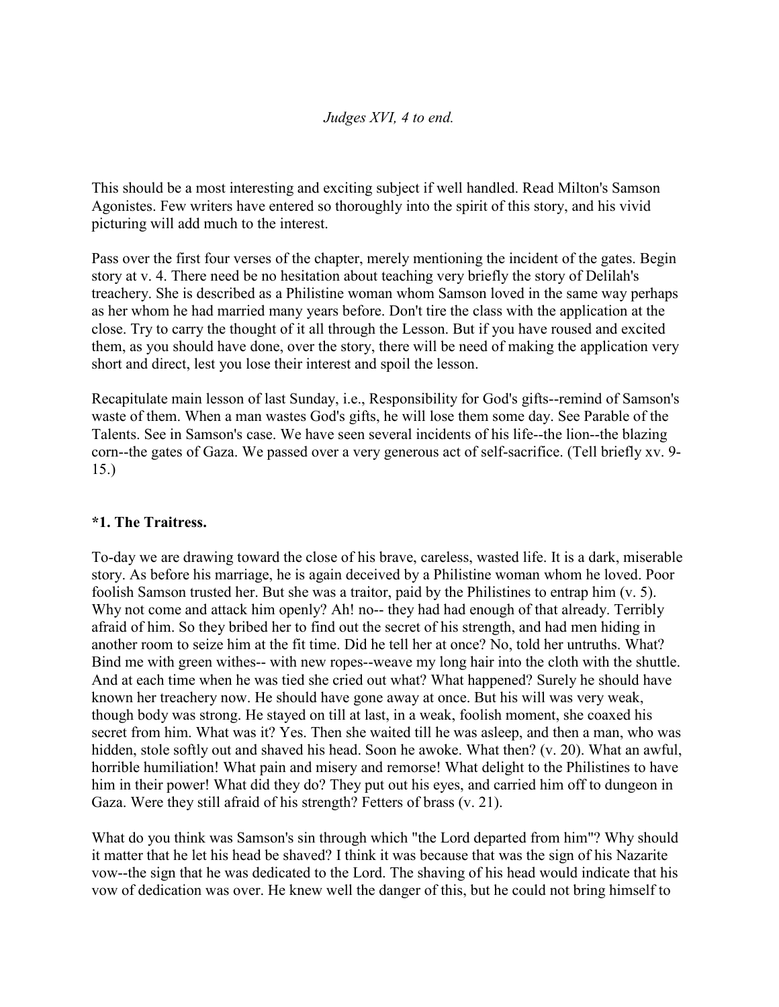#### *Judges XVI, 4 to end.*

This should be a most interesting and exciting subject if well handled. Read Milton's Samson Agonistes. Few writers have entered so thoroughly into the spirit of this story, and his vivid picturing will add much to the interest.

Pass over the first four verses of the chapter, merely mentioning the incident of the gates. Begin story at v. 4. There need be no hesitation about teaching very briefly the story of Delilah's treachery. She is described as a Philistine woman whom Samson loved in the same way perhaps as her whom he had married many years before. Don't tire the class with the application at the close. Try to carry the thought of it all through the Lesson. But if you have roused and excited them, as you should have done, over the story, there will be need of making the application very short and direct, lest you lose their interest and spoil the lesson.

Recapitulate main lesson of last Sunday, i.e., Responsibility for God's gifts--remind of Samson's waste of them. When a man wastes God's gifts, he will lose them some day. See Parable of the Talents. See in Samson's case. We have seen several incidents of his life--the lion--the blazing corn--the gates of Gaza. We passed over a very generous act of self-sacrifice. (Tell briefly xv. 9- 15.)

## **\*1. The Traitress.**

To-day we are drawing toward the close of his brave, careless, wasted life. It is a dark, miserable story. As before his marriage, he is again deceived by a Philistine woman whom he loved. Poor foolish Samson trusted her. But she was a traitor, paid by the Philistines to entrap him (v. 5). Why not come and attack him openly? Ah! no-- they had had enough of that already. Terribly afraid of him. So they bribed her to find out the secret of his strength, and had men hiding in another room to seize him at the fit time. Did he tell her at once? No, told her untruths. What? Bind me with green withes-- with new ropes--weave my long hair into the cloth with the shuttle. And at each time when he was tied she cried out what? What happened? Surely he should have known her treachery now. He should have gone away at once. But his will was very weak, though body was strong. He stayed on till at last, in a weak, foolish moment, she coaxed his secret from him. What was it? Yes. Then she waited till he was asleep, and then a man, who was hidden, stole softly out and shaved his head. Soon he awoke. What then? (v. 20). What an awful, horrible humiliation! What pain and misery and remorse! What delight to the Philistines to have him in their power! What did they do? They put out his eyes, and carried him off to dungeon in Gaza. Were they still afraid of his strength? Fetters of brass (v. 21).

What do you think was Samson's sin through which "the Lord departed from him"? Why should it matter that he let his head be shaved? I think it was because that was the sign of his Nazarite vow--the sign that he was dedicated to the Lord. The shaving of his head would indicate that his vow of dedication was over. He knew well the danger of this, but he could not bring himself to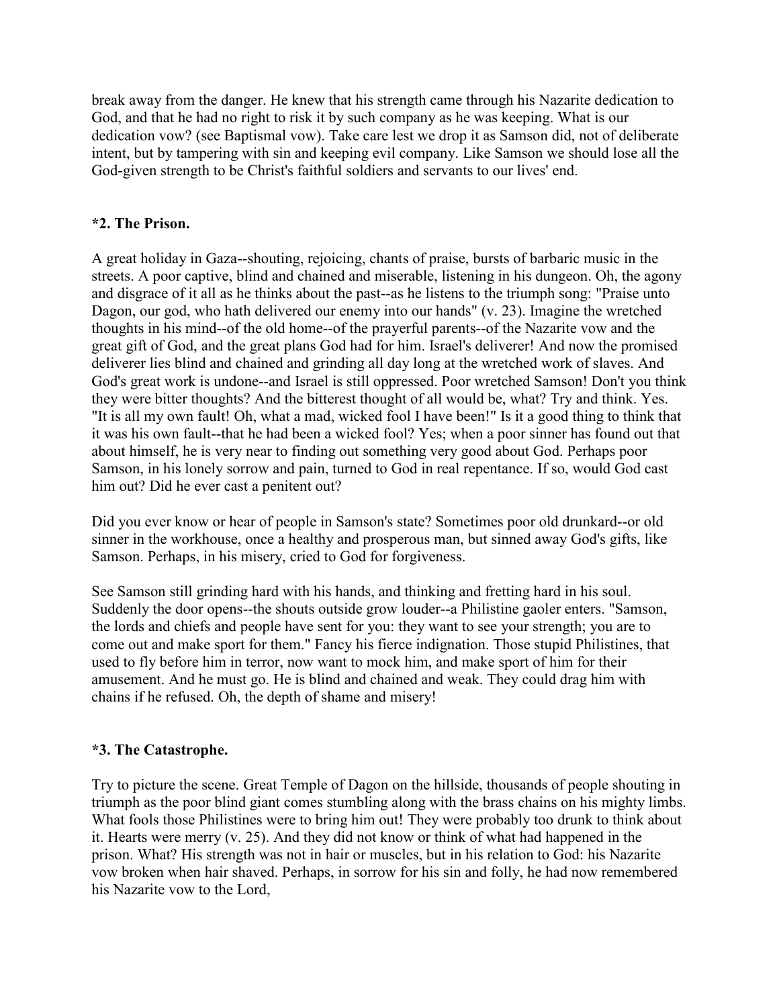break away from the danger. He knew that his strength came through his Nazarite dedication to God, and that he had no right to risk it by such company as he was keeping. What is our dedication vow? (see Baptismal vow). Take care lest we drop it as Samson did, not of deliberate intent, but by tampering with sin and keeping evil company. Like Samson we should lose all the God-given strength to be Christ's faithful soldiers and servants to our lives' end.

## **\*2. The Prison.**

A great holiday in Gaza--shouting, rejoicing, chants of praise, bursts of barbaric music in the streets. A poor captive, blind and chained and miserable, listening in his dungeon. Oh, the agony and disgrace of it all as he thinks about the past--as he listens to the triumph song: "Praise unto Dagon, our god, who hath delivered our enemy into our hands" (v. 23). Imagine the wretched thoughts in his mind--of the old home--of the prayerful parents--of the Nazarite vow and the great gift of God, and the great plans God had for him. Israel's deliverer! And now the promised deliverer lies blind and chained and grinding all day long at the wretched work of slaves. And God's great work is undone--and Israel is still oppressed. Poor wretched Samson! Don't you think they were bitter thoughts? And the bitterest thought of all would be, what? Try and think. Yes. "It is all my own fault! Oh, what a mad, wicked fool I have been!" Is it a good thing to think that it was his own fault--that he had been a wicked fool? Yes; when a poor sinner has found out that about himself, he is very near to finding out something very good about God. Perhaps poor Samson, in his lonely sorrow and pain, turned to God in real repentance. If so, would God cast him out? Did he ever cast a penitent out?

Did you ever know or hear of people in Samson's state? Sometimes poor old drunkard--or old sinner in the workhouse, once a healthy and prosperous man, but sinned away God's gifts, like Samson. Perhaps, in his misery, cried to God for forgiveness.

See Samson still grinding hard with his hands, and thinking and fretting hard in his soul. Suddenly the door opens--the shouts outside grow louder--a Philistine gaoler enters. "Samson, the lords and chiefs and people have sent for you: they want to see your strength; you are to come out and make sport for them." Fancy his fierce indignation. Those stupid Philistines, that used to fly before him in terror, now want to mock him, and make sport of him for their amusement. And he must go. He is blind and chained and weak. They could drag him with chains if he refused. Oh, the depth of shame and misery!

## **\*3. The Catastrophe.**

Try to picture the scene. Great Temple of Dagon on the hillside, thousands of people shouting in triumph as the poor blind giant comes stumbling along with the brass chains on his mighty limbs. What fools those Philistines were to bring him out! They were probably too drunk to think about it. Hearts were merry (v. 25). And they did not know or think of what had happened in the prison. What? His strength was not in hair or muscles, but in his relation to God: his Nazarite vow broken when hair shaved. Perhaps, in sorrow for his sin and folly, he had now remembered his Nazarite vow to the Lord,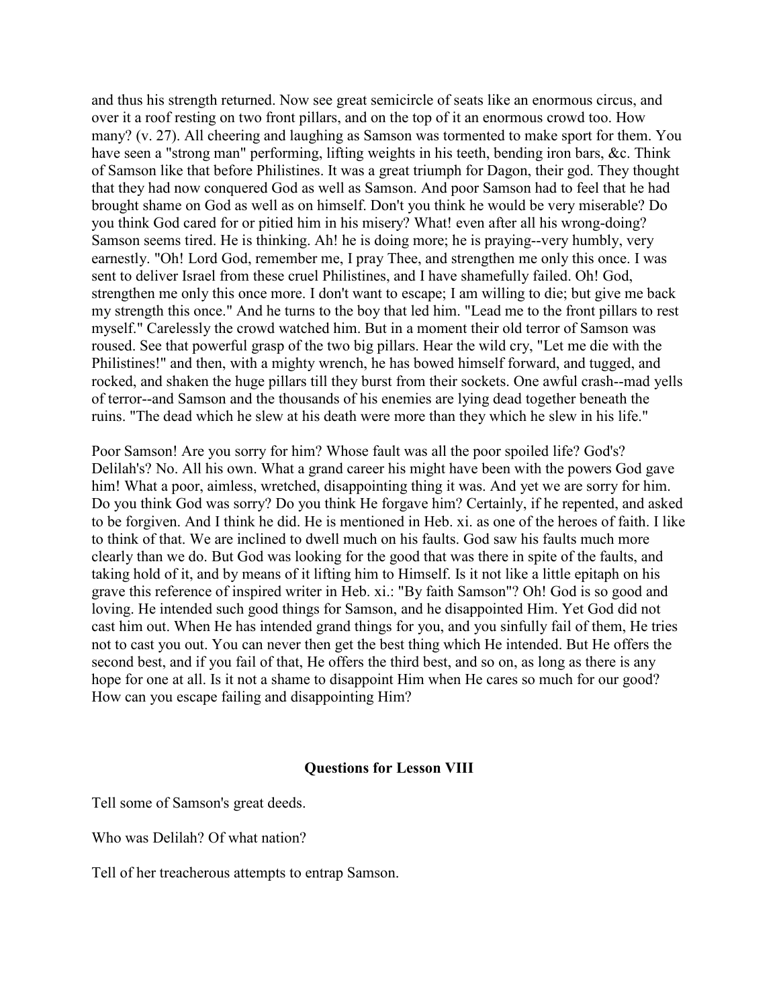and thus his strength returned. Now see great semicircle of seats like an enormous circus, and over it a roof resting on two front pillars, and on the top of it an enormous crowd too. How many? (v. 27). All cheering and laughing as Samson was tormented to make sport for them. You have seen a "strong man" performing, lifting weights in his teeth, bending iron bars, &c. Think of Samson like that before Philistines. It was a great triumph for Dagon, their god. They thought that they had now conquered God as well as Samson. And poor Samson had to feel that he had brought shame on God as well as on himself. Don't you think he would be very miserable? Do you think God cared for or pitied him in his misery? What! even after all his wrong-doing? Samson seems tired. He is thinking. Ah! he is doing more; he is praying--very humbly, very earnestly. "Oh! Lord God, remember me, I pray Thee, and strengthen me only this once. I was sent to deliver Israel from these cruel Philistines, and I have shamefully failed. Oh! God, strengthen me only this once more. I don't want to escape; I am willing to die; but give me back my strength this once." And he turns to the boy that led him. "Lead me to the front pillars to rest myself." Carelessly the crowd watched him. But in a moment their old terror of Samson was roused. See that powerful grasp of the two big pillars. Hear the wild cry, "Let me die with the Philistines!" and then, with a mighty wrench, he has bowed himself forward, and tugged, and rocked, and shaken the huge pillars till they burst from their sockets. One awful crash--mad yells of terror--and Samson and the thousands of his enemies are lying dead together beneath the ruins. "The dead which he slew at his death were more than they which he slew in his life."

Poor Samson! Are you sorry for him? Whose fault was all the poor spoiled life? God's? Delilah's? No. All his own. What a grand career his might have been with the powers God gave him! What a poor, aimless, wretched, disappointing thing it was. And yet we are sorry for him. Do you think God was sorry? Do you think He forgave him? Certainly, if he repented, and asked to be forgiven. And I think he did. He is mentioned in Heb. xi. as one of the heroes of faith. I like to think of that. We are inclined to dwell much on his faults. God saw his faults much more clearly than we do. But God was looking for the good that was there in spite of the faults, and taking hold of it, and by means of it lifting him to Himself. Is it not like a little epitaph on his grave this reference of inspired writer in Heb. xi.: "By faith Samson"? Oh! God is so good and loving. He intended such good things for Samson, and he disappointed Him. Yet God did not cast him out. When He has intended grand things for you, and you sinfully fail of them, He tries not to cast you out. You can never then get the best thing which He intended. But He offers the second best, and if you fail of that, He offers the third best, and so on, as long as there is any hope for one at all. Is it not a shame to disappoint Him when He cares so much for our good? How can you escape failing and disappointing Him?

#### **Questions for Lesson VIII**

Tell some of Samson's great deeds.

Who was Delilah? Of what nation?

Tell of her treacherous attempts to entrap Samson.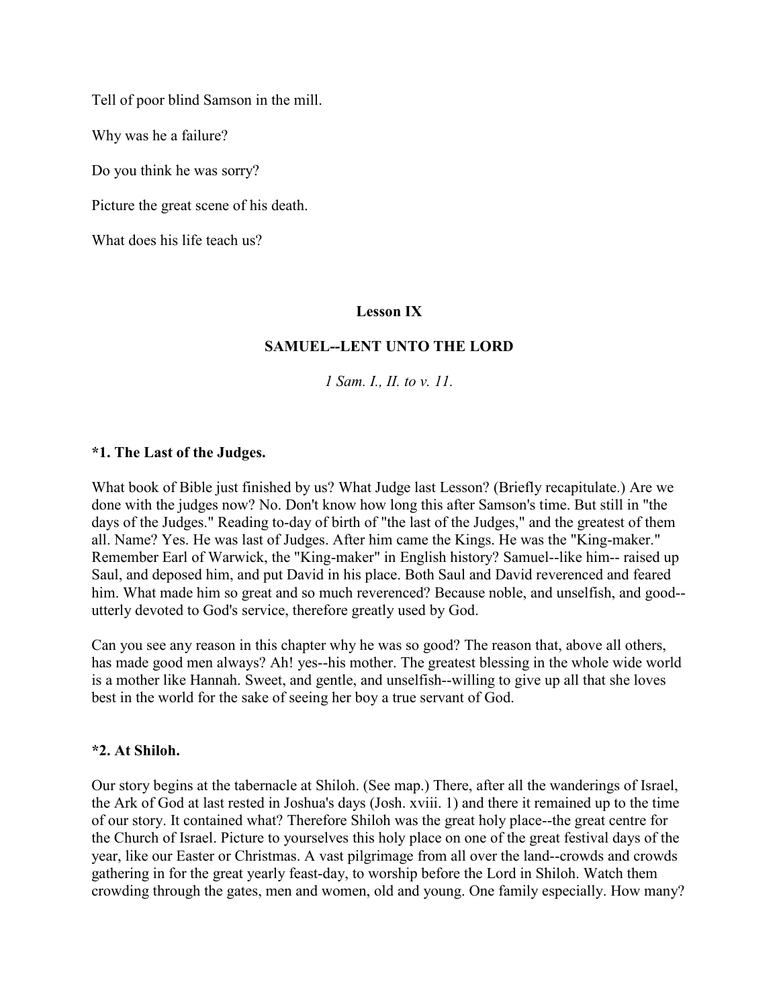Tell of poor blind Samson in the mill.

Why was he a failure?

Do you think he was sorry?

Picture the great scene of his death.

What does his life teach us?

#### **Lesson IX**

#### **SAMUEL--LENT UNTO THE LORD**

*1 Sam. I., II. to v. 11.*

#### **\*1. The Last of the Judges.**

What book of Bible just finished by us? What Judge last Lesson? (Briefly recapitulate.) Are we done with the judges now? No. Don't know how long this after Samson's time. But still in "the days of the Judges." Reading to-day of birth of "the last of the Judges," and the greatest of them all. Name? Yes. He was last of Judges. After him came the Kings. He was the "King-maker." Remember Earl of Warwick, the "King-maker" in English history? Samuel--like him-- raised up Saul, and deposed him, and put David in his place. Both Saul and David reverenced and feared him. What made him so great and so much reverenced? Because noble, and unselfish, and good-utterly devoted to God's service, therefore greatly used by God.

Can you see any reason in this chapter why he was so good? The reason that, above all others, has made good men always? Ah! yes--his mother. The greatest blessing in the whole wide world is a mother like Hannah. Sweet, and gentle, and unselfish--willing to give up all that she loves best in the world for the sake of seeing her boy a true servant of God.

#### **\*2. At Shiloh.**

Our story begins at the tabernacle at Shiloh. (See map.) There, after all the wanderings of Israel, the Ark of God at last rested in Joshua's days (Josh. xviii. 1) and there it remained up to the time of our story. It contained what? Therefore Shiloh was the great holy place--the great centre for the Church of Israel. Picture to yourselves this holy place on one of the great festival days of the year, like our Easter or Christmas. A vast pilgrimage from all over the land--crowds and crowds gathering in for the great yearly feast-day, to worship before the Lord in Shiloh. Watch them crowding through the gates, men and women, old and young. One family especially. How many?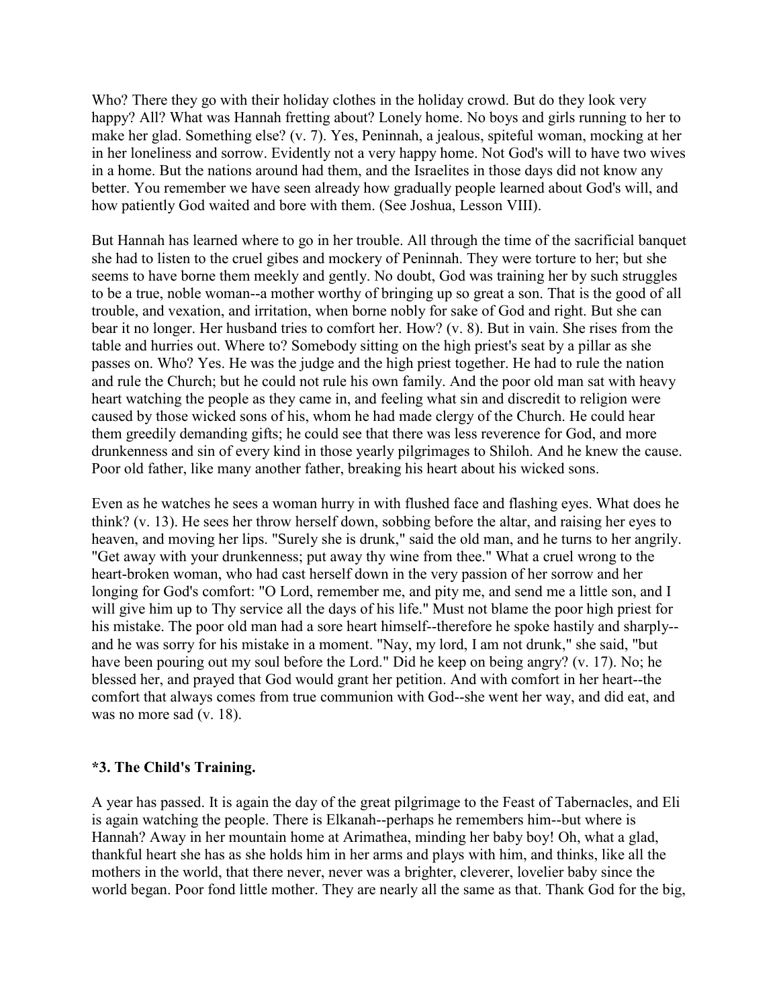Who? There they go with their holiday clothes in the holiday crowd. But do they look very happy? All? What was Hannah fretting about? Lonely home. No boys and girls running to her to make her glad. Something else? (v. 7). Yes, Peninnah, a jealous, spiteful woman, mocking at her in her loneliness and sorrow. Evidently not a very happy home. Not God's will to have two wives in a home. But the nations around had them, and the Israelites in those days did not know any better. You remember we have seen already how gradually people learned about God's will, and how patiently God waited and bore with them. (See Joshua, Lesson VIII).

But Hannah has learned where to go in her trouble. All through the time of the sacrificial banquet she had to listen to the cruel gibes and mockery of Peninnah. They were torture to her; but she seems to have borne them meekly and gently. No doubt, God was training her by such struggles to be a true, noble woman--a mother worthy of bringing up so great a son. That is the good of all trouble, and vexation, and irritation, when borne nobly for sake of God and right. But she can bear it no longer. Her husband tries to comfort her. How? (v. 8). But in vain. She rises from the table and hurries out. Where to? Somebody sitting on the high priest's seat by a pillar as she passes on. Who? Yes. He was the judge and the high priest together. He had to rule the nation and rule the Church; but he could not rule his own family. And the poor old man sat with heavy heart watching the people as they came in, and feeling what sin and discredit to religion were caused by those wicked sons of his, whom he had made clergy of the Church. He could hear them greedily demanding gifts; he could see that there was less reverence for God, and more drunkenness and sin of every kind in those yearly pilgrimages to Shiloh. And he knew the cause. Poor old father, like many another father, breaking his heart about his wicked sons.

Even as he watches he sees a woman hurry in with flushed face and flashing eyes. What does he think? (v. 13). He sees her throw herself down, sobbing before the altar, and raising her eyes to heaven, and moving her lips. "Surely she is drunk," said the old man, and he turns to her angrily. "Get away with your drunkenness; put away thy wine from thee." What a cruel wrong to the heart-broken woman, who had cast herself down in the very passion of her sorrow and her longing for God's comfort: "O Lord, remember me, and pity me, and send me a little son, and I will give him up to Thy service all the days of his life." Must not blame the poor high priest for his mistake. The poor old man had a sore heart himself--therefore he spoke hastily and sharply- and he was sorry for his mistake in a moment. "Nay, my lord, I am not drunk," she said, "but have been pouring out my soul before the Lord." Did he keep on being angry? (v. 17). No; he blessed her, and prayed that God would grant her petition. And with comfort in her heart--the comfort that always comes from true communion with God--she went her way, and did eat, and was no more sad (v. 18).

#### **\*3. The Child's Training.**

A year has passed. It is again the day of the great pilgrimage to the Feast of Tabernacles, and Eli is again watching the people. There is Elkanah--perhaps he remembers him--but where is Hannah? Away in her mountain home at Arimathea, minding her baby boy! Oh, what a glad, thankful heart she has as she holds him in her arms and plays with him, and thinks, like all the mothers in the world, that there never, never was a brighter, cleverer, lovelier baby since the world began. Poor fond little mother. They are nearly all the same as that. Thank God for the big,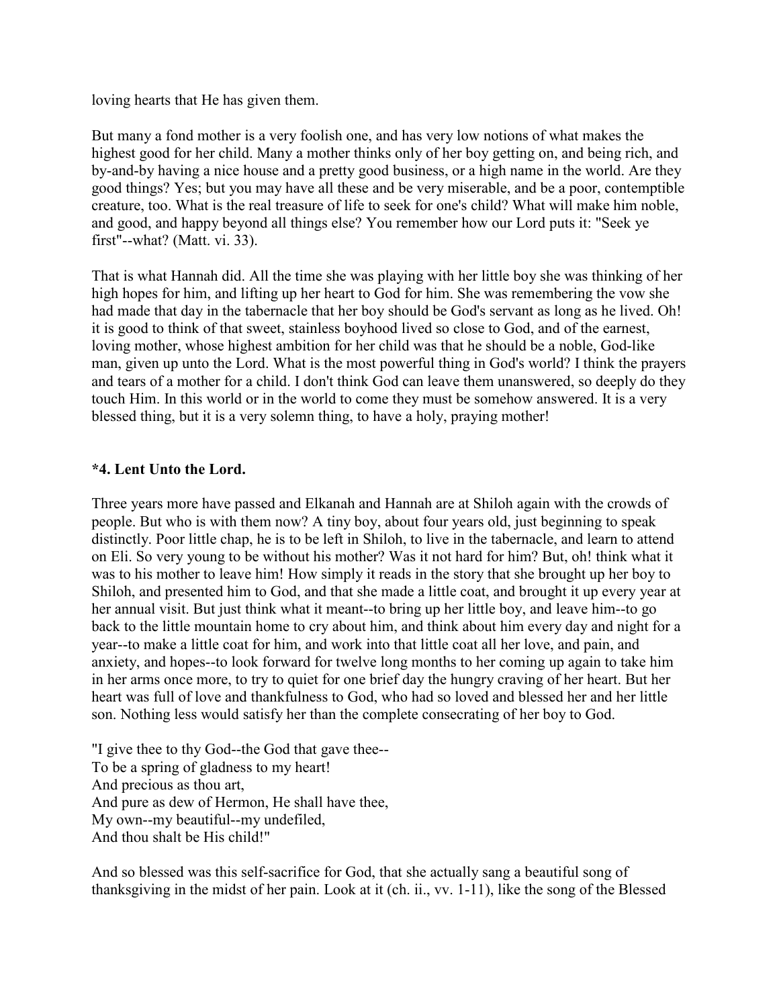loving hearts that He has given them.

But many a fond mother is a very foolish one, and has very low notions of what makes the highest good for her child. Many a mother thinks only of her boy getting on, and being rich, and by-and-by having a nice house and a pretty good business, or a high name in the world. Are they good things? Yes; but you may have all these and be very miserable, and be a poor, contemptible creature, too. What is the real treasure of life to seek for one's child? What will make him noble, and good, and happy beyond all things else? You remember how our Lord puts it: "Seek ye first"--what? (Matt. vi. 33).

That is what Hannah did. All the time she was playing with her little boy she was thinking of her high hopes for him, and lifting up her heart to God for him. She was remembering the vow she had made that day in the tabernacle that her boy should be God's servant as long as he lived. Oh! it is good to think of that sweet, stainless boyhood lived so close to God, and of the earnest, loving mother, whose highest ambition for her child was that he should be a noble, God-like man, given up unto the Lord. What is the most powerful thing in God's world? I think the prayers and tears of a mother for a child. I don't think God can leave them unanswered, so deeply do they touch Him. In this world or in the world to come they must be somehow answered. It is a very blessed thing, but it is a very solemn thing, to have a holy, praying mother!

## **\*4. Lent Unto the Lord.**

Three years more have passed and Elkanah and Hannah are at Shiloh again with the crowds of people. But who is with them now? A tiny boy, about four years old, just beginning to speak distinctly. Poor little chap, he is to be left in Shiloh, to live in the tabernacle, and learn to attend on Eli. So very young to be without his mother? Was it not hard for him? But, oh! think what it was to his mother to leave him! How simply it reads in the story that she brought up her boy to Shiloh, and presented him to God, and that she made a little coat, and brought it up every year at her annual visit. But just think what it meant--to bring up her little boy, and leave him--to go back to the little mountain home to cry about him, and think about him every day and night for a year--to make a little coat for him, and work into that little coat all her love, and pain, and anxiety, and hopes--to look forward for twelve long months to her coming up again to take him in her arms once more, to try to quiet for one brief day the hungry craving of her heart. But her heart was full of love and thankfulness to God, who had so loved and blessed her and her little son. Nothing less would satisfy her than the complete consecrating of her boy to God.

"I give thee to thy God--the God that gave thee-- To be a spring of gladness to my heart! And precious as thou art, And pure as dew of Hermon, He shall have thee, My own--my beautiful--my undefiled, And thou shalt be His child!"

And so blessed was this self-sacrifice for God, that she actually sang a beautiful song of thanksgiving in the midst of her pain. Look at it (ch. ii., vv. 1-11), like the song of the Blessed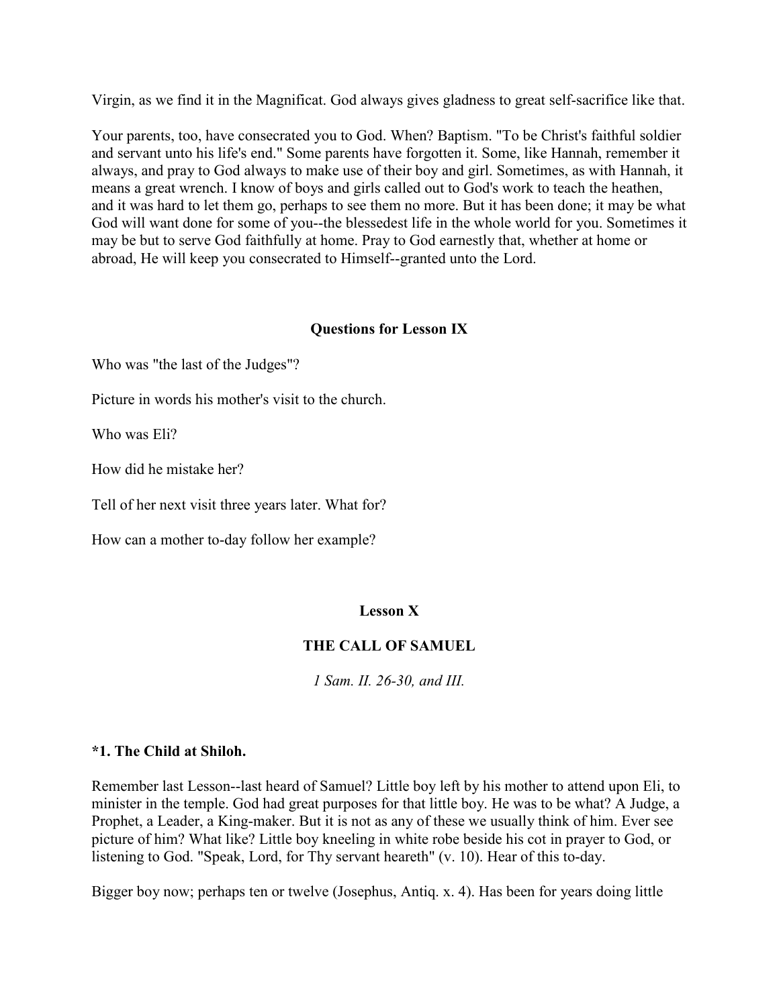Virgin, as we find it in the Magnificat. God always gives gladness to great self-sacrifice like that.

Your parents, too, have consecrated you to God. When? Baptism. "To be Christ's faithful soldier and servant unto his life's end." Some parents have forgotten it. Some, like Hannah, remember it always, and pray to God always to make use of their boy and girl. Sometimes, as with Hannah, it means a great wrench. I know of boys and girls called out to God's work to teach the heathen, and it was hard to let them go, perhaps to see them no more. But it has been done; it may be what God will want done for some of you--the blessedest life in the whole world for you. Sometimes it may be but to serve God faithfully at home. Pray to God earnestly that, whether at home or abroad, He will keep you consecrated to Himself--granted unto the Lord.

## **Questions for Lesson IX**

Who was "the last of the Judges"?

Picture in words his mother's visit to the church.

Who was Eli?

How did he mistake her?

Tell of her next visit three years later. What for?

How can a mother to-day follow her example?

## **Lesson X**

## **THE CALL OF SAMUEL**

*1 Sam. II. 26-30, and III.*

## **\*1. The Child at Shiloh.**

Remember last Lesson--last heard of Samuel? Little boy left by his mother to attend upon Eli, to minister in the temple. God had great purposes for that little boy. He was to be what? A Judge, a Prophet, a Leader, a King-maker. But it is not as any of these we usually think of him. Ever see picture of him? What like? Little boy kneeling in white robe beside his cot in prayer to God, or listening to God. "Speak, Lord, for Thy servant heareth" (v. 10). Hear of this to-day.

Bigger boy now; perhaps ten or twelve (Josephus, Antiq. x. 4). Has been for years doing little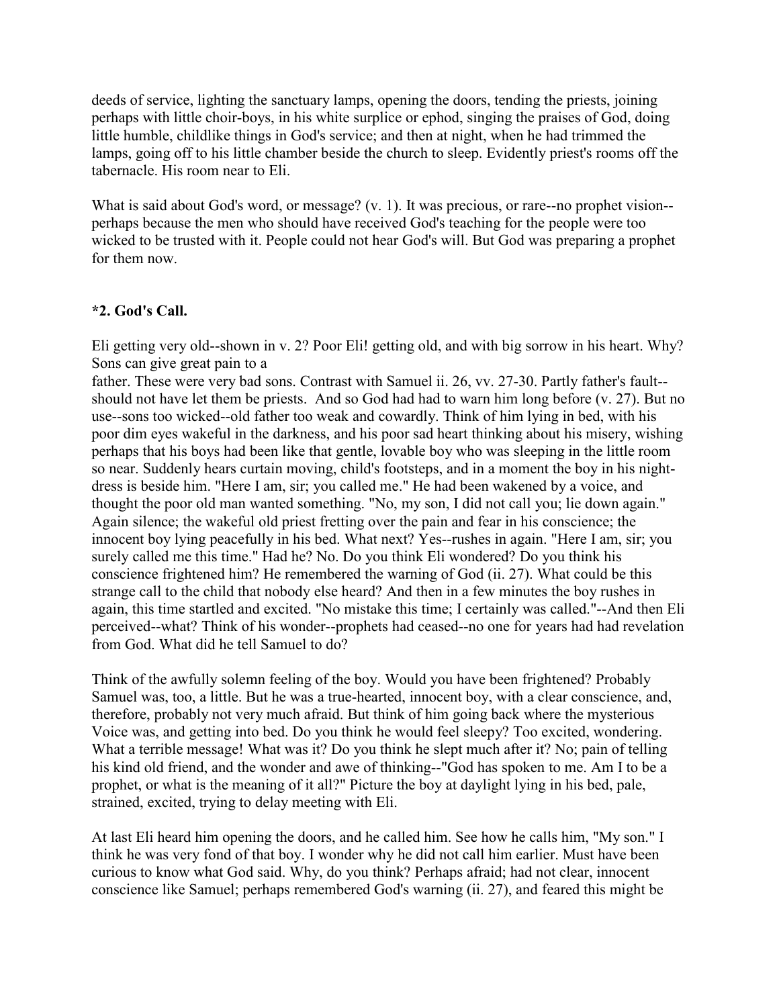deeds of service, lighting the sanctuary lamps, opening the doors, tending the priests, joining perhaps with little choir-boys, in his white surplice or ephod, singing the praises of God, doing little humble, childlike things in God's service; and then at night, when he had trimmed the lamps, going off to his little chamber beside the church to sleep. Evidently priest's rooms off the tabernacle. His room near to Eli.

What is said about God's word, or message? (v. 1). It was precious, or rare--no prophet vision-perhaps because the men who should have received God's teaching for the people were too wicked to be trusted with it. People could not hear God's will. But God was preparing a prophet for them now.

## **\*2. God's Call.**

Eli getting very old--shown in v. 2? Poor Eli! getting old, and with big sorrow in his heart. Why? Sons can give great pain to a

father. These were very bad sons. Contrast with Samuel ii. 26, vv. 27-30. Partly father's fault- should not have let them be priests. And so God had had to warn him long before (v. 27). But no use--sons too wicked--old father too weak and cowardly. Think of him lying in bed, with his poor dim eyes wakeful in the darkness, and his poor sad heart thinking about his misery, wishing perhaps that his boys had been like that gentle, lovable boy who was sleeping in the little room so near. Suddenly hears curtain moving, child's footsteps, and in a moment the boy in his nightdress is beside him. "Here I am, sir; you called me." He had been wakened by a voice, and thought the poor old man wanted something. "No, my son, I did not call you; lie down again." Again silence; the wakeful old priest fretting over the pain and fear in his conscience; the innocent boy lying peacefully in his bed. What next? Yes--rushes in again. "Here I am, sir; you surely called me this time." Had he? No. Do you think Eli wondered? Do you think his conscience frightened him? He remembered the warning of God (ii. 27). What could be this strange call to the child that nobody else heard? And then in a few minutes the boy rushes in again, this time startled and excited. "No mistake this time; I certainly was called."--And then Eli perceived--what? Think of his wonder--prophets had ceased--no one for years had had revelation from God. What did he tell Samuel to do?

Think of the awfully solemn feeling of the boy. Would you have been frightened? Probably Samuel was, too, a little. But he was a true-hearted, innocent boy, with a clear conscience, and, therefore, probably not very much afraid. But think of him going back where the mysterious Voice was, and getting into bed. Do you think he would feel sleepy? Too excited, wondering. What a terrible message! What was it? Do you think he slept much after it? No; pain of telling his kind old friend, and the wonder and awe of thinking--"God has spoken to me. Am I to be a prophet, or what is the meaning of it all?" Picture the boy at daylight lying in his bed, pale, strained, excited, trying to delay meeting with Eli.

At last Eli heard him opening the doors, and he called him. See how he calls him, "My son." I think he was very fond of that boy. I wonder why he did not call him earlier. Must have been curious to know what God said. Why, do you think? Perhaps afraid; had not clear, innocent conscience like Samuel; perhaps remembered God's warning (ii. 27), and feared this might be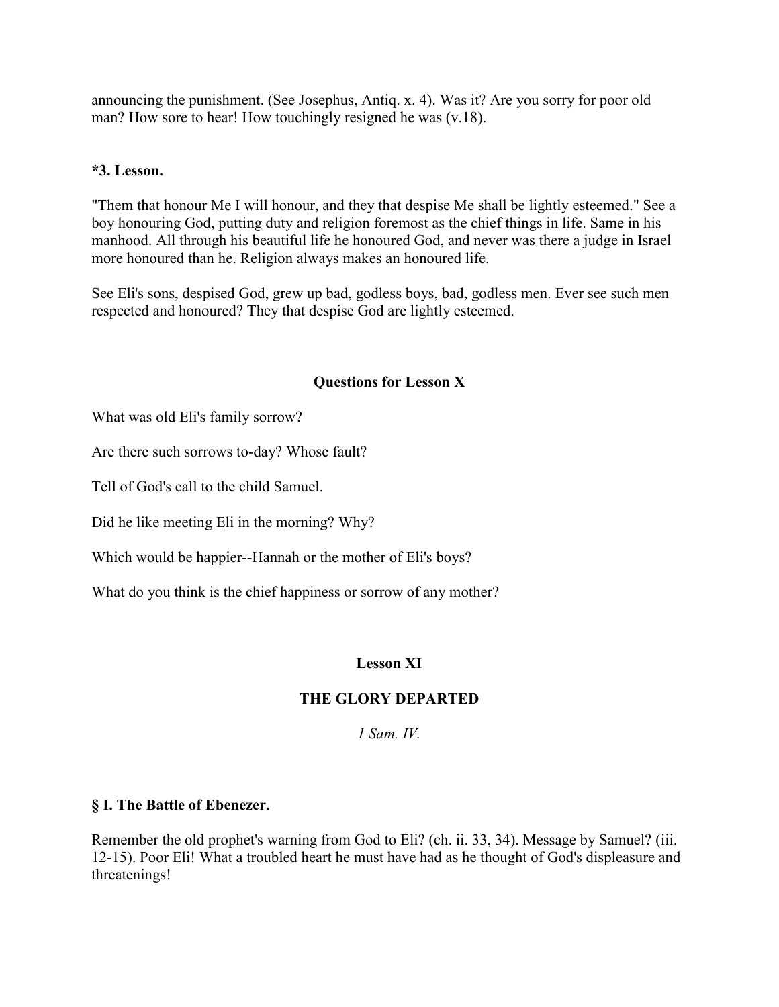announcing the punishment. (See Josephus, Antiq. x. 4). Was it? Are you sorry for poor old man? How sore to hear! How touchingly resigned he was  $(v.18)$ .

## **\*3. Lesson.**

"Them that honour Me I will honour, and they that despise Me shall be lightly esteemed." See a boy honouring God, putting duty and religion foremost as the chief things in life. Same in his manhood. All through his beautiful life he honoured God, and never was there a judge in Israel more honoured than he. Religion always makes an honoured life.

See Eli's sons, despised God, grew up bad, godless boys, bad, godless men. Ever see such men respected and honoured? They that despise God are lightly esteemed.

## **Questions for Lesson X**

What was old Eli's family sorrow?

Are there such sorrows to-day? Whose fault?

Tell of God's call to the child Samuel.

Did he like meeting Eli in the morning? Why?

Which would be happier--Hannah or the mother of Eli's boys?

What do you think is the chief happiness or sorrow of any mother?

# **Lesson XI**

# **THE GLORY DEPARTED**

*1 Sam. IV.*

# **§ I. The Battle of Ebenezer.**

Remember the old prophet's warning from God to Eli? (ch. ii. 33, 34). Message by Samuel? (iii. 12-15). Poor Eli! What a troubled heart he must have had as he thought of God's displeasure and threatenings!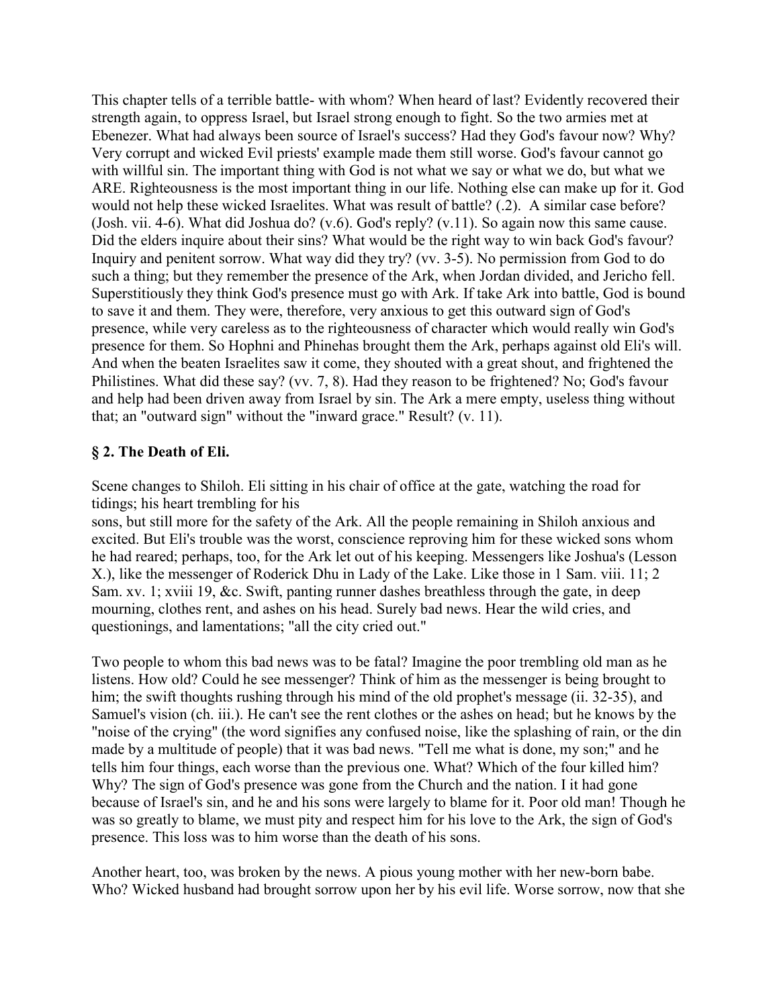This chapter tells of a terrible battle- with whom? When heard of last? Evidently recovered their strength again, to oppress Israel, but Israel strong enough to fight. So the two armies met at Ebenezer. What had always been source of Israel's success? Had they God's favour now? Why? Very corrupt and wicked Evil priests' example made them still worse. God's favour cannot go with willful sin. The important thing with God is not what we say or what we do, but what we ARE. Righteousness is the most important thing in our life. Nothing else can make up for it. God would not help these wicked Israelites. What was result of battle? (.2). A similar case before? (Josh. vii. 4-6). What did Joshua do? (v.6). God's reply? (v.11). So again now this same cause. Did the elders inquire about their sins? What would be the right way to win back God's favour? Inquiry and penitent sorrow. What way did they try? (vv. 3-5). No permission from God to do such a thing; but they remember the presence of the Ark, when Jordan divided, and Jericho fell. Superstitiously they think God's presence must go with Ark. If take Ark into battle, God is bound to save it and them. They were, therefore, very anxious to get this outward sign of God's presence, while very careless as to the righteousness of character which would really win God's presence for them. So Hophni and Phinehas brought them the Ark, perhaps against old Eli's will. And when the beaten Israelites saw it come, they shouted with a great shout, and frightened the Philistines. What did these say? (vv. 7, 8). Had they reason to be frightened? No; God's favour and help had been driven away from Israel by sin. The Ark a mere empty, useless thing without that; an "outward sign" without the "inward grace." Result? (v. 11).

## **§ 2. The Death of Eli.**

Scene changes to Shiloh. Eli sitting in his chair of office at the gate, watching the road for tidings; his heart trembling for his

sons, but still more for the safety of the Ark. All the people remaining in Shiloh anxious and excited. But Eli's trouble was the worst, conscience reproving him for these wicked sons whom he had reared; perhaps, too, for the Ark let out of his keeping. Messengers like Joshua's (Lesson X.), like the messenger of Roderick Dhu in Lady of the Lake. Like those in 1 Sam. viii. 11; 2 Sam. xv. 1; xviii 19, &c. Swift, panting runner dashes breathless through the gate, in deep mourning, clothes rent, and ashes on his head. Surely bad news. Hear the wild cries, and questionings, and lamentations; "all the city cried out."

Two people to whom this bad news was to be fatal? Imagine the poor trembling old man as he listens. How old? Could he see messenger? Think of him as the messenger is being brought to him; the swift thoughts rushing through his mind of the old prophet's message (ii. 32-35), and Samuel's vision (ch. iii.). He can't see the rent clothes or the ashes on head; but he knows by the "noise of the crying" (the word signifies any confused noise, like the splashing of rain, or the din made by a multitude of people) that it was bad news. "Tell me what is done, my son;" and he tells him four things, each worse than the previous one. What? Which of the four killed him? Why? The sign of God's presence was gone from the Church and the nation. I it had gone because of Israel's sin, and he and his sons were largely to blame for it. Poor old man! Though he was so greatly to blame, we must pity and respect him for his love to the Ark, the sign of God's presence. This loss was to him worse than the death of his sons.

Another heart, too, was broken by the news. A pious young mother with her new-born babe. Who? Wicked husband had brought sorrow upon her by his evil life. Worse sorrow, now that she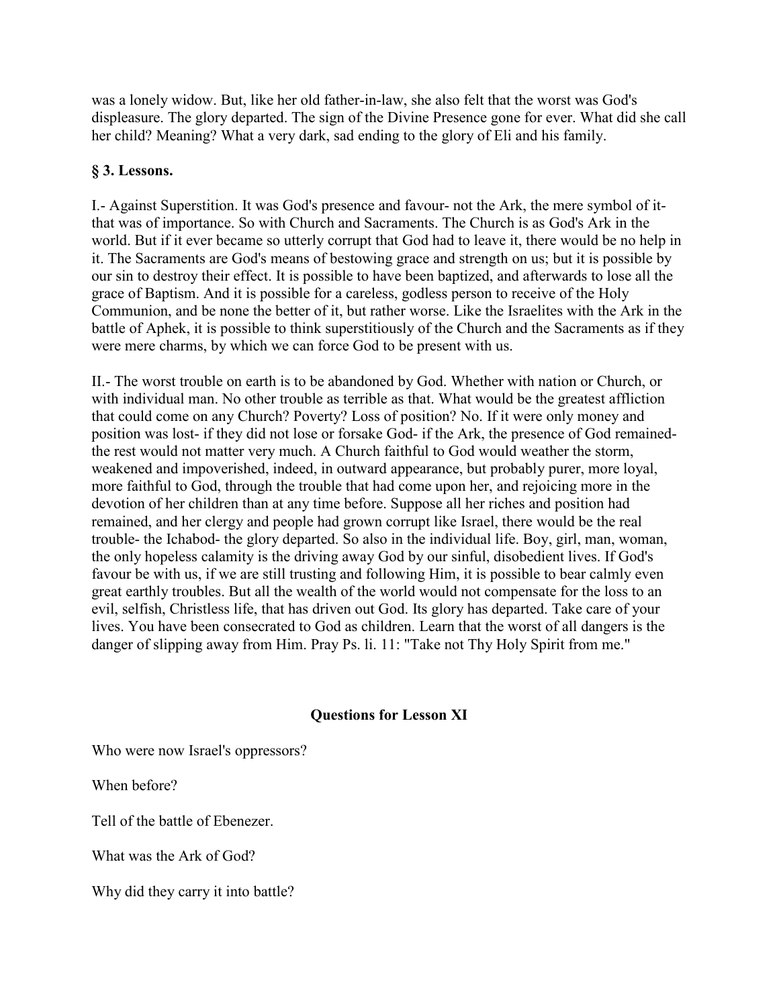was a lonely widow. But, like her old father-in-law, she also felt that the worst was God's displeasure. The glory departed. The sign of the Divine Presence gone for ever. What did she call her child? Meaning? What a very dark, sad ending to the glory of Eli and his family.

## **§ 3. Lessons.**

I.- Against Superstition. It was God's presence and favour- not the Ark, the mere symbol of itthat was of importance. So with Church and Sacraments. The Church is as God's Ark in the world. But if it ever became so utterly corrupt that God had to leave it, there would be no help in it. The Sacraments are God's means of bestowing grace and strength on us; but it is possible by our sin to destroy their effect. It is possible to have been baptized, and afterwards to lose all the grace of Baptism. And it is possible for a careless, godless person to receive of the Holy Communion, and be none the better of it, but rather worse. Like the Israelites with the Ark in the battle of Aphek, it is possible to think superstitiously of the Church and the Sacraments as if they were mere charms, by which we can force God to be present with us.

II.- The worst trouble on earth is to be abandoned by God. Whether with nation or Church, or with individual man. No other trouble as terrible as that. What would be the greatest affliction that could come on any Church? Poverty? Loss of position? No. If it were only money and position was lost- if they did not lose or forsake God- if the Ark, the presence of God remainedthe rest would not matter very much. A Church faithful to God would weather the storm, weakened and impoverished, indeed, in outward appearance, but probably purer, more loyal, more faithful to God, through the trouble that had come upon her, and rejoicing more in the devotion of her children than at any time before. Suppose all her riches and position had remained, and her clergy and people had grown corrupt like Israel, there would be the real trouble- the Ichabod- the glory departed. So also in the individual life. Boy, girl, man, woman, the only hopeless calamity is the driving away God by our sinful, disobedient lives. If God's favour be with us, if we are still trusting and following Him, it is possible to bear calmly even great earthly troubles. But all the wealth of the world would not compensate for the loss to an evil, selfish, Christless life, that has driven out God. Its glory has departed. Take care of your lives. You have been consecrated to God as children. Learn that the worst of all dangers is the danger of slipping away from Him. Pray Ps. li. 11: "Take not Thy Holy Spirit from me."

# **Questions for Lesson XI**

Who were now Israel's oppressors?

When before?

Tell of the battle of Ebenezer.

What was the Ark of God?

Why did they carry it into battle?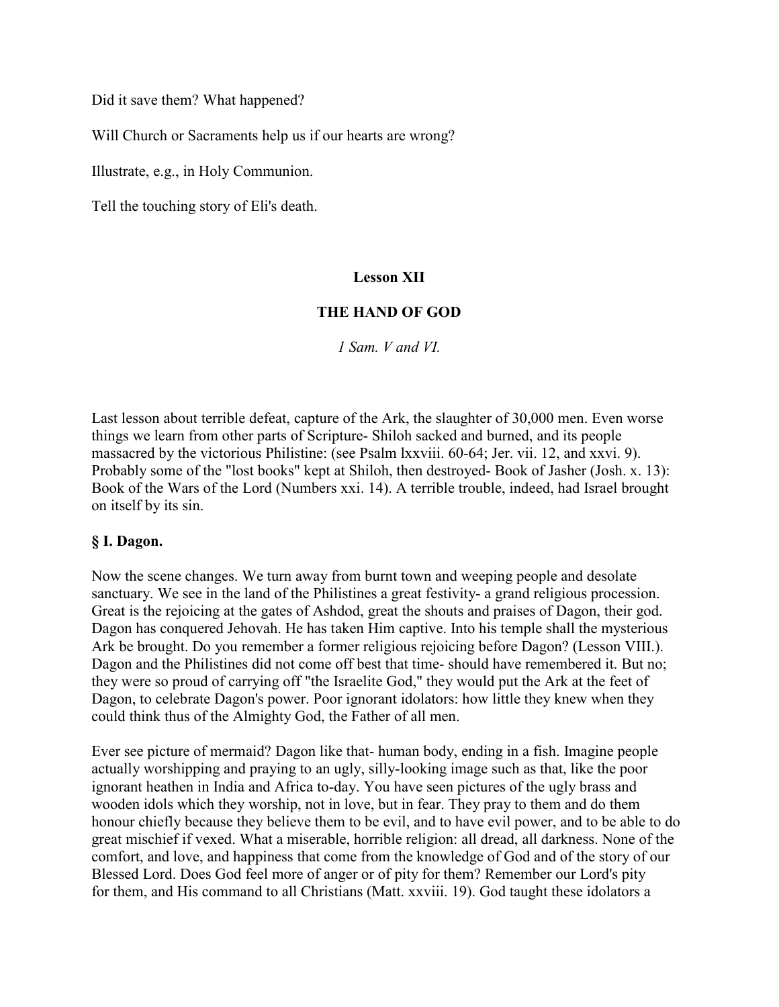Did it save them? What happened?

Will Church or Sacraments help us if our hearts are wrong?

Illustrate, e.g., in Holy Communion.

Tell the touching story of Eli's death.

## **Lesson XII**

## **THE HAND OF GOD**

*1 Sam. V and VI.*

Last lesson about terrible defeat, capture of the Ark, the slaughter of 30,000 men. Even worse things we learn from other parts of Scripture- Shiloh sacked and burned, and its people massacred by the victorious Philistine: (see Psalm lxxviii. 60-64; Jer. vii. 12, and xxvi. 9). Probably some of the "lost books" kept at Shiloh, then destroyed- Book of Jasher (Josh. x. 13): Book of the Wars of the Lord (Numbers xxi. 14). A terrible trouble, indeed, had Israel brought on itself by its sin.

#### **§ I. Dagon.**

Now the scene changes. We turn away from burnt town and weeping people and desolate sanctuary. We see in the land of the Philistines a great festivity- a grand religious procession. Great is the rejoicing at the gates of Ashdod, great the shouts and praises of Dagon, their god. Dagon has conquered Jehovah. He has taken Him captive. Into his temple shall the mysterious Ark be brought. Do you remember a former religious rejoicing before Dagon? (Lesson VIII.). Dagon and the Philistines did not come off best that time- should have remembered it. But no; they were so proud of carrying off "the Israelite God," they would put the Ark at the feet of Dagon, to celebrate Dagon's power. Poor ignorant idolators: how little they knew when they could think thus of the Almighty God, the Father of all men.

Ever see picture of mermaid? Dagon like that- human body, ending in a fish. Imagine people actually worshipping and praying to an ugly, silly-looking image such as that, like the poor ignorant heathen in India and Africa to-day. You have seen pictures of the ugly brass and wooden idols which they worship, not in love, but in fear. They pray to them and do them honour chiefly because they believe them to be evil, and to have evil power, and to be able to do great mischief if vexed. What a miserable, horrible religion: all dread, all darkness. None of the comfort, and love, and happiness that come from the knowledge of God and of the story of our Blessed Lord. Does God feel more of anger or of pity for them? Remember our Lord's pity for them, and His command to all Christians (Matt. xxviii. 19). God taught these idolators a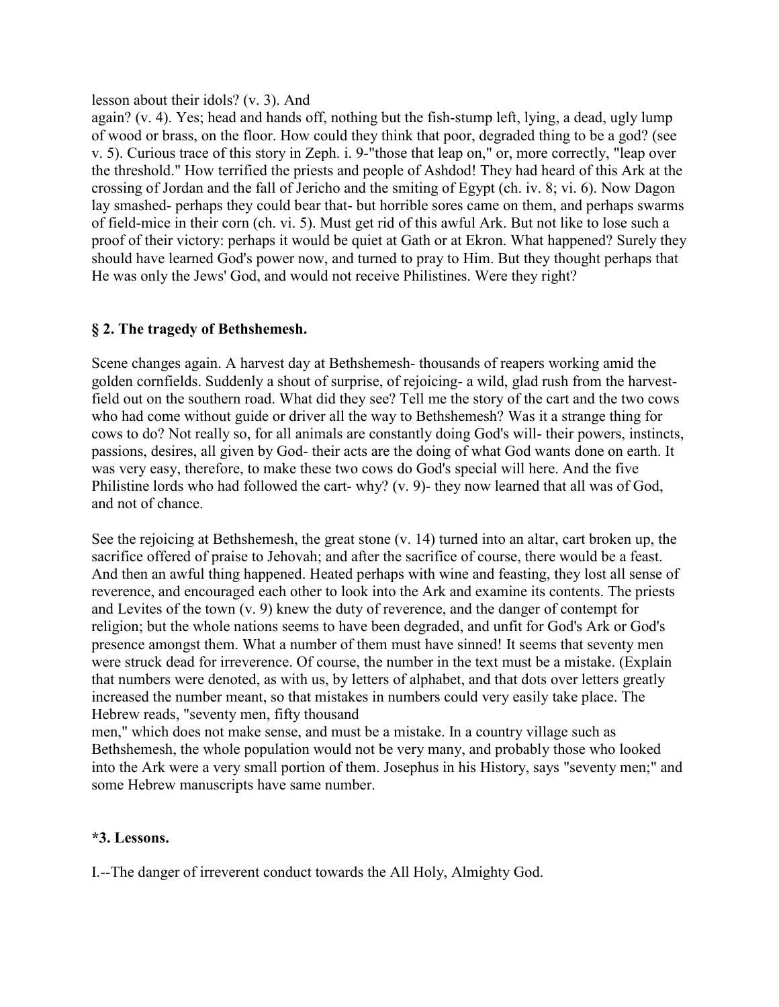#### lesson about their idols? (v. 3). And

again? (v. 4). Yes; head and hands off, nothing but the fish-stump left, lying, a dead, ugly lump of wood or brass, on the floor. How could they think that poor, degraded thing to be a god? (see v. 5). Curious trace of this story in Zeph. i. 9-"those that leap on," or, more correctly, "leap over the threshold." How terrified the priests and people of Ashdod! They had heard of this Ark at the crossing of Jordan and the fall of Jericho and the smiting of Egypt (ch. iv. 8; vi. 6). Now Dagon lay smashed- perhaps they could bear that- but horrible sores came on them, and perhaps swarms of field-mice in their corn (ch. vi. 5). Must get rid of this awful Ark. But not like to lose such a proof of their victory: perhaps it would be quiet at Gath or at Ekron. What happened? Surely they should have learned God's power now, and turned to pray to Him. But they thought perhaps that He was only the Jews' God, and would not receive Philistines. Were they right?

## **§ 2. The tragedy of Bethshemesh.**

Scene changes again. A harvest day at Bethshemesh- thousands of reapers working amid the golden cornfields. Suddenly a shout of surprise, of rejoicing- a wild, glad rush from the harvestfield out on the southern road. What did they see? Tell me the story of the cart and the two cows who had come without guide or driver all the way to Bethshemesh? Was it a strange thing for cows to do? Not really so, for all animals are constantly doing God's will- their powers, instincts, passions, desires, all given by God- their acts are the doing of what God wants done on earth. It was very easy, therefore, to make these two cows do God's special will here. And the five Philistine lords who had followed the cart- why? (v. 9)- they now learned that all was of God, and not of chance.

See the rejoicing at Bethshemesh, the great stone (v. 14) turned into an altar, cart broken up, the sacrifice offered of praise to Jehovah; and after the sacrifice of course, there would be a feast. And then an awful thing happened. Heated perhaps with wine and feasting, they lost all sense of reverence, and encouraged each other to look into the Ark and examine its contents. The priests and Levites of the town (v. 9) knew the duty of reverence, and the danger of contempt for religion; but the whole nations seems to have been degraded, and unfit for God's Ark or God's presence amongst them. What a number of them must have sinned! It seems that seventy men were struck dead for irreverence. Of course, the number in the text must be a mistake. (Explain that numbers were denoted, as with us, by letters of alphabet, and that dots over letters greatly increased the number meant, so that mistakes in numbers could very easily take place. The Hebrew reads, "seventy men, fifty thousand

men," which does not make sense, and must be a mistake. In a country village such as Bethshemesh, the whole population would not be very many, and probably those who looked into the Ark were a very small portion of them. Josephus in his History, says "seventy men;" and some Hebrew manuscripts have same number.

## **\*3. Lessons.**

I.--The danger of irreverent conduct towards the All Holy, Almighty God.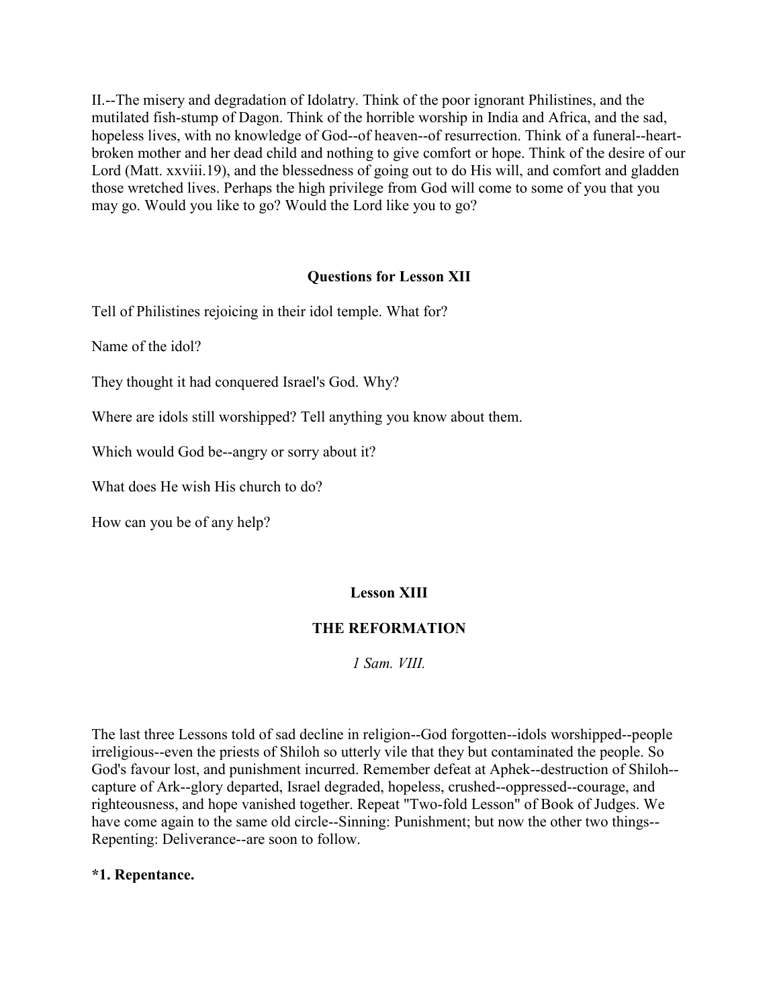II.--The misery and degradation of Idolatry. Think of the poor ignorant Philistines, and the mutilated fish-stump of Dagon. Think of the horrible worship in India and Africa, and the sad, hopeless lives, with no knowledge of God--of heaven--of resurrection. Think of a funeral--heartbroken mother and her dead child and nothing to give comfort or hope. Think of the desire of our Lord (Matt. xxviii.19), and the blessedness of going out to do His will, and comfort and gladden those wretched lives. Perhaps the high privilege from God will come to some of you that you may go. Would you like to go? Would the Lord like you to go?

## **Questions for Lesson XII**

Tell of Philistines rejoicing in their idol temple. What for?

Name of the idol?

They thought it had conquered Israel's God. Why?

Where are idols still worshipped? Tell anything you know about them.

Which would God be--angry or sorry about it?

What does He wish His church to do?

How can you be of any help?

## **Lesson XIII**

## **THE REFORMATION**

*1 Sam. VIII.*

The last three Lessons told of sad decline in religion--God forgotten--idols worshipped--people irreligious--even the priests of Shiloh so utterly vile that they but contaminated the people. So God's favour lost, and punishment incurred. Remember defeat at Aphek--destruction of Shiloh- capture of Ark--glory departed, Israel degraded, hopeless, crushed--oppressed--courage, and righteousness, and hope vanished together. Repeat "Two-fold Lesson" of Book of Judges. We have come again to the same old circle--Sinning: Punishment; but now the other two things-- Repenting: Deliverance--are soon to follow.

## **\*1. Repentance.**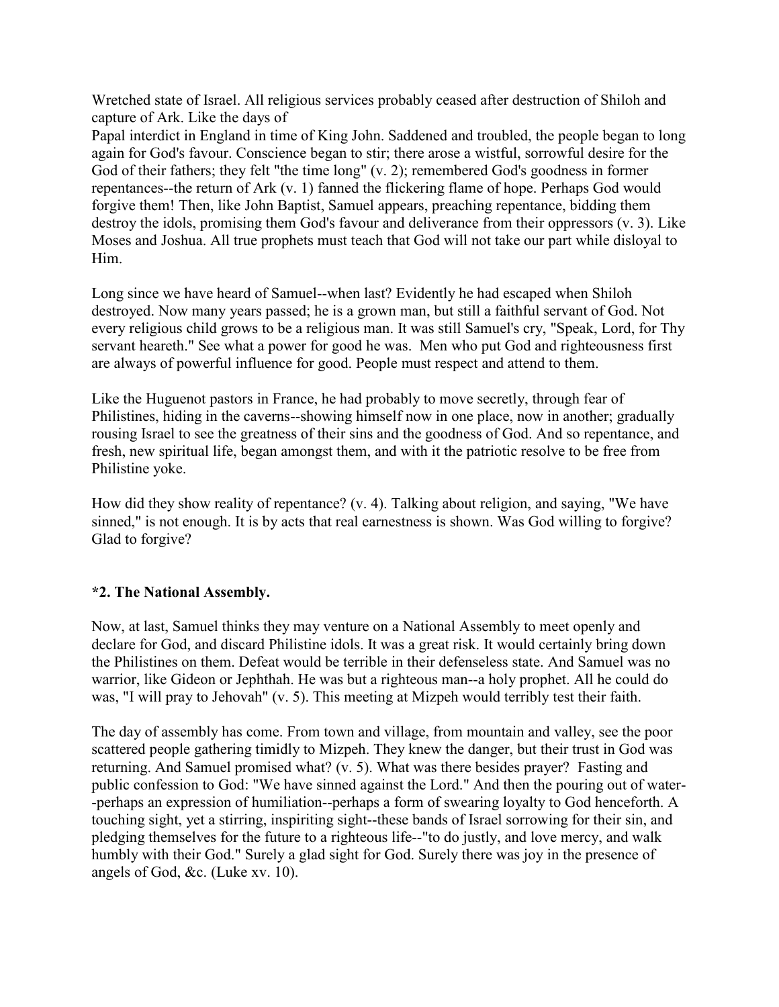Wretched state of Israel. All religious services probably ceased after destruction of Shiloh and capture of Ark. Like the days of

Papal interdict in England in time of King John. Saddened and troubled, the people began to long again for God's favour. Conscience began to stir; there arose a wistful, sorrowful desire for the God of their fathers; they felt "the time long" (v. 2); remembered God's goodness in former repentances--the return of Ark (v. 1) fanned the flickering flame of hope. Perhaps God would forgive them! Then, like John Baptist, Samuel appears, preaching repentance, bidding them destroy the idols, promising them God's favour and deliverance from their oppressors (v. 3). Like Moses and Joshua. All true prophets must teach that God will not take our part while disloyal to Him.

Long since we have heard of Samuel--when last? Evidently he had escaped when Shiloh destroyed. Now many years passed; he is a grown man, but still a faithful servant of God. Not every religious child grows to be a religious man. It was still Samuel's cry, "Speak, Lord, for Thy servant heareth." See what a power for good he was. Men who put God and righteousness first are always of powerful influence for good. People must respect and attend to them.

Like the Huguenot pastors in France, he had probably to move secretly, through fear of Philistines, hiding in the caverns--showing himself now in one place, now in another; gradually rousing Israel to see the greatness of their sins and the goodness of God. And so repentance, and fresh, new spiritual life, began amongst them, and with it the patriotic resolve to be free from Philistine yoke.

How did they show reality of repentance? (v. 4). Talking about religion, and saying, "We have sinned," is not enough. It is by acts that real earnestness is shown. Was God willing to forgive? Glad to forgive?

## **\*2. The National Assembly.**

Now, at last, Samuel thinks they may venture on a National Assembly to meet openly and declare for God, and discard Philistine idols. It was a great risk. It would certainly bring down the Philistines on them. Defeat would be terrible in their defenseless state. And Samuel was no warrior, like Gideon or Jephthah. He was but a righteous man--a holy prophet. All he could do was, "I will pray to Jehovah" (v. 5). This meeting at Mizpeh would terribly test their faith.

The day of assembly has come. From town and village, from mountain and valley, see the poor scattered people gathering timidly to Mizpeh. They knew the danger, but their trust in God was returning. And Samuel promised what? (v. 5). What was there besides prayer? Fasting and public confession to God: "We have sinned against the Lord." And then the pouring out of water- -perhaps an expression of humiliation--perhaps a form of swearing loyalty to God henceforth. A touching sight, yet a stirring, inspiriting sight--these bands of Israel sorrowing for their sin, and pledging themselves for the future to a righteous life--"to do justly, and love mercy, and walk humbly with their God." Surely a glad sight for God. Surely there was joy in the presence of angels of God, &c. (Luke xv. 10).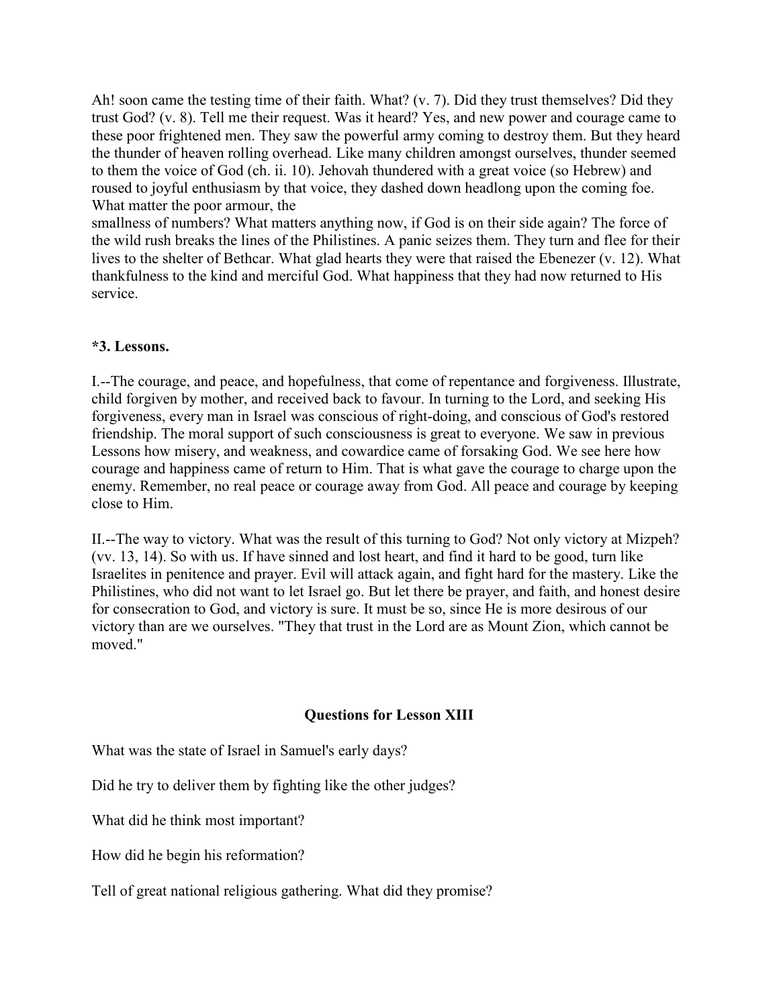Ah! soon came the testing time of their faith. What? (v. 7). Did they trust themselves? Did they trust God? (v. 8). Tell me their request. Was it heard? Yes, and new power and courage came to these poor frightened men. They saw the powerful army coming to destroy them. But they heard the thunder of heaven rolling overhead. Like many children amongst ourselves, thunder seemed to them the voice of God (ch. ii. 10). Jehovah thundered with a great voice (so Hebrew) and roused to joyful enthusiasm by that voice, they dashed down headlong upon the coming foe. What matter the poor armour, the

smallness of numbers? What matters anything now, if God is on their side again? The force of the wild rush breaks the lines of the Philistines. A panic seizes them. They turn and flee for their lives to the shelter of Bethcar. What glad hearts they were that raised the Ebenezer (v. 12). What thankfulness to the kind and merciful God. What happiness that they had now returned to His service.

## **\*3. Lessons.**

I.--The courage, and peace, and hopefulness, that come of repentance and forgiveness. Illustrate, child forgiven by mother, and received back to favour. In turning to the Lord, and seeking His forgiveness, every man in Israel was conscious of right-doing, and conscious of God's restored friendship. The moral support of such consciousness is great to everyone. We saw in previous Lessons how misery, and weakness, and cowardice came of forsaking God. We see here how courage and happiness came of return to Him. That is what gave the courage to charge upon the enemy. Remember, no real peace or courage away from God. All peace and courage by keeping close to Him.

II.--The way to victory. What was the result of this turning to God? Not only victory at Mizpeh? (vv. 13, 14). So with us. If have sinned and lost heart, and find it hard to be good, turn like Israelites in penitence and prayer. Evil will attack again, and fight hard for the mastery. Like the Philistines, who did not want to let Israel go. But let there be prayer, and faith, and honest desire for consecration to God, and victory is sure. It must be so, since He is more desirous of our victory than are we ourselves. "They that trust in the Lord are as Mount Zion, which cannot be moved."

## **Questions for Lesson XIII**

What was the state of Israel in Samuel's early days?

Did he try to deliver them by fighting like the other judges?

What did he think most important?

How did he begin his reformation?

Tell of great national religious gathering. What did they promise?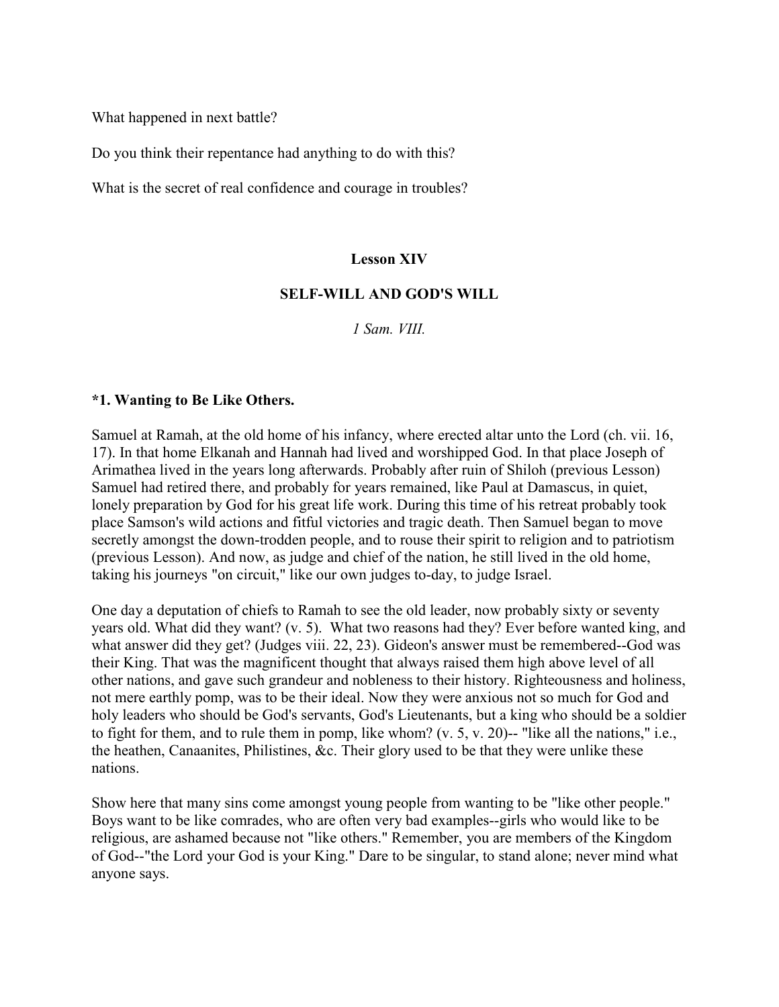What happened in next battle?

Do you think their repentance had anything to do with this?

What is the secret of real confidence and courage in troubles?

#### **Lesson XIV**

#### **SELF-WILL AND GOD'S WILL**

*1 Sam. VIII.*

#### **\*1. Wanting to Be Like Others.**

Samuel at Ramah, at the old home of his infancy, where erected altar unto the Lord (ch. vii. 16, 17). In that home Elkanah and Hannah had lived and worshipped God. In that place Joseph of Arimathea lived in the years long afterwards. Probably after ruin of Shiloh (previous Lesson) Samuel had retired there, and probably for years remained, like Paul at Damascus, in quiet, lonely preparation by God for his great life work. During this time of his retreat probably took place Samson's wild actions and fitful victories and tragic death. Then Samuel began to move secretly amongst the down-trodden people, and to rouse their spirit to religion and to patriotism (previous Lesson). And now, as judge and chief of the nation, he still lived in the old home, taking his journeys "on circuit," like our own judges to-day, to judge Israel.

One day a deputation of chiefs to Ramah to see the old leader, now probably sixty or seventy years old. What did they want? (v. 5). What two reasons had they? Ever before wanted king, and what answer did they get? (Judges viii. 22, 23). Gideon's answer must be remembered--God was their King. That was the magnificent thought that always raised them high above level of all other nations, and gave such grandeur and nobleness to their history. Righteousness and holiness, not mere earthly pomp, was to be their ideal. Now they were anxious not so much for God and holy leaders who should be God's servants, God's Lieutenants, but a king who should be a soldier to fight for them, and to rule them in pomp, like whom? (v. 5, v. 20)-- "like all the nations," i.e., the heathen, Canaanites, Philistines, &c. Their glory used to be that they were unlike these nations.

Show here that many sins come amongst young people from wanting to be "like other people." Boys want to be like comrades, who are often very bad examples--girls who would like to be religious, are ashamed because not "like others." Remember, you are members of the Kingdom of God--"the Lord your God is your King." Dare to be singular, to stand alone; never mind what anyone says.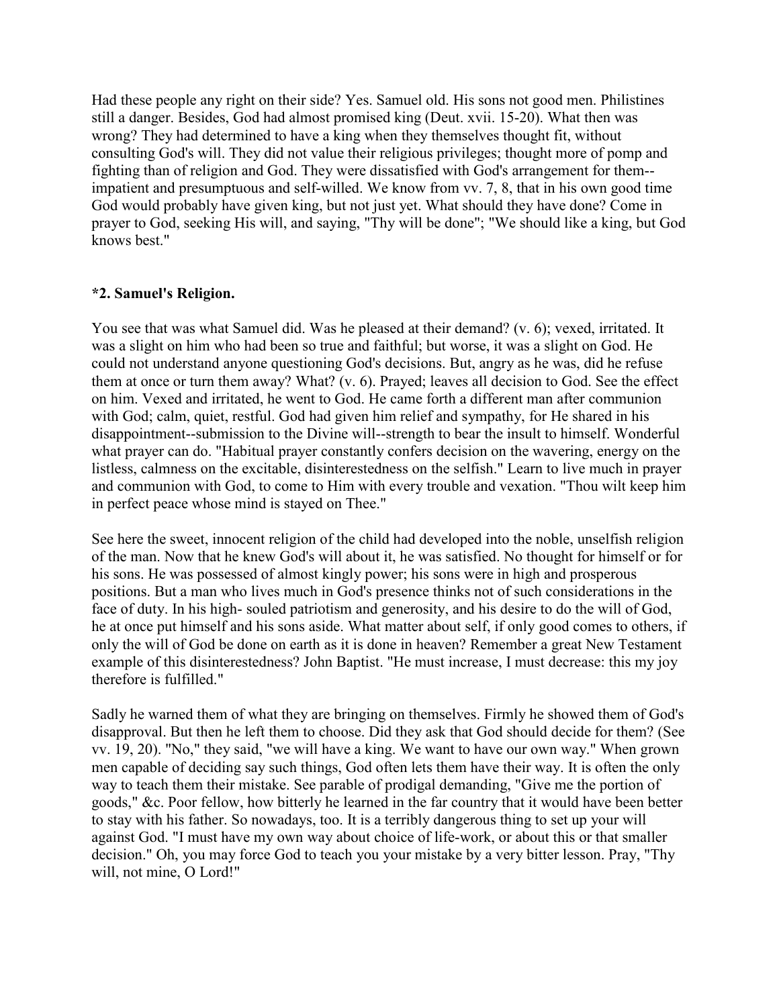Had these people any right on their side? Yes. Samuel old. His sons not good men. Philistines still a danger. Besides, God had almost promised king (Deut. xvii. 15-20). What then was wrong? They had determined to have a king when they themselves thought fit, without consulting God's will. They did not value their religious privileges; thought more of pomp and fighting than of religion and God. They were dissatisfied with God's arrangement for them- impatient and presumptuous and self-willed. We know from vv. 7, 8, that in his own good time God would probably have given king, but not just yet. What should they have done? Come in prayer to God, seeking His will, and saying, "Thy will be done"; "We should like a king, but God knows best."

## **\*2. Samuel's Religion.**

You see that was what Samuel did. Was he pleased at their demand? (v. 6); vexed, irritated. It was a slight on him who had been so true and faithful; but worse, it was a slight on God. He could not understand anyone questioning God's decisions. But, angry as he was, did he refuse them at once or turn them away? What? (v. 6). Prayed; leaves all decision to God. See the effect on him. Vexed and irritated, he went to God. He came forth a different man after communion with God; calm, quiet, restful. God had given him relief and sympathy, for He shared in his disappointment--submission to the Divine will--strength to bear the insult to himself. Wonderful what prayer can do. "Habitual prayer constantly confers decision on the wavering, energy on the listless, calmness on the excitable, disinterestedness on the selfish." Learn to live much in prayer and communion with God, to come to Him with every trouble and vexation. "Thou wilt keep him in perfect peace whose mind is stayed on Thee."

See here the sweet, innocent religion of the child had developed into the noble, unselfish religion of the man. Now that he knew God's will about it, he was satisfied. No thought for himself or for his sons. He was possessed of almost kingly power; his sons were in high and prosperous positions. But a man who lives much in God's presence thinks not of such considerations in the face of duty. In his high- souled patriotism and generosity, and his desire to do the will of God, he at once put himself and his sons aside. What matter about self, if only good comes to others, if only the will of God be done on earth as it is done in heaven? Remember a great New Testament example of this disinterestedness? John Baptist. "He must increase, I must decrease: this my joy therefore is fulfilled."

Sadly he warned them of what they are bringing on themselves. Firmly he showed them of God's disapproval. But then he left them to choose. Did they ask that God should decide for them? (See vv. 19, 20). "No," they said, "we will have a king. We want to have our own way." When grown men capable of deciding say such things, God often lets them have their way. It is often the only way to teach them their mistake. See parable of prodigal demanding, "Give me the portion of goods," &c. Poor fellow, how bitterly he learned in the far country that it would have been better to stay with his father. So nowadays, too. It is a terribly dangerous thing to set up your will against God. "I must have my own way about choice of life-work, or about this or that smaller decision." Oh, you may force God to teach you your mistake by a very bitter lesson. Pray, "Thy will, not mine, O Lord!"